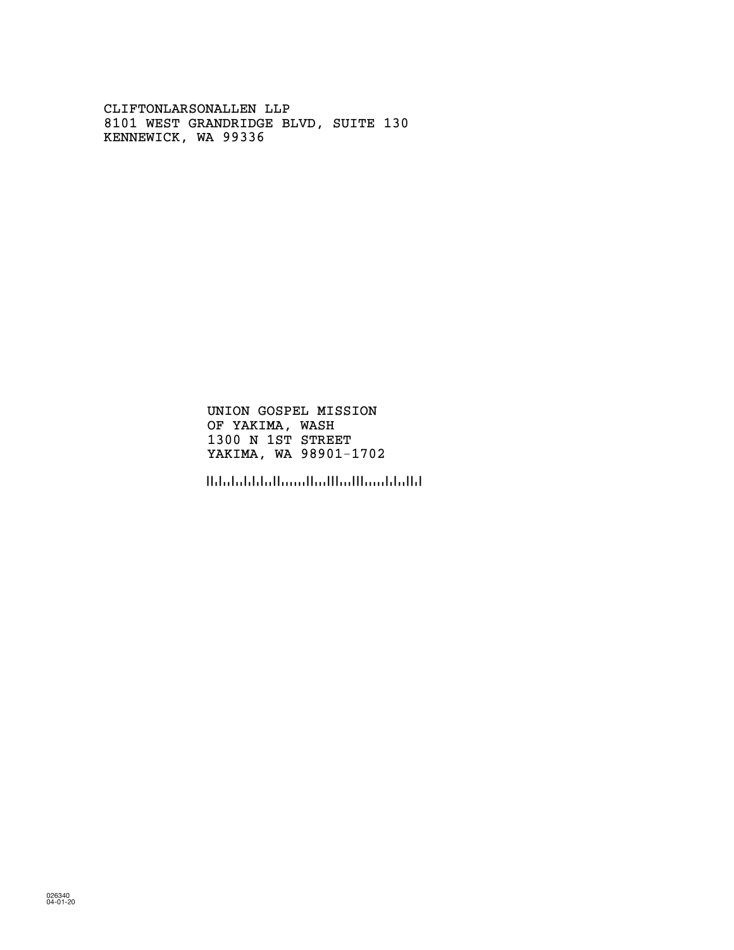CLIFTONLARSONALLEN LLP 8101 WEST GRANDRIDGE BLVD, SUITE 130 KENNEWICK, WA 99336

> OF YAKIMA, WASH 1300 N 1ST STREET UNION GOSPEL MISSION YAKIMA, WA 98901-1702

!!dobddallaaallad!!ad!laaddalld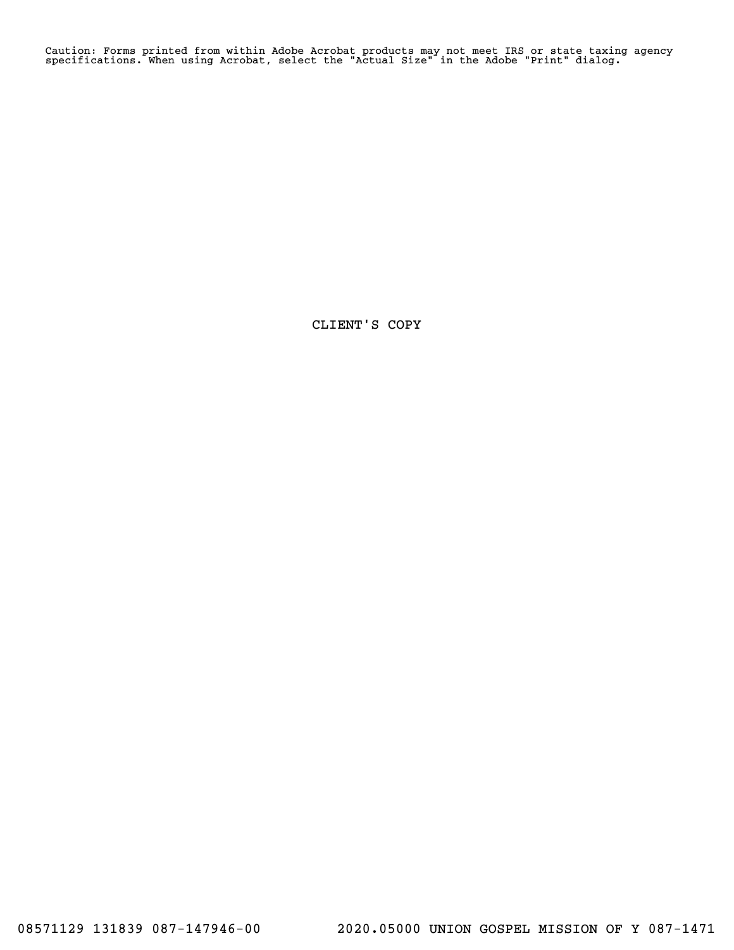Caution: Forms printed from within Adobe Acrobat products may not meet IRS or state taxing agency specifications. When using Acrobat, select the "Actual Size" in the Adobe "Print" dialog.

CLIENT'S COPY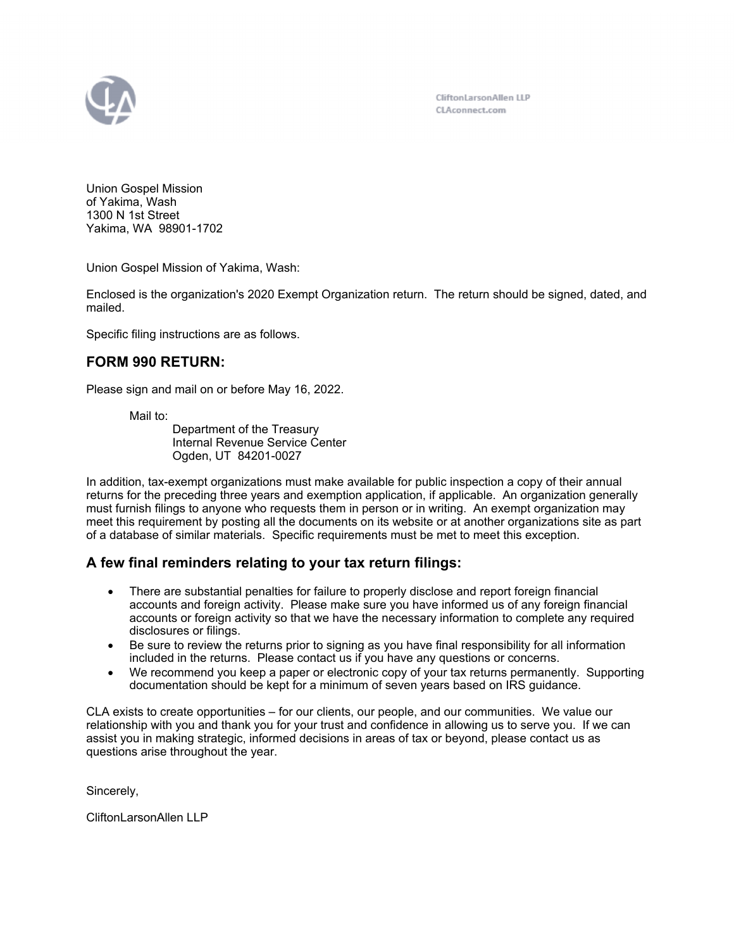

CliftonLarsonAllen LLP CLAconnect.com

Union Gospel Mission of Yakima, Wash 1300 N 1st Street Yakima, WA 98901-1702

Union Gospel Mission of Yakima, Wash:

Enclosed is the organization's 2020 Exempt Organization return. The return should be signed, dated, and mailed.

Specific filing instructions are as follows.

# **FORM 990 RETURN:**

Please sign and mail on or before May 16, 2022.

Mail to:

Department of the Treasury Internal Revenue Service Center Ogden, UT 84201-0027

In addition, tax-exempt organizations must make available for public inspection a copy of their annual returns for the preceding three years and exemption application, if applicable. An organization generally must furnish filings to anyone who requests them in person or in writing. An exempt organization may meet this requirement by posting all the documents on its website or at another organizations site as part of a database of similar materials. Specific requirements must be met to meet this exception.

# **A few final reminders relating to your tax return filings:**

- There are substantial penalties for failure to properly disclose and report foreign financial accounts and foreign activity. Please make sure you have informed us of any foreign financial accounts or foreign activity so that we have the necessary information to complete any required disclosures or filings.
- Be sure to review the returns prior to signing as you have final responsibility for all information included in the returns. Please contact us if you have any questions or concerns.
- We recommend you keep a paper or electronic copy of your tax returns permanently. Supporting documentation should be kept for a minimum of seven years based on IRS guidance.

CLA exists to create opportunities – for our clients, our people, and our communities. We value our relationship with you and thank you for your trust and confidence in allowing us to serve you. If we can assist you in making strategic, informed decisions in areas of tax or beyond, please contact us as questions arise throughout the year.

Sincerely,

CliftonLarsonAllen LLP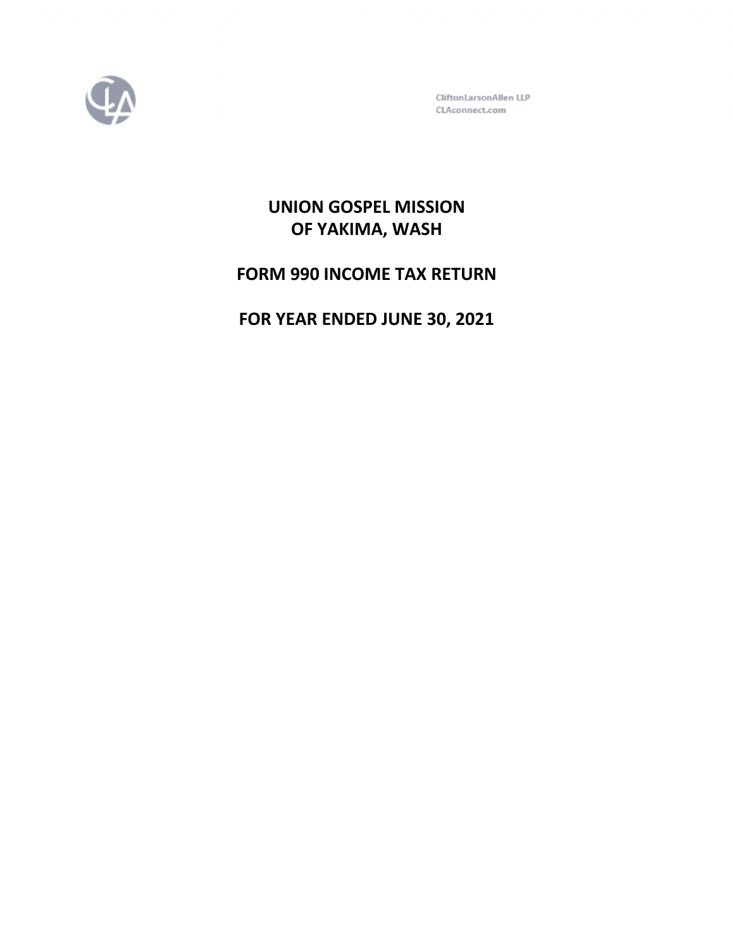

CliftonLarsonAllen LLP CLAconnect.com

# **UNION GOSPEL MISSION OF YAKIMA, WASH**

**FORM 990 INCOME TAX RETURN**

**FOR YEAR ENDED JUNE 30, 2021**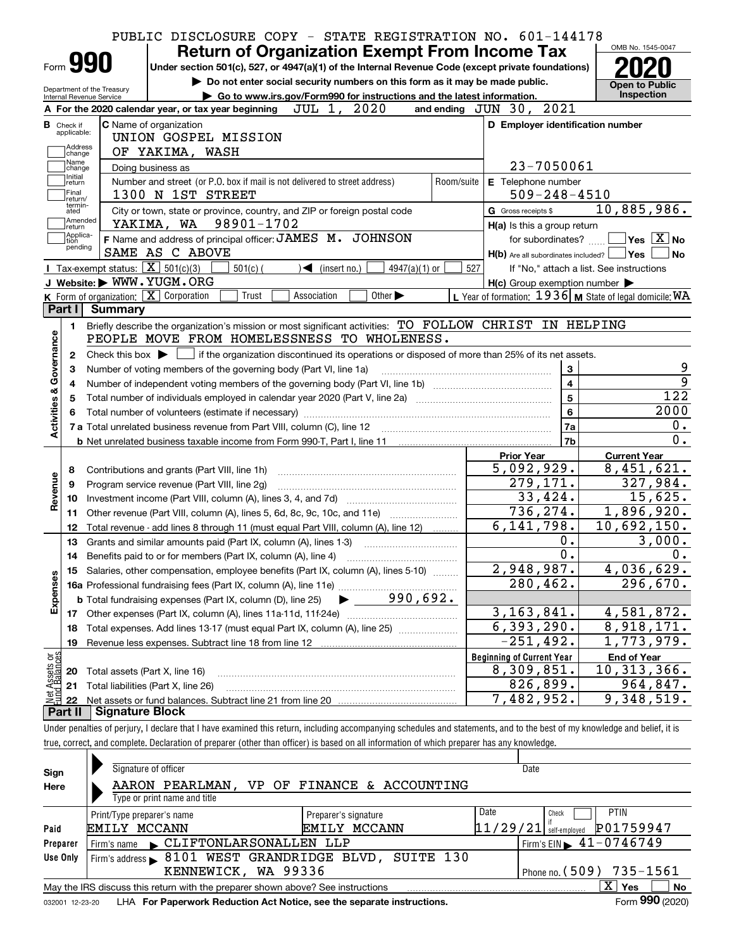|                                                                                                                        |                                                   | PUBLIC DISCLOSURE COPY - STATE REGISTRATION NO. 601-144178<br><b>Return of Organization Exempt From Income Tax</b>                                                         |                                  |                                                                                                                                                                                                                                                                                                                                                                                                                                                                                                                                                                               | OMB No. 1545-0047                      |
|------------------------------------------------------------------------------------------------------------------------|---------------------------------------------------|----------------------------------------------------------------------------------------------------------------------------------------------------------------------------|----------------------------------|-------------------------------------------------------------------------------------------------------------------------------------------------------------------------------------------------------------------------------------------------------------------------------------------------------------------------------------------------------------------------------------------------------------------------------------------------------------------------------------------------------------------------------------------------------------------------------|----------------------------------------|
|                                                                                                                        | Form <b>990</b>                                   | Under section 501(c), 527, or 4947(a)(1) of the Internal Revenue Code (except private foundations)                                                                         |                                  |                                                                                                                                                                                                                                                                                                                                                                                                                                                                                                                                                                               |                                        |
|                                                                                                                        | Department of the Treasury                        | Do not enter social security numbers on this form as it may be made public.                                                                                                |                                  |                                                                                                                                                                                                                                                                                                                                                                                                                                                                                                                                                                               | <b>Open to Public</b>                  |
|                                                                                                                        | Internal Revenue Service                          | Go to www.irs.gov/Form990 for instructions and the latest information.                                                                                                     |                                  |                                                                                                                                                                                                                                                                                                                                                                                                                                                                                                                                                                               | <b>Inspection</b>                      |
|                                                                                                                        |                                                   | 2020<br>JUL 1,<br>A For the 2020 calendar year, or tax year beginning                                                                                                      | and ending JUN 30, 2021          |                                                                                                                                                                                                                                                                                                                                                                                                                                                                                                                                                                               |                                        |
| <b>B</b> Check if<br>applicable:                                                                                       |                                                   | <b>C</b> Name of organization                                                                                                                                              |                                  | D Employer identification number                                                                                                                                                                                                                                                                                                                                                                                                                                                                                                                                              |                                        |
|                                                                                                                        | Address                                           | UNION GOSPEL MISSION                                                                                                                                                       |                                  |                                                                                                                                                                                                                                                                                                                                                                                                                                                                                                                                                                               |                                        |
| Name                                                                                                                   | change                                            | OF YAKIMA, WASH                                                                                                                                                            |                                  |                                                                                                                                                                                                                                                                                                                                                                                                                                                                                                                                                                               |                                        |
| Initial                                                                                                                | change                                            | Doing business as                                                                                                                                                          |                                  |                                                                                                                                                                                                                                                                                                                                                                                                                                                                                                                                                                               |                                        |
| return<br> Final                                                                                                       |                                                   | Number and street (or P.O. box if mail is not delivered to street address)<br>1300 N 1ST STREET                                                                            | Room/suite                       |                                                                                                                                                                                                                                                                                                                                                                                                                                                                                                                                                                               |                                        |
| return/<br>termin-                                                                                                     |                                                   |                                                                                                                                                                            |                                  |                                                                                                                                                                                                                                                                                                                                                                                                                                                                                                                                                                               | 10,885,986.                            |
| ated                                                                                                                   | Amended                                           | City or town, state or province, country, and ZIP or foreign postal code<br>YAKIMA, WA 98901-1702                                                                          |                                  |                                                                                                                                                                                                                                                                                                                                                                                                                                                                                                                                                                               |                                        |
| return]                                                                                                                | Applica-                                          | F Name and address of principal officer: JAMES M. JOHNSON                                                                                                                  |                                  |                                                                                                                                                                                                                                                                                                                                                                                                                                                                                                                                                                               | $\sqrt{}$ Yes $\sqrt{}$ X $\sqrt{}$ No |
| tion                                                                                                                   | pending                                           | SAME AS C ABOVE                                                                                                                                                            |                                  |                                                                                                                                                                                                                                                                                                                                                                                                                                                                                                                                                                               | l No                                   |
|                                                                                                                        | Tax-exempt status: $\boxed{\mathbf{X}}$ 501(c)(3) | $501(c)$ (<br>$\triangleleft$ (insert no.)<br>4947(a)(1) or                                                                                                                | 527                              |                                                                                                                                                                                                                                                                                                                                                                                                                                                                                                                                                                               |                                        |
|                                                                                                                        |                                                   | J Website: WWW.YUGM.ORG                                                                                                                                                    |                                  |                                                                                                                                                                                                                                                                                                                                                                                                                                                                                                                                                                               |                                        |
|                                                                                                                        | K Form of organization: $X$ Corporation           | Other $\blacktriangleright$<br>Trust<br>Association                                                                                                                        |                                  |                                                                                                                                                                                                                                                                                                                                                                                                                                                                                                                                                                               |                                        |
|                                                                                                                        | Part I Summary                                    |                                                                                                                                                                            |                                  |                                                                                                                                                                                                                                                                                                                                                                                                                                                                                                                                                                               |                                        |
|                                                                                                                        |                                                   | Briefly describe the organization's mission or most significant activities: TO FOLLOW CHRIST IN HELPING                                                                    |                                  |                                                                                                                                                                                                                                                                                                                                                                                                                                                                                                                                                                               |                                        |
|                                                                                                                        |                                                   | PEOPLE MOVE FROM HOMELESSNESS TO WHOLENESS.                                                                                                                                |                                  |                                                                                                                                                                                                                                                                                                                                                                                                                                                                                                                                                                               |                                        |
|                                                                                                                        |                                                   | Check this box $\blacktriangleright$ $\Box$ if the organization discontinued its operations or disposed of more than 25% of its net assets.                                |                                  |                                                                                                                                                                                                                                                                                                                                                                                                                                                                                                                                                                               |                                        |
| 1.<br>Activities & Governance<br>2<br>Number of voting members of the governing body (Part VI, line 1a)<br>з<br>4<br>5 |                                                   |                                                                                                                                                                            |                                  |                                                                                                                                                                                                                                                                                                                                                                                                                                                                                                                                                                               |                                        |
|                                                                                                                        |                                                   |                                                                                                                                                                            |                                  |                                                                                                                                                                                                                                                                                                                                                                                                                                                                                                                                                                               |                                        |
|                                                                                                                        |                                                   |                                                                                                                                                                            |                                  | 23-7050061<br>E Telephone number<br>$509 - 248 - 4510$<br>G Gross receipts \$<br>H(a) Is this a group return<br>for subordinates?<br>$H(b)$ Are all subordinates included? $\Box$ Yes  <br>If "No," attach a list. See instructions<br>$H(c)$ Group exemption number $\blacktriangleright$<br>L Year of formation: $1936$ M State of legal domicile: WA<br>3<br>$\overline{4}$<br>$5\phantom{a}$<br>6<br>7a<br>7b<br><b>Prior Year</b><br>5,092,929.<br>279,171.<br>33,424.<br>736,274.<br>6, 141, 798.<br>0.<br>0.<br>2,948,987.<br>280,462.<br>3, 163, 841.<br>6, 393, 290. | 122                                    |
|                                                                                                                        |                                                   |                                                                                                                                                                            |                                  |                                                                                                                                                                                                                                                                                                                                                                                                                                                                                                                                                                               | 2000                                   |
|                                                                                                                        |                                                   |                                                                                                                                                                            |                                  |                                                                                                                                                                                                                                                                                                                                                                                                                                                                                                                                                                               | 0.                                     |
|                                                                                                                        |                                                   |                                                                                                                                                                            |                                  |                                                                                                                                                                                                                                                                                                                                                                                                                                                                                                                                                                               | 0.                                     |
|                                                                                                                        |                                                   |                                                                                                                                                                            |                                  |                                                                                                                                                                                                                                                                                                                                                                                                                                                                                                                                                                               | <b>Current Year</b>                    |
| 8                                                                                                                      |                                                   | Contributions and grants (Part VIII, line 1h)                                                                                                                              |                                  |                                                                                                                                                                                                                                                                                                                                                                                                                                                                                                                                                                               | $\overline{8,451},621.$                |
| Revenue<br>9                                                                                                           |                                                   | Program service revenue (Part VIII, line 2g)                                                                                                                               |                                  |                                                                                                                                                                                                                                                                                                                                                                                                                                                                                                                                                                               | 327,984.                               |
| 10                                                                                                                     |                                                   |                                                                                                                                                                            |                                  |                                                                                                                                                                                                                                                                                                                                                                                                                                                                                                                                                                               | 15,625.                                |
| 11                                                                                                                     |                                                   | Other revenue (Part VIII, column (A), lines 5, 6d, 8c, 9c, 10c, and 11e)                                                                                                   |                                  |                                                                                                                                                                                                                                                                                                                                                                                                                                                                                                                                                                               | 1,896,920.                             |
| 12                                                                                                                     |                                                   | Total revenue - add lines 8 through 11 (must equal Part VIII, column (A), line 12)                                                                                         |                                  |                                                                                                                                                                                                                                                                                                                                                                                                                                                                                                                                                                               | 10,692,150.                            |
| 13                                                                                                                     |                                                   | Grants and similar amounts paid (Part IX, column (A), lines 1-3)                                                                                                           |                                  |                                                                                                                                                                                                                                                                                                                                                                                                                                                                                                                                                                               | 3,000.                                 |
| 14                                                                                                                     |                                                   |                                                                                                                                                                            |                                  |                                                                                                                                                                                                                                                                                                                                                                                                                                                                                                                                                                               | 0.                                     |
|                                                                                                                        |                                                   | 15 Salaries, other compensation, employee benefits (Part IX, column (A), lines 5-10)                                                                                       |                                  |                                                                                                                                                                                                                                                                                                                                                                                                                                                                                                                                                                               | 4,036,629.                             |
|                                                                                                                        |                                                   |                                                                                                                                                                            |                                  |                                                                                                                                                                                                                                                                                                                                                                                                                                                                                                                                                                               | 296,670.                               |
|                                                                                                                        |                                                   | 990,692.<br><b>b</b> Total fundraising expenses (Part IX, column (D), line 25)                                                                                             |                                  |                                                                                                                                                                                                                                                                                                                                                                                                                                                                                                                                                                               |                                        |
| Expenses<br>17                                                                                                         |                                                   |                                                                                                                                                                            |                                  |                                                                                                                                                                                                                                                                                                                                                                                                                                                                                                                                                                               | 4,581,872.                             |
| 18                                                                                                                     |                                                   | Total expenses. Add lines 13-17 (must equal Part IX, column (A), line 25)                                                                                                  |                                  |                                                                                                                                                                                                                                                                                                                                                                                                                                                                                                                                                                               | 8,918,171.                             |
| 19                                                                                                                     |                                                   | Revenue less expenses. Subtract line 18 from line 12                                                                                                                       |                                  | $-251, 492.$                                                                                                                                                                                                                                                                                                                                                                                                                                                                                                                                                                  | 1,773,979.                             |
|                                                                                                                        |                                                   |                                                                                                                                                                            | <b>Beginning of Current Year</b> |                                                                                                                                                                                                                                                                                                                                                                                                                                                                                                                                                                               | <b>End of Year</b>                     |
| 20                                                                                                                     |                                                   | Total assets (Part X, line 16)                                                                                                                                             |                                  | 8,309,851.                                                                                                                                                                                                                                                                                                                                                                                                                                                                                                                                                                    | 10, 313, 366.                          |
| t Assets or<br>d Balances<br>21                                                                                        |                                                   | Total liabilities (Part X, line 26)                                                                                                                                        |                                  | 826,899.                                                                                                                                                                                                                                                                                                                                                                                                                                                                                                                                                                      | 964,847.                               |
| 혏<br>22                                                                                                                |                                                   |                                                                                                                                                                            |                                  | 7,482,952.                                                                                                                                                                                                                                                                                                                                                                                                                                                                                                                                                                    | 9,348,519.                             |
| Part II                                                                                                                | <b>Signature Block</b>                            |                                                                                                                                                                            |                                  |                                                                                                                                                                                                                                                                                                                                                                                                                                                                                                                                                                               |                                        |
|                                                                                                                        |                                                   | Under penalties of perjury, I declare that I have examined this return, including accompanying schedules and statements, and to the best of my knowledge and belief, it is |                                  |                                                                                                                                                                                                                                                                                                                                                                                                                                                                                                                                                                               |                                        |
|                                                                                                                        |                                                   | true, correct, and complete. Declaration of preparer (other than officer) is based on all information of which preparer has any knowledge.                                 |                                  |                                                                                                                                                                                                                                                                                                                                                                                                                                                                                                                                                                               |                                        |
|                                                                                                                        |                                                   |                                                                                                                                                                            |                                  |                                                                                                                                                                                                                                                                                                                                                                                                                                                                                                                                                                               |                                        |
|                                                                                                                        |                                                   |                                                                                                                                                                            |                                  |                                                                                                                                                                                                                                                                                                                                                                                                                                                                                                                                                                               |                                        |

| Sign     | Signature of officer       |                              | AARON PEARLMAN, VP OF FINANCE & ACCOUNTING<br>CLIFTONLARSONALLEN LLP<br>Firm's address > 8101 WEST GRANDRIDGE BLVD, SUITE 130<br>KENNEWICK, WA 99336<br>May the IRS discuss this return with the preparer shown above? See instructions |  |                      |  |  | Date |          |  |               |                                             |      |
|----------|----------------------------|------------------------------|-----------------------------------------------------------------------------------------------------------------------------------------------------------------------------------------------------------------------------------------|--|----------------------|--|--|------|----------|--|---------------|---------------------------------------------|------|
| Here     |                            |                              |                                                                                                                                                                                                                                         |  |                      |  |  |      |          |  |               |                                             |      |
|          |                            | Type or print name and title |                                                                                                                                                                                                                                         |  |                      |  |  |      |          |  |               |                                             |      |
|          | Print/Type preparer's name |                              |                                                                                                                                                                                                                                         |  | Preparer's signature |  |  |      | Date     |  | Check         | <b>PTIN</b>                                 |      |
| Paid     | EMILY MCCANN               |                              |                                                                                                                                                                                                                                         |  | EMILY MCCANN         |  |  |      | 11/29/21 |  | self-emploved | P01759947                                   |      |
| Preparer | Firm's name                |                              |                                                                                                                                                                                                                                         |  |                      |  |  |      |          |  |               | Firm's EIN $\blacktriangleright$ 41-0746749 |      |
| Use Only |                            |                              |                                                                                                                                                                                                                                         |  |                      |  |  |      |          |  |               |                                             |      |
|          |                            |                              |                                                                                                                                                                                                                                         |  |                      |  |  |      |          |  |               | Phone no. $(509)$ 735-1561                  |      |
|          |                            |                              |                                                                                                                                                                                                                                         |  |                      |  |  |      |          |  |               | x<br>Yes                                    | No   |
|          |                            |                              |                                                                                                                                                                                                                                         |  |                      |  |  |      |          |  |               |                                             | nnn. |

032001 12-23-20 LHA **For Paperwork Reduction Act Notice, see the separate instructions. Form 990 (2020)** 

**990**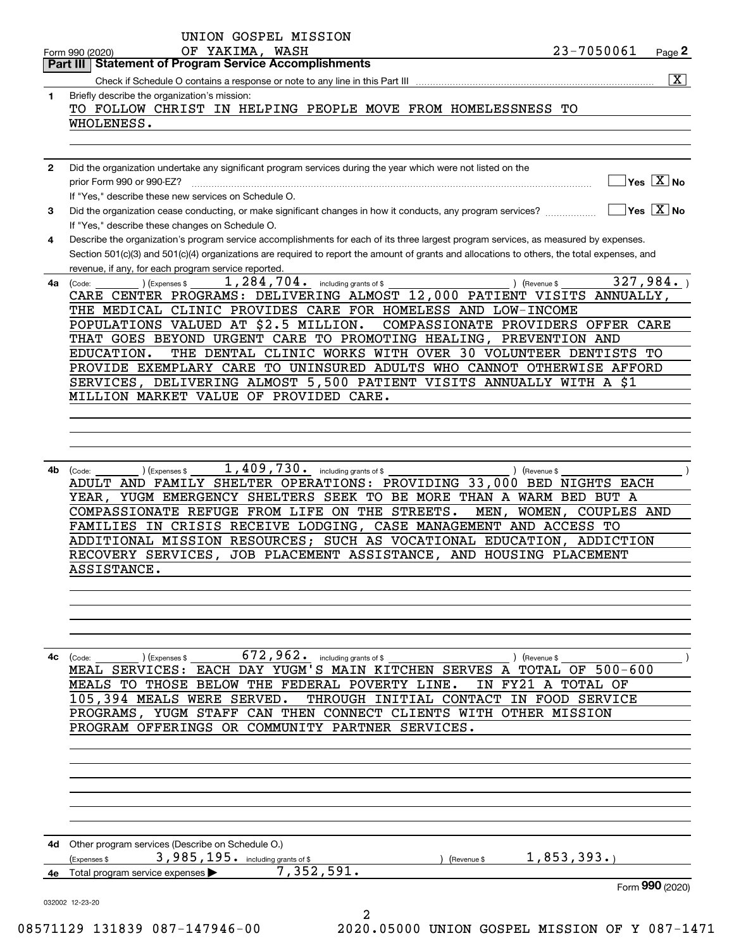|              | Page 2<br><b>Part III   Statement of Program Service Accomplishments</b>                                                                                         |
|--------------|------------------------------------------------------------------------------------------------------------------------------------------------------------------|
|              | $\overline{\mathbf{x}}$                                                                                                                                          |
| 1.           | Briefly describe the organization's mission:                                                                                                                     |
|              | TO FOLLOW CHRIST IN HELPING PEOPLE MOVE FROM HOMELESSNESS TO                                                                                                     |
|              | WHOLENESS.                                                                                                                                                       |
|              |                                                                                                                                                                  |
|              |                                                                                                                                                                  |
| $\mathbf{2}$ | Did the organization undertake any significant program services during the year which were not listed on the                                                     |
|              | $]$ Yes $[\overline{\mathrm{X}}]$ No<br>prior Form 990 or 990-EZ?                                                                                                |
|              | If "Yes," describe these new services on Schedule O.                                                                                                             |
| 3            | $\overline{\ }$ Yes $\overline{\phantom{a}X}$ No<br>Did the organization cease conducting, or make significant changes in how it conducts, any program services? |
|              | If "Yes," describe these changes on Schedule O.                                                                                                                  |
| 4            | Describe the organization's program service accomplishments for each of its three largest program services, as measured by expenses.                             |
|              | Section 501(c)(3) and 501(c)(4) organizations are required to report the amount of grants and allocations to others, the total expenses, and                     |
|              | revenue, if any, for each program service reported.                                                                                                              |
| 4a           | $1,284,704$ $\cdot$ including grants of \$<br>327,984.<br>(Expenses \$<br>) (Revenue \$<br>(Code:                                                                |
|              | CARE CENTER PROGRAMS: DELIVERING ALMOST 12,000 PATIENT VISITS ANNUALLY,                                                                                          |
|              | THE MEDICAL CLINIC PROVIDES CARE FOR HOMELESS AND LOW-INCOME                                                                                                     |
|              | POPULATIONS VALUED AT \$2.5 MILLION.<br>COMPASSIONATE PROVIDERS OFFER CARE                                                                                       |
|              | THAT GOES BEYOND URGENT CARE TO PROMOTING HEALING, PREVENTION AND                                                                                                |
|              | EDUCATION.<br>THE DENTAL CLINIC WORKS WITH OVER 30 VOLUNTEER DENTISTS TO                                                                                         |
|              | PROVIDE EXEMPLARY CARE TO UNINSURED ADULTS WHO CANNOT OTHERWISE AFFORD                                                                                           |
|              | SERVICES, DELIVERING ALMOST 5,500 PATIENT VISITS ANNUALLY WITH A \$1                                                                                             |
|              | MILLION MARKET VALUE OF PROVIDED CARE.                                                                                                                           |
|              |                                                                                                                                                                  |
|              |                                                                                                                                                                  |
|              |                                                                                                                                                                  |
|              |                                                                                                                                                                  |
| 4b           | 1, 409, 730. including grants of \$<br>(Expenses \$<br>(Code:<br>) (Revenue \$                                                                                   |
|              | ADULT AND FAMILY SHELTER OPERATIONS: PROVIDING 33,000 BED NIGHTS EACH                                                                                            |
|              | YEAR, YUGM EMERGENCY SHELTERS SEEK TO BE MORE THAN A WARM BED BUT A                                                                                              |
|              | COMPASSIONATE REFUGE FROM LIFE ON THE STREETS.<br>MEN, WOMEN, COUPLES AND                                                                                        |
|              | FAMILIES IN CRISIS RECEIVE LODGING, CASE MANAGEMENT AND ACCESS TO                                                                                                |
|              | ADDITIONAL MISSION RESOURCES; SUCH AS VOCATIONAL EDUCATION, ADDICTION                                                                                            |
|              | RECOVERY SERVICES, JOB PLACEMENT ASSISTANCE, AND HOUSING PLACEMENT<br>ASSISTANCE.                                                                                |
|              |                                                                                                                                                                  |
|              |                                                                                                                                                                  |
|              |                                                                                                                                                                  |
|              |                                                                                                                                                                  |
|              |                                                                                                                                                                  |
|              | 672,962.                                                                                                                                                         |
| 4c           | (Expenses \$<br>including grants of \$<br>(Revenue \$<br>(Code:<br>MEAL SERVICES: EACH DAY YUGM'S MAIN KITCHEN SERVES A<br><b>TOTAL OF 500-600</b>               |
|              | BELOW THE FEDERAL POVERTY LINE.<br>IN<br>FY21<br>A TOTAL OF<br>MEALS TO THOSE                                                                                    |
|              | THROUGH INITIAL CONTACT IN FOOD SERVICE<br>105,394 MEALS WERE SERVED.                                                                                            |
|              | PROGRAMS, YUGM STAFF CAN THEN CONNECT CLIENTS WITH OTHER MISSION                                                                                                 |
|              | PROGRAM OFFERINGS OR COMMUNITY PARTNER SERVICES.                                                                                                                 |
|              |                                                                                                                                                                  |
|              |                                                                                                                                                                  |
|              |                                                                                                                                                                  |
|              |                                                                                                                                                                  |
|              |                                                                                                                                                                  |
|              |                                                                                                                                                                  |
|              |                                                                                                                                                                  |
|              | 4d Other program services (Describe on Schedule O.)                                                                                                              |
|              | 1,853,393.<br>3,985,195. including grants of \$<br>Expenses \$<br>(Revenue \$                                                                                    |
|              | 7,352,591.<br>Total program service expenses                                                                                                                     |
|              |                                                                                                                                                                  |
|              | Form 990 (2020)                                                                                                                                                  |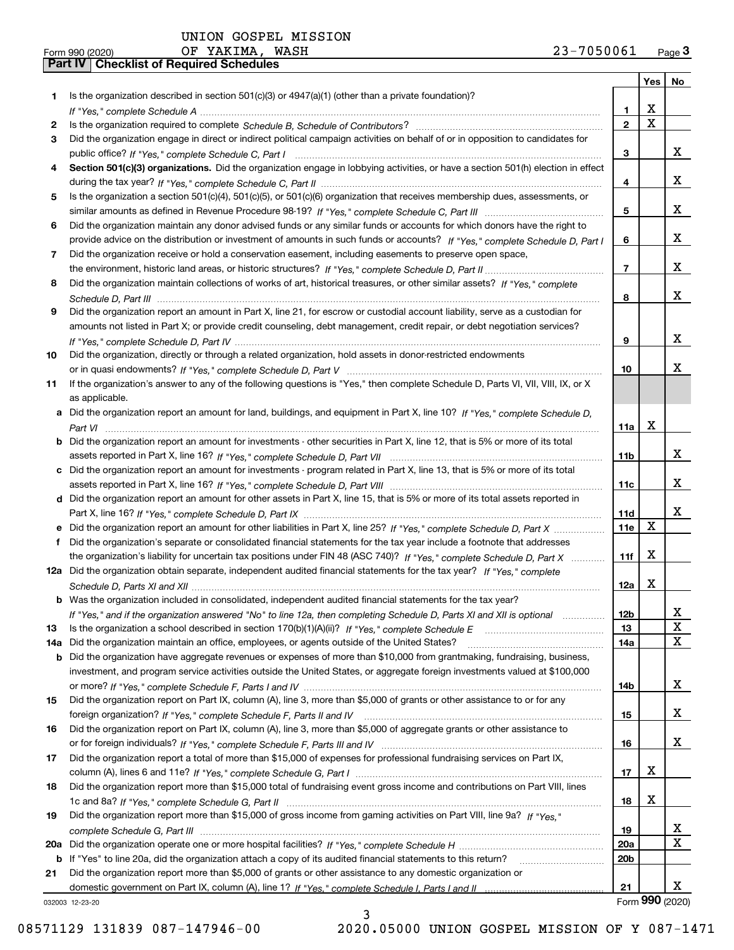|     | 23-7050061<br>OF YAKIMA, WASH<br>Form 990 (2020)                                                                                      |                 |                         | Page <sub>3</sub> |
|-----|---------------------------------------------------------------------------------------------------------------------------------------|-----------------|-------------------------|-------------------|
|     | Part IV   Checklist of Required Schedules                                                                                             |                 |                         |                   |
|     |                                                                                                                                       |                 |                         | Yes   No          |
| 1.  | Is the organization described in section $501(c)(3)$ or $4947(a)(1)$ (other than a private foundation)?                               |                 |                         |                   |
|     |                                                                                                                                       | 1.              | х                       |                   |
| 2   |                                                                                                                                       | $\mathbf{2}$    | $\overline{\mathbf{x}}$ |                   |
| 3   | Did the organization engage in direct or indirect political campaign activities on behalf of or in opposition to candidates for       |                 |                         |                   |
|     |                                                                                                                                       | 3               |                         | X                 |
| 4   | Section 501(c)(3) organizations. Did the organization engage in lobbying activities, or have a section 501(h) election in effect      |                 |                         |                   |
|     |                                                                                                                                       | 4               |                         | x                 |
| 5   | Is the organization a section 501(c)(4), 501(c)(5), or 501(c)(6) organization that receives membership dues, assessments, or          |                 |                         |                   |
|     |                                                                                                                                       | 5               |                         | x                 |
| 6   | Did the organization maintain any donor advised funds or any similar funds or accounts for which donors have the right to             |                 |                         |                   |
|     | provide advice on the distribution or investment of amounts in such funds or accounts? If "Yes," complete Schedule D, Part I          | 6               |                         | x                 |
| 7   | Did the organization receive or hold a conservation easement, including easements to preserve open space,                             |                 |                         |                   |
|     |                                                                                                                                       | $\overline{7}$  |                         | x                 |
| 8   | Did the organization maintain collections of works of art, historical treasures, or other similar assets? If "Yes," complete          |                 |                         |                   |
|     |                                                                                                                                       | 8               |                         | x                 |
| 9   | Did the organization report an amount in Part X, line 21, for escrow or custodial account liability, serve as a custodian for         |                 |                         |                   |
|     | amounts not listed in Part X; or provide credit counseling, debt management, credit repair, or debt negotiation services?             |                 |                         |                   |
|     |                                                                                                                                       | 9               |                         | x                 |
| 10  | Did the organization, directly or through a related organization, hold assets in donor-restricted endowments                          |                 |                         |                   |
|     |                                                                                                                                       | 10              |                         | x                 |
| 11  | If the organization's answer to any of the following questions is "Yes," then complete Schedule D, Parts VI, VII, VIII, IX, or X      |                 |                         |                   |
|     | as applicable.                                                                                                                        |                 |                         |                   |
|     | a Did the organization report an amount for land, buildings, and equipment in Part X, line 10? If "Yes," complete Schedule D,         |                 |                         |                   |
|     |                                                                                                                                       | 11a             | х                       |                   |
|     | <b>b</b> Did the organization report an amount for investments - other securities in Part X, line 12, that is 5% or more of its total |                 |                         |                   |
|     |                                                                                                                                       | 11 <sub>b</sub> |                         | x                 |
|     | c Did the organization report an amount for investments - program related in Part X, line 13, that is 5% or more of its total         |                 |                         |                   |
|     |                                                                                                                                       | 11c             |                         | x                 |
|     | d Did the organization report an amount for other assets in Part X, line 15, that is 5% or more of its total assets reported in       |                 |                         |                   |
|     |                                                                                                                                       | 11d             |                         | X                 |
|     | e Did the organization report an amount for other liabilities in Part X, line 25? If "Yes," complete Schedule D, Part X               | <b>11e</b>      | X                       |                   |
| f   | Did the organization's separate or consolidated financial statements for the tax year include a footnote that addresses               |                 |                         |                   |
|     | the organization's liability for uncertain tax positions under FIN 48 (ASC 740)? If "Yes," complete Schedule D, Part X                | 11f             | х                       |                   |
|     | 12a Did the organization obtain separate, independent audited financial statements for the tax year? If "Yes." complete               |                 |                         |                   |
|     |                                                                                                                                       | 12a             | X                       |                   |
|     | <b>b</b> Was the organization included in consolidated, independent audited financial statements for the tax year?                    |                 |                         |                   |
|     | If "Yes," and if the organization answered "No" to line 12a, then completing Schedule D, Parts XI and XII is optional                 | <b>12b</b>      |                         | x                 |
| 13  |                                                                                                                                       | 13              |                         | X                 |
| 14a | Did the organization maintain an office, employees, or agents outside of the United States?                                           | 14a             |                         | X                 |
|     | <b>b</b> Did the organization have aggregate revenues or expenses of more than \$10,000 from grantmaking, fundraising, business,      |                 |                         |                   |
|     | investment, and program service activities outside the United States, or aggregate foreign investments valued at \$100,000            |                 |                         |                   |
|     |                                                                                                                                       | 14b             |                         | x                 |
| 15  | Did the organization report on Part IX, column (A), line 3, more than \$5,000 of grants or other assistance to or for any             |                 |                         |                   |
|     |                                                                                                                                       | 15              |                         | x                 |
| 16  | Did the organization report on Part IX, column (A), line 3, more than \$5,000 of aggregate grants or other assistance to              |                 |                         |                   |
|     |                                                                                                                                       | 16              |                         | x                 |
| 17  | Did the organization report a total of more than \$15,000 of expenses for professional fundraising services on Part IX,               |                 |                         |                   |
|     |                                                                                                                                       | 17              | х                       |                   |
| 18  | Did the organization report more than \$15,000 total of fundraising event gross income and contributions on Part VIII, lines          |                 |                         |                   |
|     |                                                                                                                                       | 18              | х                       |                   |
| 19  | Did the organization report more than \$15,000 of gross income from gaming activities on Part VIII, line 9a? If "Yes."                |                 |                         |                   |
|     |                                                                                                                                       | 19              |                         | X.                |
|     |                                                                                                                                       | 20a             |                         | X                 |
|     |                                                                                                                                       | 20 <sub>b</sub> |                         |                   |
| 21  | Did the organization report more than \$5,000 of grants or other assistance to any domestic organization or                           |                 |                         |                   |
|     |                                                                                                                                       | 21              |                         | x                 |
|     | 032003 12-23-20                                                                                                                       |                 |                         | Form 990 (2020)   |

3

032003 12-23-20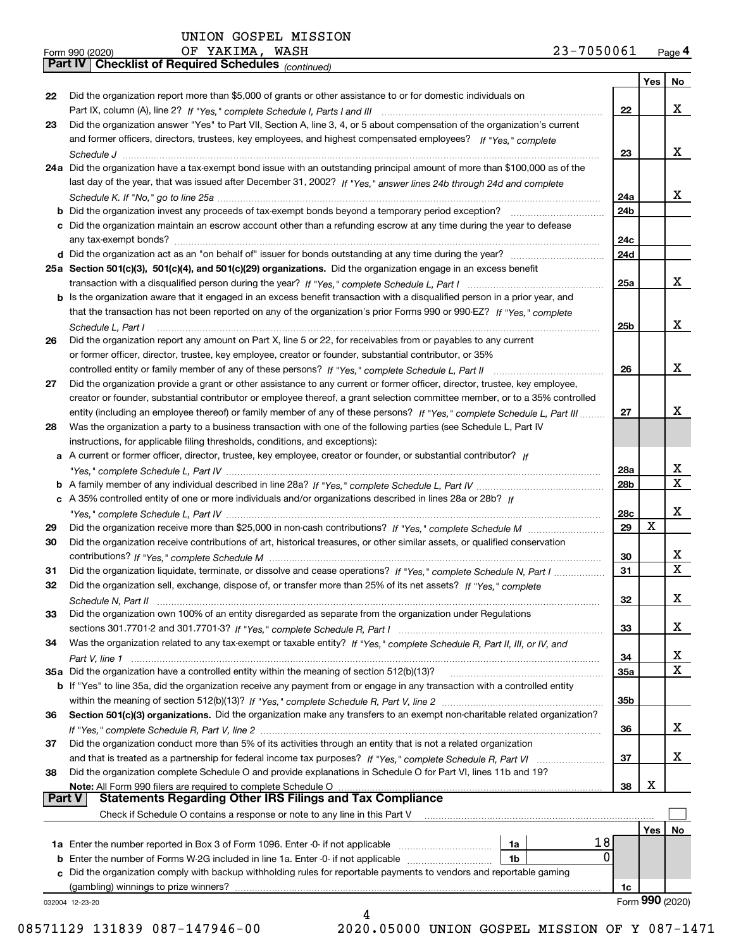|               | 23-7050061<br>OF YAKIMA, WASH<br>Form 990 (2020)                                                                             |            |                 | Page 4      |
|---------------|------------------------------------------------------------------------------------------------------------------------------|------------|-----------------|-------------|
|               | Part IV   Checklist of Required Schedules (continued)                                                                        |            |                 |             |
|               |                                                                                                                              |            | Yes             | No          |
| 22            | Did the organization report more than \$5,000 of grants or other assistance to or for domestic individuals on                |            |                 |             |
|               |                                                                                                                              | 22         |                 | X           |
| 23            | Did the organization answer "Yes" to Part VII, Section A, line 3, 4, or 5 about compensation of the organization's current   |            |                 |             |
|               | and former officers, directors, trustees, key employees, and highest compensated employees? If "Yes," complete               |            |                 |             |
|               |                                                                                                                              | 23         |                 | x           |
|               | 24a Did the organization have a tax-exempt bond issue with an outstanding principal amount of more than \$100,000 as of the  |            |                 |             |
|               | last day of the year, that was issued after December 31, 2002? If "Yes," answer lines 24b through 24d and complete           |            |                 |             |
|               |                                                                                                                              | 24a        |                 | x           |
|               |                                                                                                                              | 24b        |                 |             |
|               | c Did the organization maintain an escrow account other than a refunding escrow at any time during the year to defease       |            |                 |             |
|               |                                                                                                                              | 24c        |                 |             |
|               |                                                                                                                              | 24d        |                 |             |
|               | 25a Section 501(c)(3), 501(c)(4), and 501(c)(29) organizations. Did the organization engage in an excess benefit             |            |                 |             |
|               |                                                                                                                              | 25a        |                 | x           |
|               | b Is the organization aware that it engaged in an excess benefit transaction with a disqualified person in a prior year, and |            |                 |             |
|               | that the transaction has not been reported on any of the organization's prior Forms 990 or 990-EZ? If "Yes," complete        |            |                 |             |
|               | Schedule L, Part I                                                                                                           | 25b        |                 | X           |
| 26            | Did the organization report any amount on Part X, line 5 or 22, for receivables from or payables to any current              |            |                 |             |
|               | or former officer, director, trustee, key employee, creator or founder, substantial contributor, or 35%                      |            |                 |             |
|               |                                                                                                                              | 26         |                 | X           |
| 27            | Did the organization provide a grant or other assistance to any current or former officer, director, trustee, key employee,  |            |                 |             |
|               | creator or founder, substantial contributor or employee thereof, a grant selection committee member, or to a 35% controlled  |            |                 |             |
|               | entity (including an employee thereof) or family member of any of these persons? If "Yes," complete Schedule L, Part III     | 27         |                 | X           |
| 28            | Was the organization a party to a business transaction with one of the following parties (see Schedule L, Part IV            |            |                 |             |
|               | instructions, for applicable filing thresholds, conditions, and exceptions):                                                 |            |                 |             |
|               | a A current or former officer, director, trustee, key employee, creator or founder, or substantial contributor? If           |            |                 |             |
|               |                                                                                                                              | 28a        |                 | х           |
|               |                                                                                                                              | 28b        |                 | X           |
|               | c A 35% controlled entity of one or more individuals and/or organizations described in lines 28a or 28b? If                  |            |                 |             |
|               |                                                                                                                              | 28c        |                 | X           |
| 29            |                                                                                                                              | 29         | X               |             |
| 30            | Did the organization receive contributions of art, historical treasures, or other similar assets, or qualified conservation  |            |                 |             |
|               |                                                                                                                              | 30         |                 | х           |
| 31            | Did the organization liquidate, terminate, or dissolve and cease operations? If "Yes," complete Schedule N, Part I           | 31         |                 | $\mathbf X$ |
|               | Did the organization sell, exchange, dispose of, or transfer more than 25% of its net assets? If "Yes," complete             |            |                 |             |
|               |                                                                                                                              | 32         |                 | X           |
| 33            | Did the organization own 100% of an entity disregarded as separate from the organization under Regulations                   |            |                 |             |
|               |                                                                                                                              | 33         |                 | х           |
| 34            | Was the organization related to any tax-exempt or taxable entity? If "Yes," complete Schedule R, Part II, III, or IV, and    |            |                 |             |
|               |                                                                                                                              | 34         |                 | х           |
|               | 35a Did the organization have a controlled entity within the meaning of section 512(b)(13)?                                  | <b>35a</b> |                 | X           |
|               | b If "Yes" to line 35a, did the organization receive any payment from or engage in any transaction with a controlled entity  |            |                 |             |
|               |                                                                                                                              | 35b        |                 |             |
| 36            | Section 501(c)(3) organizations. Did the organization make any transfers to an exempt non-charitable related organization?   |            |                 |             |
|               |                                                                                                                              | 36         |                 | X           |
| 37            | Did the organization conduct more than 5% of its activities through an entity that is not a related organization             |            |                 |             |
|               |                                                                                                                              | 37         |                 | х           |
| 38            | Did the organization complete Schedule O and provide explanations in Schedule O for Part VI, lines 11b and 19?               |            |                 |             |
|               | Note: All Form 990 filers are required to complete Schedule O                                                                | 38         | х               |             |
| <b>Part V</b> | <b>Statements Regarding Other IRS Filings and Tax Compliance</b>                                                             |            |                 |             |
|               | Check if Schedule O contains a response or note to any line in this Part V                                                   |            |                 |             |
|               |                                                                                                                              |            | Yes             | No          |
|               | 1a                                                                                                                           | 18         |                 |             |
|               | <b>b</b> Enter the number of Forms W-2G included in line 1a. Enter -0- if not applicable <i>manumumumum</i><br>1b            | 0          |                 |             |
|               | c Did the organization comply with backup withholding rules for reportable payments to vendors and reportable gaming         |            |                 |             |
|               |                                                                                                                              | 1c         |                 |             |
|               | 032004 12-23-20                                                                                                              |            | Form 990 (2020) |             |
|               | 4                                                                                                                            |            |                 |             |

 <sup>08571129 131839 087-147946-00 2020.05000</sup> UNION GOSPEL MISSION OF Y 087-1471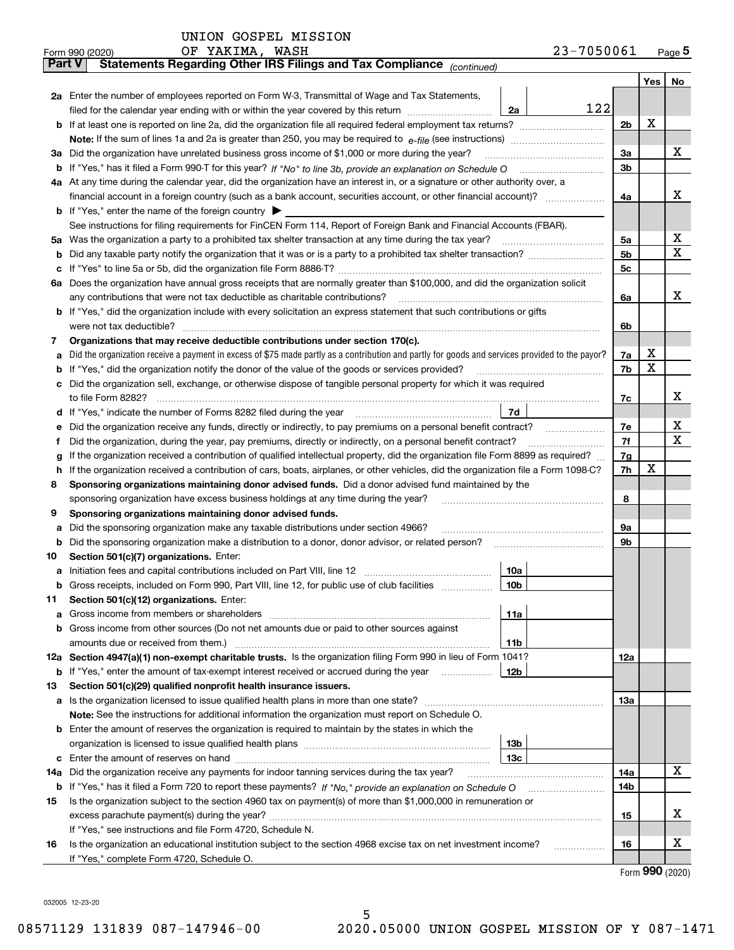| 23-7050061 | Page $5$ |
|------------|----------|
|------------|----------|

|               | 23-7050061<br>OF YAKIMA, WASH<br>Form 990 (2020)                                                                                                                                                                                     |                |     | $_{\text{Page}}$ 5    |
|---------------|--------------------------------------------------------------------------------------------------------------------------------------------------------------------------------------------------------------------------------------|----------------|-----|-----------------------|
| <b>Part V</b> | Statements Regarding Other IRS Filings and Tax Compliance (continued)                                                                                                                                                                |                |     |                       |
|               |                                                                                                                                                                                                                                      |                | Yes | No                    |
|               | 2a Enter the number of employees reported on Form W-3, Transmittal of Wage and Tax Statements,                                                                                                                                       |                |     |                       |
|               | 122<br>filed for the calendar year ending with or within the year covered by this return<br>2a                                                                                                                                       |                |     |                       |
|               |                                                                                                                                                                                                                                      | 2b             | х   |                       |
|               |                                                                                                                                                                                                                                      |                |     |                       |
|               | 3a Did the organization have unrelated business gross income of \$1,000 or more during the year?                                                                                                                                     | 3a             |     | х                     |
|               |                                                                                                                                                                                                                                      | 3b             |     |                       |
|               | 4a At any time during the calendar year, did the organization have an interest in, or a signature or other authority over, a                                                                                                         |                |     |                       |
|               | financial account in a foreign country (such as a bank account, securities account, or other financial account)?                                                                                                                     | 4a             |     | х                     |
|               | <b>b</b> If "Yes," enter the name of the foreign country $\blacktriangleright$                                                                                                                                                       |                |     |                       |
|               | See instructions for filing requirements for FinCEN Form 114, Report of Foreign Bank and Financial Accounts (FBAR).                                                                                                                  |                |     |                       |
|               | 5a Was the organization a party to a prohibited tax shelter transaction at any time during the tax year?                                                                                                                             | 5a             |     | х                     |
| b             |                                                                                                                                                                                                                                      | 5 <sub>b</sub> |     | х                     |
| c             |                                                                                                                                                                                                                                      | 5c             |     |                       |
|               | 6a Does the organization have annual gross receipts that are normally greater than \$100,000, and did the organization solicit                                                                                                       |                |     |                       |
|               | any contributions that were not tax deductible as charitable contributions?                                                                                                                                                          | 6a             |     | х                     |
|               | <b>b</b> If "Yes," did the organization include with every solicitation an express statement that such contributions or gifts                                                                                                        |                |     |                       |
|               | were not tax deductible?                                                                                                                                                                                                             | 6b             |     |                       |
| 7             | Organizations that may receive deductible contributions under section 170(c).                                                                                                                                                        |                |     |                       |
| а             | Did the organization receive a payment in excess of \$75 made partly as a contribution and partly for goods and services provided to the payor?                                                                                      | 7a             | x   |                       |
| b             | If "Yes," did the organization notify the donor of the value of the goods or services provided?                                                                                                                                      | 7b             | X   |                       |
|               | c Did the organization sell, exchange, or otherwise dispose of tangible personal property for which it was required                                                                                                                  |                |     |                       |
|               |                                                                                                                                                                                                                                      | 7c             |     | х                     |
|               | 7d<br>d If "Yes," indicate the number of Forms 8282 filed during the year [11] [11] The summinimum minimum in the summinimum of the summinimum in the summinimum in the summinimum in the summinimum of the summinimum in the summin |                |     |                       |
| е             | Did the organization receive any funds, directly or indirectly, to pay premiums on a personal benefit contract?                                                                                                                      | 7e             |     | х                     |
| f             | Did the organization, during the year, pay premiums, directly or indirectly, on a personal benefit contract?                                                                                                                         | 7f             |     | х                     |
| g             | If the organization received a contribution of qualified intellectual property, did the organization file Form 8899 as required?                                                                                                     | 7g             |     |                       |
| h.            | If the organization received a contribution of cars, boats, airplanes, or other vehicles, did the organization file a Form 1098-C?                                                                                                   | 7h             | x   |                       |
| 8             | Sponsoring organizations maintaining donor advised funds. Did a donor advised fund maintained by the                                                                                                                                 |                |     |                       |
|               | sponsoring organization have excess business holdings at any time during the year?                                                                                                                                                   | 8              |     |                       |
| 9             | Sponsoring organizations maintaining donor advised funds.                                                                                                                                                                            |                |     |                       |
| а             | Did the sponsoring organization make any taxable distributions under section 4966?                                                                                                                                                   | 9а             |     |                       |
| b             | Did the sponsoring organization make a distribution to a donor, donor advisor, or related person?                                                                                                                                    | 9b             |     |                       |
| 10            | Section 501(c)(7) organizations. Enter:                                                                                                                                                                                              |                |     |                       |
|               | 10a                                                                                                                                                                                                                                  |                |     |                       |
|               |                                                                                                                                                                                                                                      |                |     |                       |
| 11            | Section 501(c)(12) organizations. Enter:                                                                                                                                                                                             |                |     |                       |
| a             | 11a                                                                                                                                                                                                                                  |                |     |                       |
|               | b Gross income from other sources (Do not net amounts due or paid to other sources against                                                                                                                                           |                |     |                       |
|               | 11b                                                                                                                                                                                                                                  |                |     |                       |
|               | 12a Section 4947(a)(1) non-exempt charitable trusts. Is the organization filing Form 990 in lieu of Form 1041?                                                                                                                       | <b>12a</b>     |     |                       |
|               | 12b<br><b>b</b> If "Yes," enter the amount of tax-exempt interest received or accrued during the year                                                                                                                                |                |     |                       |
| 13            | Section 501(c)(29) qualified nonprofit health insurance issuers.                                                                                                                                                                     |                |     |                       |
|               | a Is the organization licensed to issue qualified health plans in more than one state?                                                                                                                                               | <b>13a</b>     |     |                       |
|               | Note: See the instructions for additional information the organization must report on Schedule O.                                                                                                                                    |                |     |                       |
|               | <b>b</b> Enter the amount of reserves the organization is required to maintain by the states in which the                                                                                                                            |                |     |                       |
|               | 13b                                                                                                                                                                                                                                  |                |     |                       |
|               | 13с                                                                                                                                                                                                                                  |                |     |                       |
| 14a           | Did the organization receive any payments for indoor tanning services during the tax year?                                                                                                                                           | 14a            |     | x                     |
| b             |                                                                                                                                                                                                                                      | 14b            |     |                       |
| 15            | Is the organization subject to the section 4960 tax on payment(s) of more than \$1,000,000 in remuneration or                                                                                                                        |                |     |                       |
|               |                                                                                                                                                                                                                                      | 15             |     | x                     |
|               | If "Yes," see instructions and file Form 4720, Schedule N.                                                                                                                                                                           |                |     |                       |
| 16            | Is the organization an educational institution subject to the section 4968 excise tax on net investment income?                                                                                                                      | 16             |     | х                     |
|               | If "Yes," complete Form 4720, Schedule O.                                                                                                                                                                                            |                |     |                       |
|               |                                                                                                                                                                                                                                      |                |     | $000 \; \text{const}$ |

Form (2020) **990**

032005 12-23-20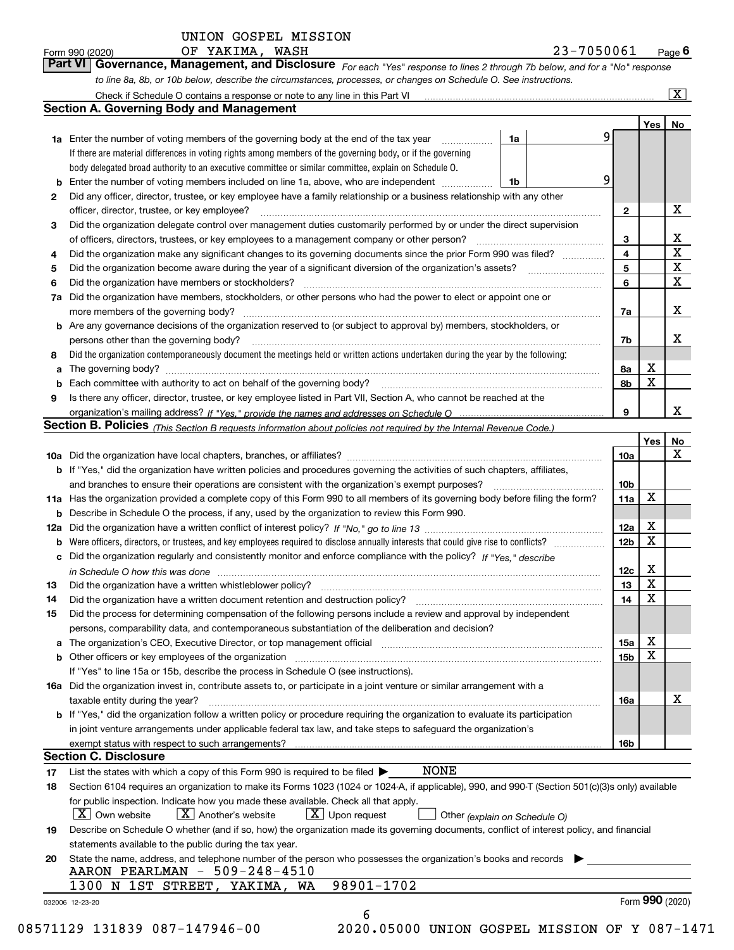| OF | YAKIMA. | W7 |
|----|---------|----|
|----|---------|----|

| Form 990 (2020) | OF YAKIMA, | WASH | 23-7050061                                                                                                                  | $P$ <sub>age</sub> 6 |
|-----------------|------------|------|-----------------------------------------------------------------------------------------------------------------------------|----------------------|
|                 |            |      | Part VI Governance, Management, and Disclosure For each "Yes" response to lines 2 through 7b below, and for a "No" response |                      |
|                 |            |      | to line 8a, 8b, or 10b below, describe the circumstances, processes, or changes on Schedule O. See instructions.            |                      |

|    |                                                                                                                                                                               |    |              | Yes | No                      |
|----|-------------------------------------------------------------------------------------------------------------------------------------------------------------------------------|----|--------------|-----|-------------------------|
|    | <b>1a</b> Enter the number of voting members of the governing body at the end of the tax year <i>manumum</i>                                                                  | 1a | 9            |     |                         |
|    | If there are material differences in voting rights among members of the governing body, or if the governing                                                                   |    |              |     |                         |
|    | body delegated broad authority to an executive committee or similar committee, explain on Schedule O.                                                                         |    |              |     |                         |
| b  | Enter the number of voting members included on line 1a, above, who are independent                                                                                            | 1b | 9            |     |                         |
| 2  | Did any officer, director, trustee, or key employee have a family relationship or a business relationship with any other                                                      |    |              |     |                         |
|    | officer, director, trustee, or key employee?                                                                                                                                  |    | $\mathbf{2}$ |     | X                       |
| 3  | Did the organization delegate control over management duties customarily performed by or under the direct supervision                                                         |    |              |     |                         |
|    |                                                                                                                                                                               |    | 3            |     | X                       |
| 4  | Did the organization make any significant changes to its governing documents since the prior Form 990 was filed?                                                              |    | 4            |     | $\overline{\mathbf{x}}$ |
| 5  |                                                                                                                                                                               |    | 5            |     | $\mathbf X$             |
| 6  | Did the organization have members or stockholders?                                                                                                                            |    | 6            |     | $\mathbf X$             |
| 7a | Did the organization have members, stockholders, or other persons who had the power to elect or appoint one or                                                                |    |              |     |                         |
|    |                                                                                                                                                                               |    |              |     | X                       |
|    | <b>b</b> Are any governance decisions of the organization reserved to (or subject to approval by) members, stockholders, or                                                   |    | 7a           |     |                         |
|    |                                                                                                                                                                               |    |              |     | X                       |
|    | persons other than the governing body?                                                                                                                                        |    | 7b           |     |                         |
| 8  | Did the organization contemporaneously document the meetings held or written actions undertaken during the year by the following:                                             |    |              |     |                         |
| а  |                                                                                                                                                                               |    | 8a           | X   |                         |
| b  |                                                                                                                                                                               |    | 8b           | X   |                         |
| 9  | Is there any officer, director, trustee, or key employee listed in Part VII, Section A, who cannot be reached at the                                                          |    |              |     |                         |
|    |                                                                                                                                                                               |    | 9            |     | х                       |
|    | Section B. Policies (This Section B requests information about policies not required by the Internal Revenue Code.)                                                           |    |              |     |                         |
|    |                                                                                                                                                                               |    |              | Yes | No                      |
|    |                                                                                                                                                                               |    | 10a          |     | X                       |
|    | <b>b</b> If "Yes," did the organization have written policies and procedures governing the activities of such chapters, affiliates,                                           |    |              |     |                         |
|    |                                                                                                                                                                               |    | 10b          |     |                         |
|    | 11a Has the organization provided a complete copy of this Form 990 to all members of its governing body before filing the form?                                               |    | 11a          | X   |                         |
|    | <b>b</b> Describe in Schedule O the process, if any, used by the organization to review this Form 990.                                                                        |    |              |     |                         |
|    |                                                                                                                                                                               |    | 12a          | X   |                         |
| b  |                                                                                                                                                                               |    | 12b          | X   |                         |
| c  | Did the organization regularly and consistently monitor and enforce compliance with the policy? If "Yes," describe                                                            |    |              |     |                         |
|    | in Schedule O how this was done manufactured and contact the state of the state of the state of the state of t                                                                |    | 12c          | X   |                         |
| 13 |                                                                                                                                                                               |    | 13           | X   |                         |
| 14 | Did the organization have a written document retention and destruction policy? manufactured and the organization have a written document retention and destruction policy?    |    | 14           | X   |                         |
| 15 | Did the process for determining compensation of the following persons include a review and approval by independent                                                            |    |              |     |                         |
|    | persons, comparability data, and contemporaneous substantiation of the deliberation and decision?                                                                             |    |              |     |                         |
| a  | The organization's CEO, Executive Director, or top management official manufactured content content of the organization's CEO, Executive Director, or top management official |    | 15a          | X   |                         |
|    | <b>b</b> Other officers or key employees of the organization                                                                                                                  |    | 15b          | X   |                         |
|    |                                                                                                                                                                               |    |              |     |                         |
|    | If "Yes" to line 15a or 15b, describe the process in Schedule O (see instructions).                                                                                           |    |              |     |                         |
|    | 16a Did the organization invest in, contribute assets to, or participate in a joint venture or similar arrangement with a                                                     |    |              |     | X                       |
|    | taxable entity during the year?                                                                                                                                               |    | 16a          |     |                         |
|    | b If "Yes," did the organization follow a written policy or procedure requiring the organization to evaluate its participation                                                |    |              |     |                         |
|    | in joint venture arrangements under applicable federal tax law, and take steps to safeguard the organization's                                                                |    |              |     |                         |
|    | exempt status with respect to such arrangements?                                                                                                                              |    | 16b          |     |                         |
|    | <b>Section C. Disclosure</b>                                                                                                                                                  |    |              |     |                         |
| 17 | <b>NONE</b><br>List the states with which a copy of this Form 990 is required to be filed $\blacktriangleright$                                                               |    |              |     |                         |
| 18 | Section 6104 requires an organization to make its Forms 1023 (1024 or 1024-A, if applicable), 990, and 990-T (Section 501(c)(3)s only) available                              |    |              |     |                         |
|    | for public inspection. Indicate how you made these available. Check all that apply.                                                                                           |    |              |     |                         |
|    | $\boxed{\textbf{X}}$ Another's website<br>$X$ Upon request<br>  X   Own website<br>Other (explain on Schedule O)                                                              |    |              |     |                         |
| 19 | Describe on Schedule O whether (and if so, how) the organization made its governing documents, conflict of interest policy, and financial                                     |    |              |     |                         |
|    | statements available to the public during the tax year.                                                                                                                       |    |              |     |                         |
| 20 | State the name, address, and telephone number of the person who possesses the organization's books and records                                                                |    |              |     |                         |
|    | AARON PEARLMAN - 509-248-4510                                                                                                                                                 |    |              |     |                         |
|    | 98901-1702<br>1300 N 1ST STREET, YAKIMA, WA                                                                                                                                   |    |              |     |                         |
|    |                                                                                                                                                                               |    |              |     |                         |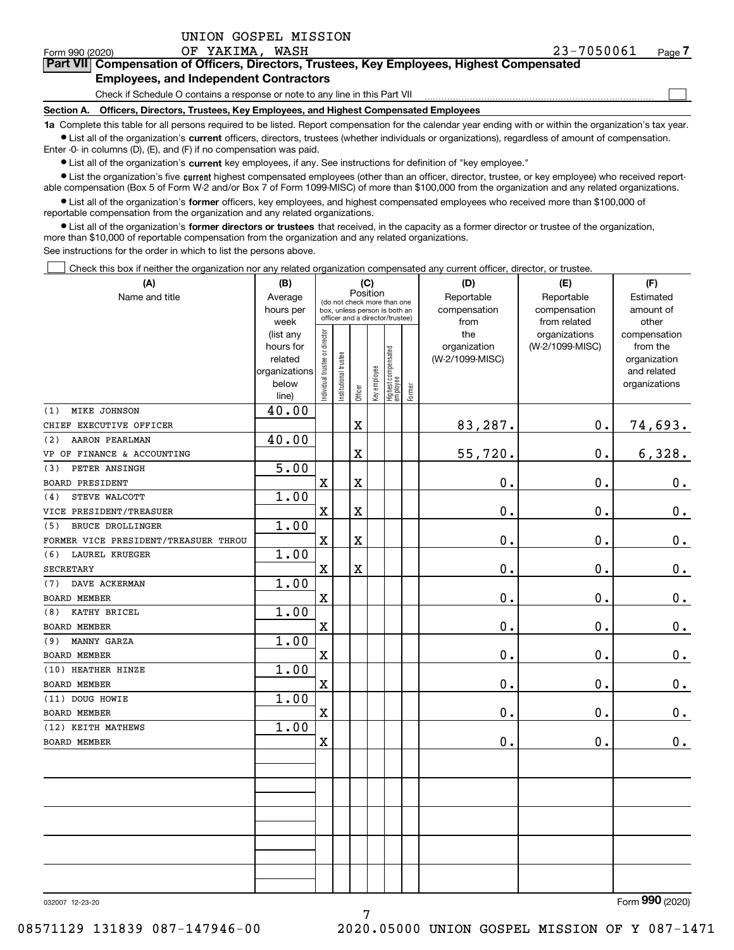$\mathcal{L}^{\text{max}}$ 

# **7Part VII Compensation of Officers, Directors, Trustees, Key Employees, Highest Compensated Employees, and Independent Contractors**

Check if Schedule O contains a response or note to any line in this Part VII

**Section A. Officers, Directors, Trustees, Key Employees, and Highest Compensated Employees**

**1a**  Complete this table for all persons required to be listed. Report compensation for the calendar year ending with or within the organization's tax year. **•** List all of the organization's current officers, directors, trustees (whether individuals or organizations), regardless of amount of compensation.

Enter -0- in columns (D), (E), and (F) if no compensation was paid.

 $\bullet$  List all of the organization's  $\,$ current key employees, if any. See instructions for definition of "key employee."

**•** List the organization's five current highest compensated employees (other than an officer, director, trustee, or key employee) who received reportable compensation (Box 5 of Form W-2 and/or Box 7 of Form 1099-MISC) of more than \$100,000 from the organization and any related organizations.

**•** List all of the organization's former officers, key employees, and highest compensated employees who received more than \$100,000 of reportable compensation from the organization and any related organizations.

**former directors or trustees**  ¥ List all of the organization's that received, in the capacity as a former director or trustee of the organization, more than \$10,000 of reportable compensation from the organization and any related organizations.

See instructions for the order in which to list the persons above.

Check this box if neither the organization nor any related organization compensated any current officer, director, or trustee.  $\mathcal{L}^{\text{max}}$ 

| (A)                                  | (B)                    | (C)                                                              |                                         | (D)                     | (E)          | (F)                               |              |                 |                 |                              |
|--------------------------------------|------------------------|------------------------------------------------------------------|-----------------------------------------|-------------------------|--------------|-----------------------------------|--------------|-----------------|-----------------|------------------------------|
| Name and title                       | Average                |                                                                  | Position<br>(do not check more than one |                         | Reportable   | Reportable                        | Estimated    |                 |                 |                              |
|                                      | hours per              | box, unless person is both an<br>officer and a director/trustee) |                                         |                         |              |                                   | compensation | compensation    | amount of       |                              |
|                                      | week                   |                                                                  |                                         |                         |              |                                   |              | from            | from related    | other                        |
|                                      | (list any              |                                                                  |                                         |                         |              |                                   |              | the             | organizations   | compensation                 |
|                                      | hours for              |                                                                  |                                         |                         |              |                                   |              | organization    | (W-2/1099-MISC) | from the                     |
|                                      | related                |                                                                  |                                         |                         |              |                                   |              | (W-2/1099-MISC) |                 | organization                 |
|                                      | organizations<br>below |                                                                  |                                         |                         |              |                                   |              |                 |                 | and related<br>organizations |
|                                      | line)                  | ndividual trustee or director                                    | nstitutional trustee                    | Officer                 | key employee | Highest compensated<br>  employee | Former       |                 |                 |                              |
| MIKE JOHNSON<br>(1)                  | 40.00                  |                                                                  |                                         |                         |              |                                   |              |                 |                 |                              |
| CHIEF EXECUTIVE OFFICER              |                        |                                                                  |                                         | $\mathbf X$             |              |                                   |              | 83,287.         | 0.              | 74,693.                      |
| AARON PEARLMAN<br>(2)                | 40.00                  |                                                                  |                                         |                         |              |                                   |              |                 |                 |                              |
| VP OF FINANCE & ACCOUNTING           |                        |                                                                  |                                         | $\overline{\textbf{X}}$ |              |                                   |              | 55,720.         | 0.              | 6,328.                       |
| PETER ANSINGH<br>(3)                 | $\overline{5.00}$      |                                                                  |                                         |                         |              |                                   |              |                 |                 |                              |
| <b>BOARD PRESIDENT</b>               |                        | $\mathbf X$                                                      |                                         | $\mathbf X$             |              |                                   |              | 0.              | 0.              | $0_{.}$                      |
| STEVE WALCOTT<br>(4)                 | 1.00                   |                                                                  |                                         |                         |              |                                   |              |                 |                 |                              |
| VICE PRESIDENT/TREASUER              |                        | $\mathbf X$                                                      |                                         | $\mathbf X$             |              |                                   |              | 0.              | 0.              | $\mathbf 0$ .                |
| BRUCE DROLLINGER<br>(5)              | 1.00                   |                                                                  |                                         |                         |              |                                   |              |                 |                 |                              |
| FORMER VICE PRESIDENT/TREASUER THROU |                        | $\mathbf X$                                                      |                                         | $\mathbf X$             |              |                                   |              | $\mathbf 0$ .   | 0.              | $\mathbf 0$ .                |
| (6)<br>LAUREL KRUEGER                | 1.00                   |                                                                  |                                         |                         |              |                                   |              |                 |                 |                              |
| <b>SECRETARY</b>                     |                        | $\mathbf X$                                                      |                                         | $\mathbf X$             |              |                                   |              | $\mathbf 0$ .   | 0.              | $\mathbf 0$ .                |
| DAVE ACKERMAN<br>(7)                 | 1.00                   |                                                                  |                                         |                         |              |                                   |              |                 |                 |                              |
| <b>BOARD MEMBER</b>                  |                        | $\mathbf X$                                                      |                                         |                         |              |                                   |              | 0.              | 0.              | $\mathbf 0$ .                |
| KATHY BRICEL<br>(8)                  | 1.00                   |                                                                  |                                         |                         |              |                                   |              |                 |                 |                              |
| <b>BOARD MEMBER</b>                  |                        | $\mathbf X$                                                      |                                         |                         |              |                                   |              | 0.              | 0.              | $\mathbf 0$ .                |
| MANNY GARZA<br>(9)                   | 1.00                   |                                                                  |                                         |                         |              |                                   |              |                 |                 |                              |
| <b>BOARD MEMBER</b>                  |                        | $\mathbf X$                                                      |                                         |                         |              |                                   |              | 0.              | 0.              | $0_{\cdot}$                  |
| (10) HEATHER HINZE                   | 1.00                   |                                                                  |                                         |                         |              |                                   |              |                 |                 |                              |
| <b>BOARD MEMBER</b>                  |                        | $\mathbf X$                                                      |                                         |                         |              |                                   |              | $\mathbf 0$ .   | 0.              | $\mathbf 0$ .                |
| (11) DOUG HOWIE                      | 1.00                   |                                                                  |                                         |                         |              |                                   |              |                 |                 |                              |
| <b>BOARD MEMBER</b>                  |                        | $\mathbf X$                                                      |                                         |                         |              |                                   |              | 0.              | 0.              | $\mathbf 0$ .                |
| (12) KEITH MATHEWS                   | 1.00                   |                                                                  |                                         |                         |              |                                   |              |                 |                 |                              |
| <b>BOARD MEMBER</b>                  |                        | $\mathbf X$                                                      |                                         |                         |              |                                   |              | $\mathbf 0$ .   | 0.              | $\mathbf 0$ .                |
|                                      |                        |                                                                  |                                         |                         |              |                                   |              |                 |                 |                              |
|                                      |                        |                                                                  |                                         |                         |              |                                   |              |                 |                 |                              |
|                                      |                        |                                                                  |                                         |                         |              |                                   |              |                 |                 |                              |
|                                      |                        |                                                                  |                                         |                         |              |                                   |              |                 |                 |                              |
|                                      |                        |                                                                  |                                         |                         |              |                                   |              |                 |                 |                              |
|                                      |                        |                                                                  |                                         |                         |              |                                   |              |                 |                 |                              |
|                                      |                        |                                                                  |                                         |                         |              |                                   |              |                 |                 |                              |
|                                      |                        |                                                                  |                                         |                         |              |                                   |              |                 |                 |                              |
|                                      |                        |                                                                  |                                         |                         |              |                                   |              |                 |                 |                              |
|                                      |                        |                                                                  |                                         |                         |              |                                   |              |                 |                 |                              |

7

032007 12-23-20

Form (2020) **990**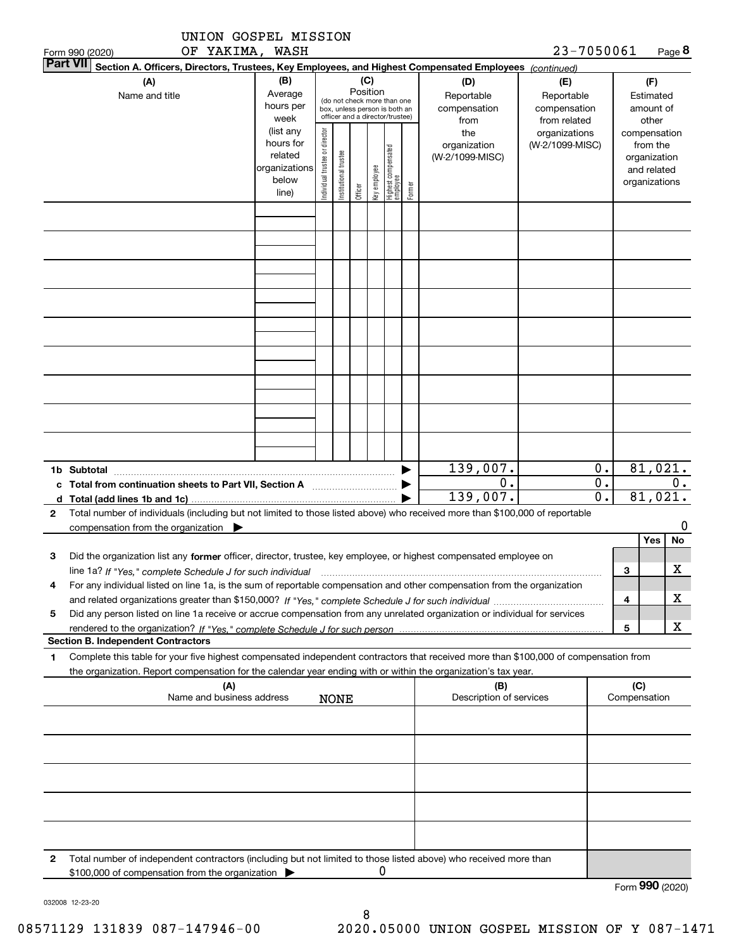|   | UNION GOSPEL MISSION<br>OF YAKIMA, WASH                                                                                                                                                                                                                                          |                                                                      |                                |                       |          |              |                                                                                                 |        |                                                | 23-7050061                                                                                                       |                             |                     |                                        | Page 8      |
|---|----------------------------------------------------------------------------------------------------------------------------------------------------------------------------------------------------------------------------------------------------------------------------------|----------------------------------------------------------------------|--------------------------------|-----------------------|----------|--------------|-------------------------------------------------------------------------------------------------|--------|------------------------------------------------|------------------------------------------------------------------------------------------------------------------|-----------------------------|---------------------|----------------------------------------|-------------|
|   | Form 990 (2020)<br><b>Part VII</b><br>Section A. Officers, Directors, Trustees, Key Employees, and Highest Compensated Employees (continued)                                                                                                                                     |                                                                      |                                |                       |          |              |                                                                                                 |        |                                                |                                                                                                                  |                             |                     |                                        |             |
|   | (A)<br>Name and title                                                                                                                                                                                                                                                            | (B)<br>Average<br>hours per<br>week                                  |                                |                       | Position | (C)          | (do not check more than one<br>box, unless person is both an<br>officer and a director/trustee) |        | (D)<br>Reportable<br>compensation              | (E)                                                                                                              | Reportable<br>compensation  |                     | (F)<br>Estimated<br>amount of<br>other |             |
|   |                                                                                                                                                                                                                                                                                  | (list any<br>hours for<br>related<br>organizations<br>below<br>line) | Individual trustee or director | Institutional trustee | Officer  | Key employee | Highest compensated<br>employee                                                                 | Former | from<br>the<br>organization<br>(W-2/1099-MISC) | from related<br>organizations<br>compensation<br>(W-2/1099-MISC)<br>organization<br>and related<br>organizations |                             | from the            |                                        |             |
|   |                                                                                                                                                                                                                                                                                  |                                                                      |                                |                       |          |              |                                                                                                 |        |                                                |                                                                                                                  |                             |                     |                                        |             |
|   |                                                                                                                                                                                                                                                                                  |                                                                      |                                |                       |          |              |                                                                                                 |        |                                                |                                                                                                                  |                             |                     |                                        |             |
|   |                                                                                                                                                                                                                                                                                  |                                                                      |                                |                       |          |              |                                                                                                 |        |                                                |                                                                                                                  |                             |                     |                                        |             |
|   |                                                                                                                                                                                                                                                                                  |                                                                      |                                |                       |          |              |                                                                                                 |        |                                                |                                                                                                                  |                             |                     |                                        |             |
|   |                                                                                                                                                                                                                                                                                  |                                                                      |                                |                       |          |              |                                                                                                 |        |                                                |                                                                                                                  |                             |                     |                                        |             |
|   |                                                                                                                                                                                                                                                                                  |                                                                      |                                |                       |          |              |                                                                                                 |        |                                                |                                                                                                                  |                             |                     |                                        |             |
|   | 1b Subtotal                                                                                                                                                                                                                                                                      |                                                                      |                                |                       |          |              |                                                                                                 |        | 139,007.                                       |                                                                                                                  | 0.                          |                     |                                        | 81,021.     |
|   |                                                                                                                                                                                                                                                                                  |                                                                      |                                |                       |          |              |                                                                                                 |        | $\mathbf 0$ .                                  |                                                                                                                  | $\overline{0}$ .            |                     |                                        | 0.          |
|   | d $Total (add lines 1b and 1c)$ .                                                                                                                                                                                                                                                |                                                                      |                                |                       |          |              |                                                                                                 |        | 139,007.                                       |                                                                                                                  | $\overline{\mathfrak{o}}$ . |                     | 81,021.                                |             |
| 2 | Total number of individuals (including but not limited to those listed above) who received more than \$100,000 of reportable<br>compensation from the organization                                                                                                               |                                                                      |                                |                       |          |              |                                                                                                 |        |                                                |                                                                                                                  |                             |                     |                                        | 0           |
|   |                                                                                                                                                                                                                                                                                  |                                                                      |                                |                       |          |              |                                                                                                 |        |                                                |                                                                                                                  |                             |                     | Yes                                    | No          |
| 3 | Did the organization list any former officer, director, trustee, key employee, or highest compensated employee on                                                                                                                                                                |                                                                      |                                |                       |          |              |                                                                                                 |        |                                                |                                                                                                                  |                             |                     |                                        |             |
|   | line 1a? If "Yes," complete Schedule J for such individual manufactured contained and the line 1a? If "Yes," complete Schedule J for such individual<br>For any individual listed on line 1a, is the sum of reportable compensation and other compensation from the organization |                                                                      |                                |                       |          |              |                                                                                                 |        |                                                |                                                                                                                  |                             | з                   |                                        | $\mathbf X$ |
| 4 |                                                                                                                                                                                                                                                                                  |                                                                      |                                |                       |          |              |                                                                                                 |        |                                                |                                                                                                                  |                             | 4                   |                                        | x           |
| 5 | Did any person listed on line 1a receive or accrue compensation from any unrelated organization or individual for services                                                                                                                                                       |                                                                      |                                |                       |          |              |                                                                                                 |        |                                                |                                                                                                                  |                             |                     |                                        |             |
|   |                                                                                                                                                                                                                                                                                  |                                                                      |                                |                       |          |              |                                                                                                 |        |                                                |                                                                                                                  |                             | 5                   |                                        | x           |
|   | <b>Section B. Independent Contractors</b>                                                                                                                                                                                                                                        |                                                                      |                                |                       |          |              |                                                                                                 |        |                                                |                                                                                                                  |                             |                     |                                        |             |
| 1 | Complete this table for your five highest compensated independent contractors that received more than \$100,000 of compensation from<br>the organization. Report compensation for the calendar year ending with or within the organization's tax year.                           |                                                                      |                                |                       |          |              |                                                                                                 |        |                                                |                                                                                                                  |                             |                     |                                        |             |
|   | (A)<br>Name and business address                                                                                                                                                                                                                                                 |                                                                      |                                | <b>NONE</b>           |          |              |                                                                                                 |        | (B)<br>Description of services                 |                                                                                                                  |                             | (C)<br>Compensation |                                        |             |
|   |                                                                                                                                                                                                                                                                                  |                                                                      |                                |                       |          |              |                                                                                                 |        |                                                |                                                                                                                  |                             |                     |                                        |             |
|   |                                                                                                                                                                                                                                                                                  |                                                                      |                                |                       |          |              |                                                                                                 |        |                                                |                                                                                                                  |                             |                     |                                        |             |
|   |                                                                                                                                                                                                                                                                                  |                                                                      |                                |                       |          |              |                                                                                                 |        |                                                |                                                                                                                  |                             |                     |                                        |             |
|   |                                                                                                                                                                                                                                                                                  |                                                                      |                                |                       |          |              |                                                                                                 |        |                                                |                                                                                                                  |                             |                     |                                        |             |
|   |                                                                                                                                                                                                                                                                                  |                                                                      |                                |                       |          |              |                                                                                                 |        |                                                |                                                                                                                  |                             |                     |                                        |             |
| 2 | Total number of independent contractors (including but not limited to those listed above) who received more than<br>\$100,000 of compensation from the organization                                                                                                              |                                                                      |                                |                       |          | U            |                                                                                                 |        |                                                |                                                                                                                  |                             |                     |                                        |             |

032008 12-23-20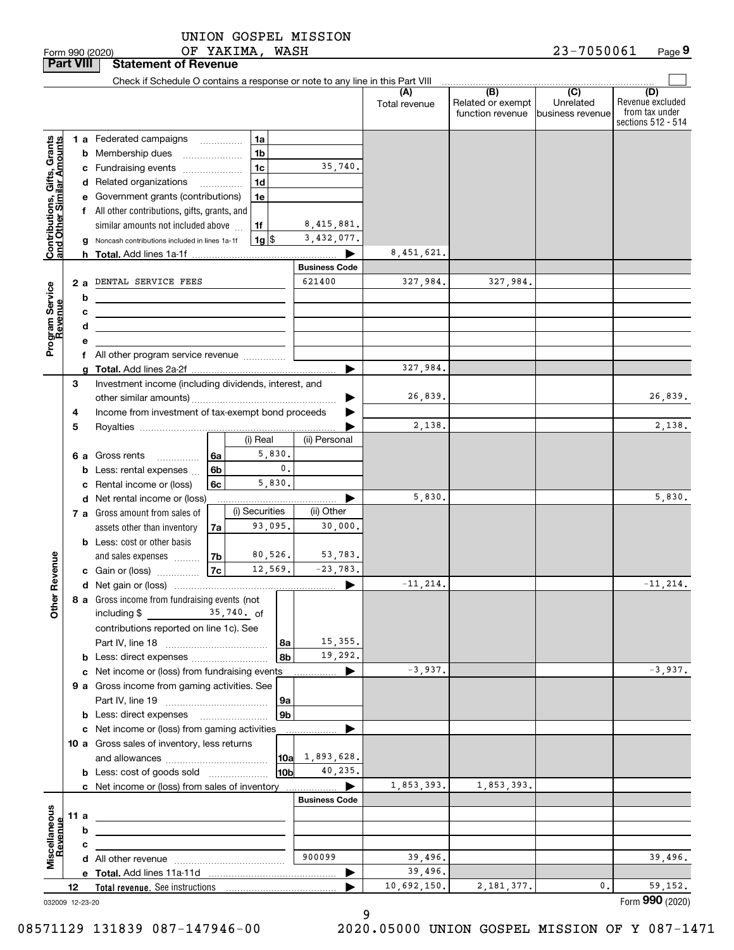OF YAKIMA, WASH UNION GOSPEL MISSION

| 1990 (2020)<br>orm | YAKIMA<br>WASH<br>ОF | 05006<br>כי בי<br>70.<br>1000<br>aue |
|--------------------|----------------------|--------------------------------------|
|--------------------|----------------------|--------------------------------------|

| <b>Part VIII</b>                              |        |   | <b>Statement of Revenue</b>                                                                                           |                                      |                      |                       |                      |                                                           |                                                 |                                                                 |
|-----------------------------------------------|--------|---|-----------------------------------------------------------------------------------------------------------------------|--------------------------------------|----------------------|-----------------------|----------------------|-----------------------------------------------------------|-------------------------------------------------|-----------------------------------------------------------------|
|                                               |        |   | Check if Schedule O contains a response or note to any line in this Part VIII                                         |                                      |                      |                       |                      |                                                           |                                                 |                                                                 |
|                                               |        |   |                                                                                                                       |                                      |                      |                       | (A)<br>Total revenue | $\overline{(B)}$<br>Related or exempt<br>function revenue | $\overline{C}$<br>Unrelated<br>business revenue | (D)<br>Revenue excluded<br>from tax under<br>sections 512 - 514 |
|                                               |        |   | 1 a Federated campaigns                                                                                               |                                      | 1a                   |                       |                      |                                                           |                                                 |                                                                 |
| , Grants<br>mounts                            |        |   | <b>b</b> Membership dues                                                                                              | $\ldots \ldots \ldots \ldots \ldots$ | 1b                   |                       |                      |                                                           |                                                 |                                                                 |
|                                               |        |   | c Fundraising events                                                                                                  |                                      | 1c                   | 35,740.               |                      |                                                           |                                                 |                                                                 |
| Contributions, Gifts,<br>and Other Similar Ar |        |   | d Related organizations                                                                                               | $\overline{\phantom{a}}$             | 1d                   |                       |                      |                                                           |                                                 |                                                                 |
|                                               |        |   | e Government grants (contributions)                                                                                   |                                      | 1e                   |                       |                      |                                                           |                                                 |                                                                 |
|                                               |        |   | f All other contributions, gifts, grants, and                                                                         |                                      |                      |                       |                      |                                                           |                                                 |                                                                 |
|                                               |        |   | similar amounts not included above                                                                                    |                                      | 1f                   | 8,415,881.            |                      |                                                           |                                                 |                                                                 |
|                                               |        |   | g Noncash contributions included in lines 1a-1f                                                                       |                                      | 1g S                 | 3,432,077.            |                      |                                                           |                                                 |                                                                 |
|                                               |        |   |                                                                                                                       |                                      |                      |                       | 8,451,621.           |                                                           |                                                 |                                                                 |
|                                               |        |   |                                                                                                                       |                                      |                      | <b>Business Code</b>  |                      |                                                           |                                                 |                                                                 |
|                                               | 2а     |   | DENTAL SERVICE FEES                                                                                                   |                                      |                      | 621400                | 327,984.             | 327,984.                                                  |                                                 |                                                                 |
| Program Service<br>Revenue                    |        | b | <u> 1989 - Johann Barn, mars ann an t-Amhain Aonaich an t-Aonaich an t-Aonaich ann an t-Aonaich ann an t-Aonaich</u>  |                                      |                      |                       |                      |                                                           |                                                 |                                                                 |
|                                               |        | с | <u> 1989 - Johann Stein, marwolaethau a bhann an t-Alban ann an t-Alban an t-Alban an t-Alban an t-Alban an t-Alb</u> |                                      |                      |                       |                      |                                                           |                                                 |                                                                 |
|                                               |        | d | <u> 1989 - Johann Barbara, martin amerikan basar dan berasal dalam basar dalam basar dalam basar dalam basar dala</u> |                                      |                      |                       |                      |                                                           |                                                 |                                                                 |
|                                               |        | е |                                                                                                                       |                                      |                      |                       |                      |                                                           |                                                 |                                                                 |
|                                               |        |   | f All other program service revenue                                                                                   |                                      |                      |                       |                      |                                                           |                                                 |                                                                 |
|                                               |        | a |                                                                                                                       |                                      |                      |                       | 327,984.             |                                                           |                                                 |                                                                 |
|                                               | З      |   | Investment income (including dividends, interest, and                                                                 |                                      |                      |                       | 26,839.              |                                                           |                                                 | 26,839.                                                         |
|                                               |        |   | Income from investment of tax-exempt bond proceeds                                                                    |                                      |                      |                       |                      |                                                           |                                                 |                                                                 |
|                                               | 4<br>5 |   |                                                                                                                       |                                      |                      |                       | 2,138.               |                                                           |                                                 | 2,138.                                                          |
|                                               |        |   |                                                                                                                       |                                      | (i) Real             | (ii) Personal         |                      |                                                           |                                                 |                                                                 |
|                                               |        |   | <b>6 a</b> Gross rents<br>.                                                                                           | 6a                                   | 5,830.               |                       |                      |                                                           |                                                 |                                                                 |
|                                               |        |   | <b>b</b> Less: rental expenses                                                                                        | 6b                                   | $\mathbf{0}$ .       |                       |                      |                                                           |                                                 |                                                                 |
|                                               |        |   | c Rental income or (loss)                                                                                             | 6c                                   | 5,830.               |                       |                      |                                                           |                                                 |                                                                 |
|                                               |        |   | d Net rental income or (loss)                                                                                         |                                      |                      |                       | 5,830.               |                                                           |                                                 | 5,830.                                                          |
|                                               |        |   | 7 a Gross amount from sales of                                                                                        |                                      | (i) Securities       | (ii) Other            |                      |                                                           |                                                 |                                                                 |
|                                               |        |   | assets other than inventory                                                                                           | 7a                                   | 93,095.              | 30,000.               |                      |                                                           |                                                 |                                                                 |
|                                               |        |   | <b>b</b> Less: cost or other basis                                                                                    |                                      |                      |                       |                      |                                                           |                                                 |                                                                 |
|                                               |        |   | and sales expenses                                                                                                    | 7b                                   | 80,526.              | 53,783.               |                      |                                                           |                                                 |                                                                 |
| Revenue                                       |        |   | c Gain or (loss)                                                                                                      | 7c                                   | 12,569.              | $-23,783.$            |                      |                                                           |                                                 |                                                                 |
|                                               |        |   |                                                                                                                       |                                      |                      | $\blacktriangleright$ | $-11, 214.$          |                                                           |                                                 | $-11, 214.$                                                     |
| <b>Othe</b>                                   |        |   | 8 a Gross income from fundraising events (not                                                                         |                                      |                      |                       |                      |                                                           |                                                 |                                                                 |
|                                               |        |   | including \$                                                                                                          |                                      | $35,740.$ of         |                       |                      |                                                           |                                                 |                                                                 |
|                                               |        |   | contributions reported on line 1c). See                                                                               |                                      |                      |                       |                      |                                                           |                                                 |                                                                 |
|                                               |        |   |                                                                                                                       |                                      | 8a                   | 15,355.               |                      |                                                           |                                                 |                                                                 |
|                                               |        |   | <b>b</b> Less: direct expenses                                                                                        |                                      | 8b                   | 19,292.               |                      |                                                           |                                                 |                                                                 |
|                                               |        |   | c Net income or (loss) from fundraising events                                                                        |                                      |                      | ▶                     | $-3,937.$            |                                                           |                                                 | $-3,937.$                                                       |
|                                               |        |   | 9 a Gross income from gaming activities. See                                                                          |                                      |                      |                       |                      |                                                           |                                                 |                                                                 |
|                                               |        |   |                                                                                                                       |                                      | 9a<br>9 <sub>b</sub> |                       |                      |                                                           |                                                 |                                                                 |
|                                               |        |   | c Net income or (loss) from gaming activities                                                                         |                                      |                      |                       |                      |                                                           |                                                 |                                                                 |
|                                               |        |   | 10 a Gross sales of inventory, less returns                                                                           |                                      |                      | .                     |                      |                                                           |                                                 |                                                                 |
|                                               |        |   |                                                                                                                       |                                      | 10a                  | 1,893,628.            |                      |                                                           |                                                 |                                                                 |
|                                               |        |   | <b>b</b> Less: cost of goods sold                                                                                     |                                      | 10b                  | 40,235.               |                      |                                                           |                                                 |                                                                 |
|                                               |        |   | c Net income or (loss) from sales of inventory                                                                        |                                      |                      | ▶                     | 1,853,393.           | 1,853,393.                                                |                                                 |                                                                 |
|                                               |        |   |                                                                                                                       |                                      |                      | <b>Business Code</b>  |                      |                                                           |                                                 |                                                                 |
|                                               | 11 a   |   |                                                                                                                       |                                      |                      |                       |                      |                                                           |                                                 |                                                                 |
|                                               |        | b |                                                                                                                       |                                      |                      |                       |                      |                                                           |                                                 |                                                                 |
|                                               |        | c |                                                                                                                       |                                      |                      |                       |                      |                                                           |                                                 |                                                                 |
| Miscellaneous<br>Revenue                      |        |   |                                                                                                                       |                                      |                      | 900099                | 39,496.              |                                                           |                                                 | 39,496.                                                         |
|                                               |        |   |                                                                                                                       |                                      |                      | ▶                     | 39,496.              |                                                           |                                                 |                                                                 |
|                                               | 12     |   |                                                                                                                       |                                      |                      |                       | 10,692,150.          | 2, 181, 377.                                              | 0.                                              | 59, 152.                                                        |
| 032009 12-23-20                               |        |   |                                                                                                                       |                                      |                      |                       |                      |                                                           |                                                 | Form 990 (2020)                                                 |

9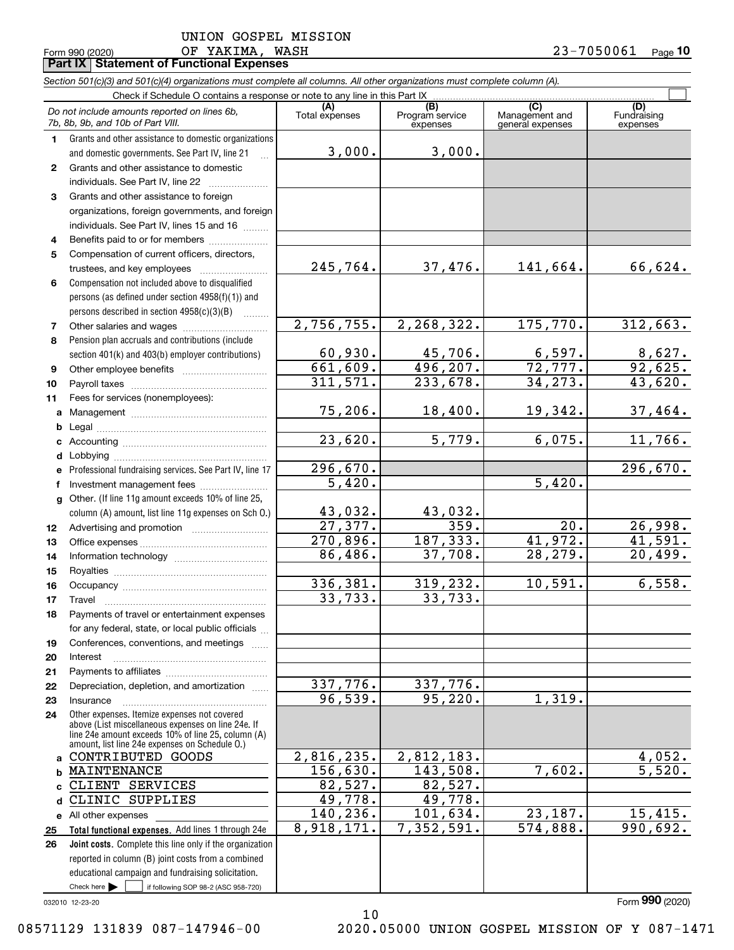**10**

|    | OF YAKIMA, WASH<br>Form 990 (2020)                                                                                         |                       |                                    |                                    | 23-7050061<br>$Page$ 10        |
|----|----------------------------------------------------------------------------------------------------------------------------|-----------------------|------------------------------------|------------------------------------|--------------------------------|
|    | Part IX   Statement of Functional Expenses                                                                                 |                       |                                    |                                    |                                |
|    | Section 501(c)(3) and 501(c)(4) organizations must complete all columns. All other organizations must complete column (A). |                       |                                    |                                    |                                |
|    | Check if Schedule O contains a response or note to any line in this Part IX.                                               |                       |                                    | $\overline{C}$                     |                                |
|    | Do not include amounts reported on lines 6b,<br>7b, 8b, 9b, and 10b of Part VIII.                                          | (A)<br>Total expenses | (B)<br>Program service<br>expenses | Management and<br>general expenses | (D)<br>Fundraising<br>expenses |
| 1. | Grants and other assistance to domestic organizations                                                                      |                       |                                    |                                    |                                |
|    | and domestic governments. See Part IV, line 21                                                                             | 3,000.                | 3,000.                             |                                    |                                |
| 2  | Grants and other assistance to domestic                                                                                    |                       |                                    |                                    |                                |
|    | individuals. See Part IV, line 22                                                                                          |                       |                                    |                                    |                                |
| 3  | Grants and other assistance to foreign                                                                                     |                       |                                    |                                    |                                |
|    | organizations, foreign governments, and foreign                                                                            |                       |                                    |                                    |                                |
|    | individuals. See Part IV, lines 15 and 16                                                                                  |                       |                                    |                                    |                                |
| 4  | Benefits paid to or for members                                                                                            |                       |                                    |                                    |                                |
| 5  | Compensation of current officers, directors,                                                                               |                       |                                    |                                    |                                |
|    |                                                                                                                            | 245,764.              | 37,476.                            | 141,664.                           | 66,624.                        |
| 6  | Compensation not included above to disqualified                                                                            |                       |                                    |                                    |                                |
|    | persons (as defined under section 4958(f)(1)) and                                                                          |                       |                                    |                                    |                                |
|    | persons described in section 4958(c)(3)(B)                                                                                 |                       |                                    |                                    |                                |
| 7  |                                                                                                                            | 2,756,755.            | 2,268,322.                         | 175,770.                           | 312,663.                       |
| 8  | Pension plan accruals and contributions (include                                                                           |                       |                                    |                                    |                                |
|    | section 401(k) and 403(b) employer contributions)                                                                          | 60,930.               | 45,706.                            | 6,597.                             | $\frac{8,627}{92,625}$         |
| 9  |                                                                                                                            | 661,609.              | 496, 207.                          | 72, 777.                           |                                |
| 10 |                                                                                                                            | 311,571.              | 233,678.                           | 34, 273.                           | 43,620.                        |
| 11 | Fees for services (nonemployees):                                                                                          |                       |                                    |                                    |                                |
| a  |                                                                                                                            | 75,206.               | 18,400.                            | 19,342.                            | 37,464.                        |
| b  |                                                                                                                            |                       |                                    |                                    |                                |
| c  |                                                                                                                            | 23,620.               | 5,779.                             | 6,075.                             | 11,766.                        |
| d  |                                                                                                                            |                       |                                    |                                    |                                |
| е  | Professional fundraising services. See Part IV, line 17                                                                    | 296,670.              |                                    |                                    | 296,670.                       |
| f  | Investment management fees                                                                                                 | 5,420.                |                                    | 5,420.                             |                                |
| g  | Other. (If line 11g amount exceeds 10% of line 25,                                                                         |                       |                                    |                                    |                                |
|    | column (A) amount, list line 11g expenses on Sch 0.)                                                                       | 43,032.               | 43,032.                            |                                    |                                |
| 12 |                                                                                                                            | 27,377.               | 359.                               | $\overline{20}$ .                  | 26,998.                        |
| 13 |                                                                                                                            | 270,896.              | 187, 333.                          | 41,972.                            | 41,591.                        |
| 14 |                                                                                                                            | 86,486.               | 37,708.                            | 28,279.                            | 20,499.                        |
| 15 |                                                                                                                            |                       |                                    |                                    |                                |
| 16 |                                                                                                                            | 336,381.              | 319, 232.                          | 10,591.                            | 6,558.                         |
| 17 | Travel                                                                                                                     | 33,733.               | 33,733.                            |                                    |                                |
| 18 | Payments of travel or entertainment expenses                                                                               |                       |                                    |                                    |                                |
|    | for any federal, state, or local public officials                                                                          |                       |                                    |                                    |                                |
| 19 | Conferences, conventions, and meetings                                                                                     |                       |                                    |                                    |                                |
| 20 | Interest                                                                                                                   |                       |                                    |                                    |                                |
| 21 |                                                                                                                            | 337,776.              |                                    |                                    |                                |
| 22 | Depreciation, depletion, and amortization                                                                                  | 96,539.               | 337,776.<br>95,220.                | 1,319.                             |                                |
| 23 | Insurance                                                                                                                  |                       |                                    |                                    |                                |
| 24 | Other expenses. Itemize expenses not covered<br>above (List miscellaneous expenses on line 24e. If                         |                       |                                    |                                    |                                |

2,816,235. 156,630. 82,527. 49,778. 140,236. 8,918,171.

10

032010 12-23-20

**abc**

**25 26**

#### 08571129 131839 087-147946-00 2020.05000 UNION GOSPEL MISSION OF Y 087-1471

**d** CLINIC SUPPLIES

MAINTENANCE CLIENT SERVICES

CONTRIBUTED GOODS

**e** All other expenses

Check here  $\blacktriangleright$ 

Check here  $\bullet$  if following SOP 98-2 (ASC 958-720)

reported in column (B) joint costs from a combined educational campaign and fundraising solicitation.

**Total functional expenses.**  Add lines 1 through 24e **Joint costs.** Complete this line only if the organization

line 24e amount exceeds 10% of line 25, column (A) amount, list line 24e expenses on Schedule O.)

82,527. 49,778.

2,812,183. 143,508. 7,602. 5,520.

 $101,634.$  23,187. 15,415. 7,352,591. 574,888. 990,692.

Form (2020) **990**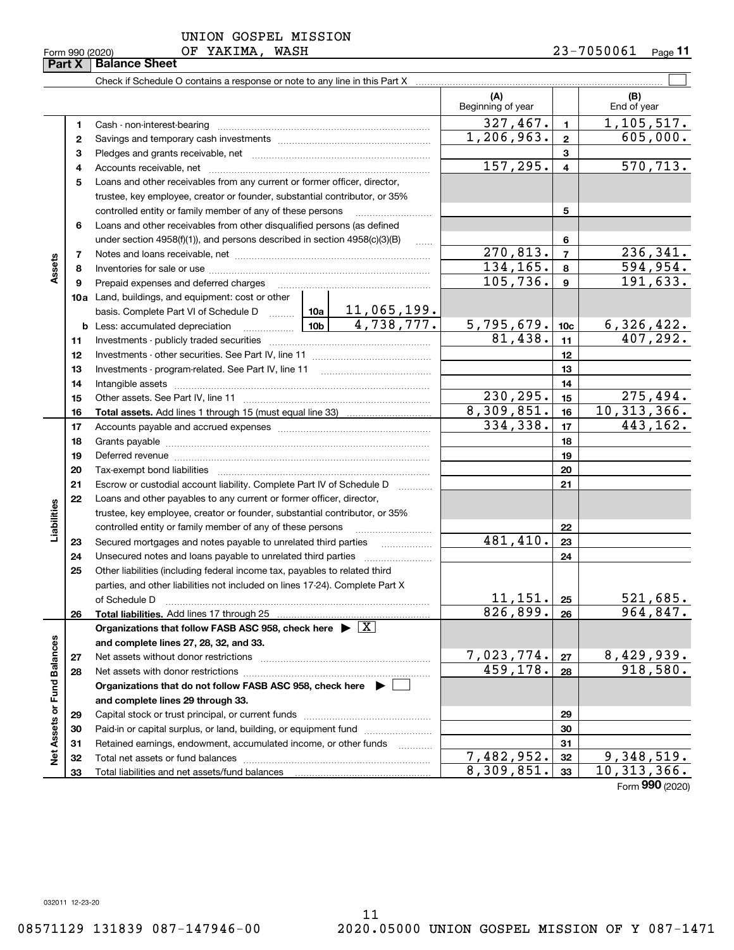**32 33**

Total liabilities and net assets/fund balances

**33**

 $8,309,851.$  33 10, 313, 366.

Form (2020) **990**

|  | UNION GOSPEL MISSION |  |
|--|----------------------|--|
|  |                      |  |

Check if Schedule O contains a response or note to any line in this Part X

**Part X** | Balance Sheet

|                             |          |                                                                                                                                                    | (A)<br>Beginning of year |                | (B)<br>End of year        |
|-----------------------------|----------|----------------------------------------------------------------------------------------------------------------------------------------------------|--------------------------|----------------|---------------------------|
|                             | 1        |                                                                                                                                                    | 327,467.                 | $\mathbf{1}$   | 1,105,517.                |
|                             | 2        |                                                                                                                                                    | 1,206,963.               | $\mathbf{2}$   | 605,000.                  |
|                             | 3        |                                                                                                                                                    |                          | 3              |                           |
|                             | 4        |                                                                                                                                                    | 157, 295.                | $\overline{4}$ | 570,713.                  |
|                             | 5        | Loans and other receivables from any current or former officer, director,                                                                          |                          |                |                           |
|                             |          | trustee, key employee, creator or founder, substantial contributor, or 35%                                                                         |                          |                |                           |
|                             |          | controlled entity or family member of any of these persons                                                                                         |                          | 5              |                           |
|                             | 6        | Loans and other receivables from other disqualified persons (as defined                                                                            |                          |                |                           |
|                             |          | under section 4958(f)(1)), and persons described in section 4958(c)(3)(B)<br>$\ldots$                                                              |                          | 6              |                           |
|                             | 7        |                                                                                                                                                    | $\overline{270,813}$ .   | $\overline{7}$ | 236,341.                  |
| Assets                      | 8        |                                                                                                                                                    | 134, 165.                | 8              | 594,954.                  |
|                             | 9        | Prepaid expenses and deferred charges                                                                                                              | 105, 736.                | 9              | 191,633.                  |
|                             |          | 10a Land, buildings, and equipment: cost or other                                                                                                  |                          |                |                           |
|                             |          | $\boxed{10a}$ $\boxed{11,065,199}$ .<br>basis. Complete Part VI of Schedule D                                                                      |                          |                |                           |
|                             |          | $10b$ 4, 738, 777.<br><b>b</b> Less: accumulated depreciation                                                                                      | $5,795,679.$ 10c         |                | 6,326,422.                |
|                             | 11       |                                                                                                                                                    | 81,438.                  | 11             | 407,292.                  |
|                             | 12       |                                                                                                                                                    |                          | 12             |                           |
|                             | 13       | Investments - program-related. See Part IV, line 11                                                                                                |                          | 13             |                           |
|                             | 14       |                                                                                                                                                    |                          | 14             |                           |
|                             | 15       |                                                                                                                                                    | 230,295.                 | 15             | 275,494.<br>10, 313, 366. |
|                             | 16       |                                                                                                                                                    | 8,309,851.<br>334,338.   | 16             |                           |
|                             | 17       |                                                                                                                                                    |                          | 17             | 443,162.                  |
|                             | 18       |                                                                                                                                                    |                          | 18             |                           |
|                             | 19       |                                                                                                                                                    |                          | 19             |                           |
|                             | 20       |                                                                                                                                                    |                          | 20<br>21       |                           |
|                             | 21<br>22 | Escrow or custodial account liability. Complete Part IV of Schedule D<br>.<br>Loans and other payables to any current or former officer, director, |                          |                |                           |
| Liabilities                 |          | trustee, key employee, creator or founder, substantial contributor, or 35%                                                                         |                          |                |                           |
|                             |          | controlled entity or family member of any of these persons                                                                                         |                          | 22             |                           |
|                             | 23       | Secured mortgages and notes payable to unrelated third parties                                                                                     | 481,410.                 | 23             |                           |
|                             | 24       | .                                                                                                                                                  |                          | 24             |                           |
|                             | 25       | Other liabilities (including federal income tax, payables to related third                                                                         |                          |                |                           |
|                             |          | parties, and other liabilities not included on lines 17-24). Complete Part X                                                                       |                          |                |                           |
|                             |          | of Schedule D                                                                                                                                      | 11,151.                  | 25             | 521,685.                  |
|                             | 26       |                                                                                                                                                    | 826,899.                 | 26             | 964,847.                  |
|                             |          | Organizations that follow FASB ASC 958, check here $\blacktriangleright \boxed{\text{X}}$                                                          |                          |                |                           |
|                             |          | and complete lines 27, 28, 32, and 33.                                                                                                             |                          |                |                           |
|                             | 27       | Net assets without donor restrictions                                                                                                              | 7,023,774.               | 27             | 8,429,939.                |
|                             | 28       |                                                                                                                                                    | 459,178.                 | 28             | 918,580.                  |
|                             |          | Organizations that do not follow FASB ASC 958, check here $\blacktriangleright \lfloor$                                                            |                          |                |                           |
| Net Assets or Fund Balances |          | and complete lines 29 through 33.                                                                                                                  |                          |                |                           |
|                             | 29       |                                                                                                                                                    |                          | 29             |                           |
|                             | 30       | Paid-in or capital surplus, or land, building, or equipment fund                                                                                   |                          | 30             |                           |
|                             | 31       | Retained earnings, endowment, accumulated income, or other funds                                                                                   |                          | 31             |                           |
|                             | 32       |                                                                                                                                                    | 7,482,952.               | 32             | <u>9,348,519.</u>         |

 $\mathcal{L}^{\text{max}}$ 

Ξ

- $\overline{a}$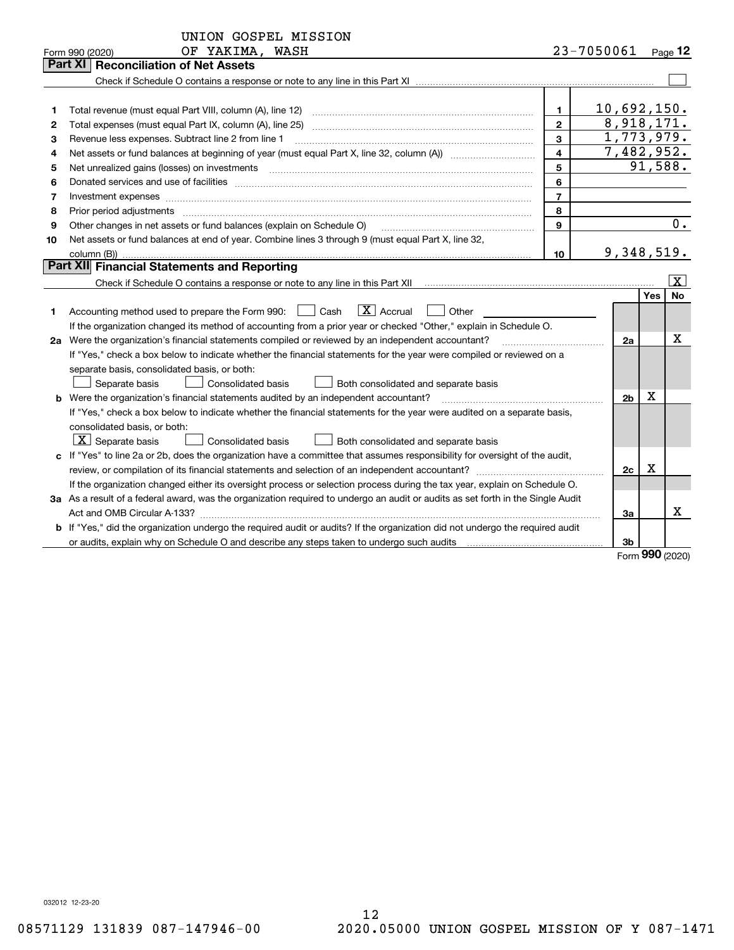|    | UNION GOSPEL MISSION                                                                                                                 |                         |                |     |                     |  |  |  |  |
|----|--------------------------------------------------------------------------------------------------------------------------------------|-------------------------|----------------|-----|---------------------|--|--|--|--|
|    | OF YAKIMA, WASH<br>Form 990 (2020)                                                                                                   |                         | 23-7050061     |     | Page 12             |  |  |  |  |
|    | Part XI<br><b>Reconciliation of Net Assets</b>                                                                                       |                         |                |     |                     |  |  |  |  |
|    |                                                                                                                                      |                         |                |     |                     |  |  |  |  |
|    |                                                                                                                                      |                         |                |     |                     |  |  |  |  |
| 1  | Total revenue (must equal Part VIII, column (A), line 12)                                                                            | 1.                      | 10,692,150.    |     |                     |  |  |  |  |
| 2  | 8,918,171.<br>$\mathbf{2}$<br>Total expenses (must equal Part IX, column (A), line 25)                                               |                         |                |     |                     |  |  |  |  |
| 3  | 1,773,979.<br>3<br>Revenue less expenses. Subtract line 2 from line 1                                                                |                         |                |     |                     |  |  |  |  |
| 4  |                                                                                                                                      | $\overline{\mathbf{4}}$ | 7,482,952.     |     |                     |  |  |  |  |
| 5  |                                                                                                                                      | 5                       |                |     | 91,588.             |  |  |  |  |
| 6  |                                                                                                                                      | 6                       |                |     |                     |  |  |  |  |
| 7  | Investment expenses www.communication.com/www.communication.com/www.communication.com/www.communication.com/ww                       | $\overline{7}$          |                |     |                     |  |  |  |  |
| 8  | Prior period adjustments                                                                                                             | 8                       |                |     | $\overline{0}$ .    |  |  |  |  |
| 9  | Other changes in net assets or fund balances (explain on Schedule O)<br>9                                                            |                         |                |     |                     |  |  |  |  |
| 10 | Net assets or fund balances at end of year. Combine lines 3 through 9 (must equal Part X, line 32,                                   |                         |                |     |                     |  |  |  |  |
|    | 9,348,519.<br>column (B))<br>10                                                                                                      |                         |                |     |                     |  |  |  |  |
|    | Part XII Financial Statements and Reporting                                                                                          |                         |                |     |                     |  |  |  |  |
|    | $\vert$ X $\vert$                                                                                                                    |                         |                |     |                     |  |  |  |  |
|    |                                                                                                                                      |                         |                | Yes | No                  |  |  |  |  |
| 1  | $\boxed{\text{X}}$ Accrual<br>Accounting method used to prepare the Form 990: <u>II</u> Cash<br>Other                                |                         |                |     |                     |  |  |  |  |
|    | If the organization changed its method of accounting from a prior year or checked "Other," explain in Schedule O.                    |                         |                |     |                     |  |  |  |  |
|    | 2a Were the organization's financial statements compiled or reviewed by an independent accountant?                                   |                         | 2a             |     | х                   |  |  |  |  |
|    | If "Yes," check a box below to indicate whether the financial statements for the year were compiled or reviewed on a                 |                         |                |     |                     |  |  |  |  |
|    | separate basis, consolidated basis, or both:                                                                                         |                         |                |     |                     |  |  |  |  |
|    | Separate basis<br>Consolidated basis<br>Both consolidated and separate basis                                                         |                         |                |     |                     |  |  |  |  |
|    | b Were the organization's financial statements audited by an independent accountant?                                                 |                         | 2 <sub>b</sub> | х   |                     |  |  |  |  |
|    | If "Yes," check a box below to indicate whether the financial statements for the year were audited on a separate basis,              |                         |                |     |                     |  |  |  |  |
|    | consolidated basis, or both:                                                                                                         |                         |                |     |                     |  |  |  |  |
|    | $\vert X \vert$ Separate basis<br>Consolidated basis<br>Both consolidated and separate basis                                         |                         |                |     |                     |  |  |  |  |
|    | c If "Yes" to line 2a or 2b, does the organization have a committee that assumes responsibility for oversight of the audit,          |                         |                |     |                     |  |  |  |  |
|    |                                                                                                                                      |                         | 2c             | x   |                     |  |  |  |  |
|    | If the organization changed either its oversight process or selection process during the tax year, explain on Schedule O.            |                         |                |     |                     |  |  |  |  |
|    | 3a As a result of a federal award, was the organization required to undergo an audit or audits as set forth in the Single Audit      |                         |                |     |                     |  |  |  |  |
|    |                                                                                                                                      |                         | 3a             |     | x                   |  |  |  |  |
|    | <b>b</b> If "Yes," did the organization undergo the required audit or audits? If the organization did not undergo the required audit |                         |                |     |                     |  |  |  |  |
|    |                                                                                                                                      |                         | 3b             |     |                     |  |  |  |  |
|    |                                                                                                                                      |                         |                |     | $000 \text{ hours}$ |  |  |  |  |

Form (2020) **990**

032012 12-23-20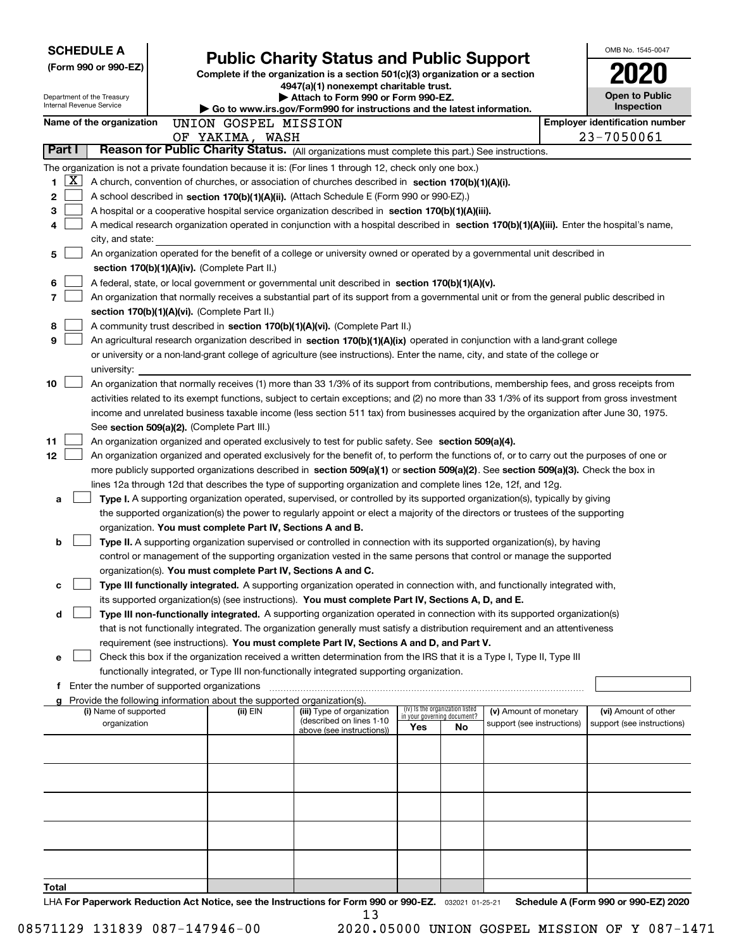| <b>SCHEDULE A</b>                                                                              |                                                                                                                                              | <b>Public Charity Status and Public Support</b>                                                                         |            |                                 |                            |                                       | OMB No. 1545-0047                                        |  |
|------------------------------------------------------------------------------------------------|----------------------------------------------------------------------------------------------------------------------------------------------|-------------------------------------------------------------------------------------------------------------------------|------------|---------------------------------|----------------------------|---------------------------------------|----------------------------------------------------------|--|
| (Form 990 or 990-EZ)                                                                           |                                                                                                                                              |                                                                                                                         |            |                                 |                            |                                       |                                                          |  |
|                                                                                                |                                                                                                                                              | Complete if the organization is a section 501(c)(3) organization or a section<br>4947(a)(1) nonexempt charitable trust. |            |                                 |                            |                                       |                                                          |  |
| Department of the Treasury                                                                     |                                                                                                                                              | Attach to Form 990 or Form 990-EZ.                                                                                      |            |                                 | <b>Open to Public</b>      |                                       |                                                          |  |
| Internal Revenue Service                                                                       |                                                                                                                                              | Go to www.irs.gov/Form990 for instructions and the latest information.                                                  |            |                                 |                            |                                       | Inspection                                               |  |
| Name of the organization                                                                       | UNION GOSPEL MISSION                                                                                                                         |                                                                                                                         |            |                                 |                            | <b>Employer identification number</b> |                                                          |  |
|                                                                                                | OF YAKIMA, WASH                                                                                                                              |                                                                                                                         |            |                                 |                            |                                       | 23-7050061                                               |  |
| Part I                                                                                         | Reason for Public Charity Status. (All organizations must complete this part.) See instructions.                                             |                                                                                                                         |            |                                 |                            |                                       |                                                          |  |
|                                                                                                | The organization is not a private foundation because it is: (For lines 1 through 12, check only one box.)                                    |                                                                                                                         |            |                                 |                            |                                       |                                                          |  |
| X  <br>1.                                                                                      | A church, convention of churches, or association of churches described in section 170(b)(1)(A)(i).                                           |                                                                                                                         |            |                                 |                            |                                       |                                                          |  |
| 2<br>A school described in section 170(b)(1)(A)(ii). (Attach Schedule E (Form 990 or 990-EZ).) |                                                                                                                                              |                                                                                                                         |            |                                 |                            |                                       |                                                          |  |
| 3                                                                                              | A hospital or a cooperative hospital service organization described in section 170(b)(1)(A)(iii).                                            |                                                                                                                         |            |                                 |                            |                                       |                                                          |  |
|                                                                                                | A medical research organization operated in conjunction with a hospital described in section 170(b)(1)(A)(iii). Enter the hospital's name,   |                                                                                                                         |            |                                 |                            |                                       |                                                          |  |
| city, and state:                                                                               |                                                                                                                                              |                                                                                                                         |            |                                 |                            |                                       |                                                          |  |
| 5                                                                                              | An organization operated for the benefit of a college or university owned or operated by a governmental unit described in                    |                                                                                                                         |            |                                 |                            |                                       |                                                          |  |
|                                                                                                | section 170(b)(1)(A)(iv). (Complete Part II.)                                                                                                |                                                                                                                         |            |                                 |                            |                                       |                                                          |  |
| 6                                                                                              | A federal, state, or local government or governmental unit described in section 170(b)(1)(A)(v).                                             |                                                                                                                         |            |                                 |                            |                                       |                                                          |  |
| 7                                                                                              | An organization that normally receives a substantial part of its support from a governmental unit or from the general public described in    |                                                                                                                         |            |                                 |                            |                                       |                                                          |  |
|                                                                                                | section 170(b)(1)(A)(vi). (Complete Part II.)                                                                                                |                                                                                                                         |            |                                 |                            |                                       |                                                          |  |
| 8                                                                                              | A community trust described in section 170(b)(1)(A)(vi). (Complete Part II.)                                                                 |                                                                                                                         |            |                                 |                            |                                       |                                                          |  |
| 9                                                                                              | An agricultural research organization described in section 170(b)(1)(A)(ix) operated in conjunction with a land-grant college                |                                                                                                                         |            |                                 |                            |                                       |                                                          |  |
|                                                                                                | or university or a non-land-grant college of agriculture (see instructions). Enter the name, city, and state of the college or               |                                                                                                                         |            |                                 |                            |                                       |                                                          |  |
| university:                                                                                    |                                                                                                                                              |                                                                                                                         |            |                                 |                            |                                       |                                                          |  |
| 10                                                                                             | An organization that normally receives (1) more than 33 1/3% of its support from contributions, membership fees, and gross receipts from     |                                                                                                                         |            |                                 |                            |                                       |                                                          |  |
|                                                                                                | activities related to its exempt functions, subject to certain exceptions; and (2) no more than 33 1/3% of its support from gross investment |                                                                                                                         |            |                                 |                            |                                       |                                                          |  |
|                                                                                                | income and unrelated business taxable income (less section 511 tax) from businesses acquired by the organization after June 30, 1975.        |                                                                                                                         |            |                                 |                            |                                       |                                                          |  |
|                                                                                                | See section 509(a)(2). (Complete Part III.)                                                                                                  |                                                                                                                         |            |                                 |                            |                                       |                                                          |  |
| 11                                                                                             | An organization organized and operated exclusively to test for public safety. See section 509(a)(4).                                         |                                                                                                                         |            |                                 |                            |                                       |                                                          |  |
| 12                                                                                             | An organization organized and operated exclusively for the benefit of, to perform the functions of, or to carry out the purposes of one or   |                                                                                                                         |            |                                 |                            |                                       |                                                          |  |
|                                                                                                | more publicly supported organizations described in section 509(a)(1) or section 509(a)(2). See section 509(a)(3). Check the box in           |                                                                                                                         |            |                                 |                            |                                       |                                                          |  |
|                                                                                                | lines 12a through 12d that describes the type of supporting organization and complete lines 12e, 12f, and 12g.                               |                                                                                                                         |            |                                 |                            |                                       |                                                          |  |
| а                                                                                              | Type I. A supporting organization operated, supervised, or controlled by its supported organization(s), typically by giving                  |                                                                                                                         |            |                                 |                            |                                       |                                                          |  |
|                                                                                                | the supported organization(s) the power to regularly appoint or elect a majority of the directors or trustees of the supporting              |                                                                                                                         |            |                                 |                            |                                       |                                                          |  |
|                                                                                                | organization. You must complete Part IV, Sections A and B.                                                                                   |                                                                                                                         |            |                                 |                            |                                       |                                                          |  |
| b                                                                                              | Type II. A supporting organization supervised or controlled in connection with its supported organization(s), by having                      |                                                                                                                         |            |                                 |                            |                                       |                                                          |  |
|                                                                                                | control or management of the supporting organization vested in the same persons that control or manage the supported                         |                                                                                                                         |            |                                 |                            |                                       |                                                          |  |
|                                                                                                | organization(s). You must complete Part IV, Sections A and C.                                                                                |                                                                                                                         |            |                                 |                            |                                       |                                                          |  |
| c                                                                                              | Type III functionally integrated. A supporting organization operated in connection with, and functionally integrated with,                   |                                                                                                                         |            |                                 |                            |                                       |                                                          |  |
|                                                                                                |                                                                                                                                              |                                                                                                                         |            |                                 |                            |                                       |                                                          |  |
|                                                                                                | its supported organization(s) (see instructions). You must complete Part IV, Sections A, D, and E.                                           |                                                                                                                         |            |                                 |                            |                                       |                                                          |  |
| d                                                                                              | Type III non-functionally integrated. A supporting organization operated in connection with its supported organization(s)                    |                                                                                                                         |            |                                 |                            |                                       |                                                          |  |
|                                                                                                | that is not functionally integrated. The organization generally must satisfy a distribution requirement and an attentiveness                 |                                                                                                                         |            |                                 |                            |                                       |                                                          |  |
|                                                                                                | requirement (see instructions). You must complete Part IV, Sections A and D, and Part V.                                                     |                                                                                                                         |            |                                 |                            |                                       |                                                          |  |
| е                                                                                              | Check this box if the organization received a written determination from the IRS that it is a Type I, Type II, Type III                      |                                                                                                                         |            |                                 |                            |                                       |                                                          |  |
|                                                                                                | functionally integrated, or Type III non-functionally integrated supporting organization.                                                    |                                                                                                                         |            |                                 |                            |                                       |                                                          |  |
|                                                                                                | <b>f</b> Enter the number of supported organizations                                                                                         |                                                                                                                         |            |                                 |                            |                                       |                                                          |  |
| (i) Name of supported                                                                          | g Provide the following information about the supported organization(s).<br>(ii) EIN                                                         | (iii) Type of organization                                                                                              |            | (iv) Is the organization listed | (v) Amount of monetary     |                                       | (vi) Amount of other                                     |  |
| organization                                                                                   |                                                                                                                                              | (described on lines 1-10                                                                                                |            | in your governing document?     | support (see instructions) |                                       | support (see instructions)                               |  |
|                                                                                                |                                                                                                                                              | above (see instructions))                                                                                               | <b>Yes</b> | <b>No</b>                       |                            |                                       |                                                          |  |
|                                                                                                |                                                                                                                                              |                                                                                                                         |            |                                 |                            |                                       |                                                          |  |
|                                                                                                |                                                                                                                                              |                                                                                                                         |            |                                 |                            |                                       |                                                          |  |
|                                                                                                |                                                                                                                                              |                                                                                                                         |            |                                 |                            |                                       |                                                          |  |
|                                                                                                |                                                                                                                                              |                                                                                                                         |            |                                 |                            |                                       |                                                          |  |
|                                                                                                |                                                                                                                                              |                                                                                                                         |            |                                 |                            |                                       |                                                          |  |
|                                                                                                |                                                                                                                                              |                                                                                                                         |            |                                 |                            |                                       |                                                          |  |
|                                                                                                |                                                                                                                                              |                                                                                                                         |            |                                 |                            |                                       |                                                          |  |
|                                                                                                |                                                                                                                                              |                                                                                                                         |            |                                 |                            |                                       |                                                          |  |
|                                                                                                |                                                                                                                                              |                                                                                                                         |            |                                 |                            |                                       |                                                          |  |
|                                                                                                |                                                                                                                                              |                                                                                                                         |            |                                 |                            |                                       |                                                          |  |
| Total                                                                                          |                                                                                                                                              |                                                                                                                         |            |                                 |                            |                                       |                                                          |  |
|                                                                                                |                                                                                                                                              |                                                                                                                         |            |                                 |                            |                                       | $A / F_{\text{num}}$ 000 $_{\text{num}}$ 000 $F$ 7) 0000 |  |

LHA For Paperwork Reduction Act Notice, see the Instructions for Form 990 or 990-EZ. <sub>032021</sub> o1-25-21 Schedule A (Form 990 or 990-EZ) 2020 13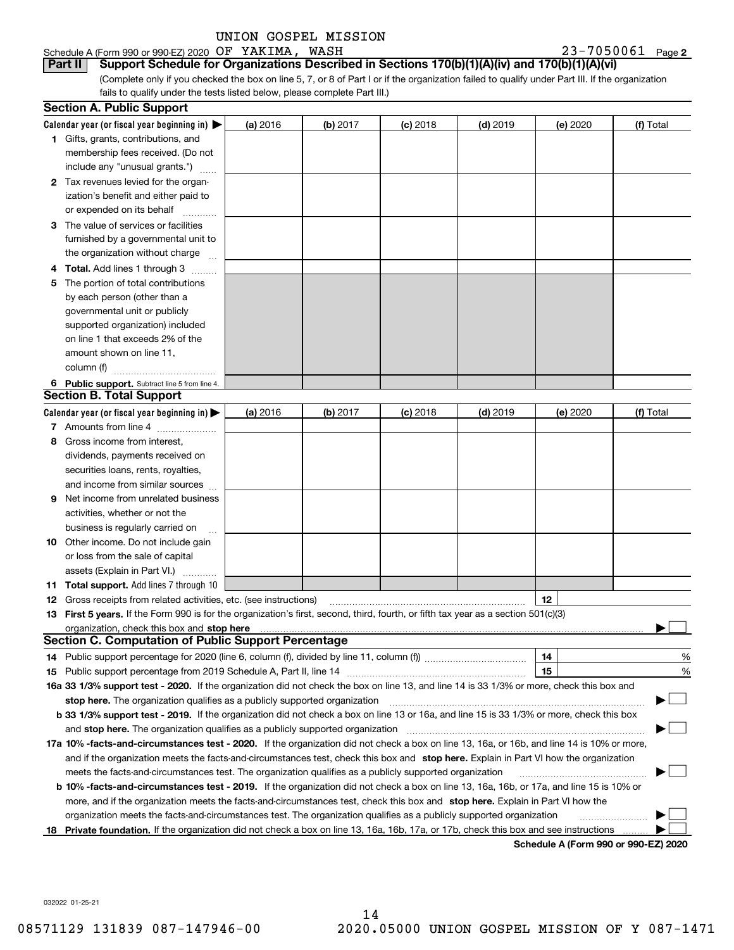#### Schedule A (Form 990 or 990-EZ) 2020 Page OF YAKIMA, WASH 23-7050061

**Part II Support Schedule for Organizations Described in Sections 170(b)(1)(A)(iv) and 170(b)(1)(A)(vi)**

23-7050061 Page 2

(Complete only if you checked the box on line 5, 7, or 8 of Part I or if the organization failed to qualify under Part III. If the organization fails to qualify under the tests listed below, please complete Part III.)

|    | <b>Section A. Public Support</b>                                                                                                                                                                                               |          |          |            |            |                                      |           |
|----|--------------------------------------------------------------------------------------------------------------------------------------------------------------------------------------------------------------------------------|----------|----------|------------|------------|--------------------------------------|-----------|
|    | Calendar year (or fiscal year beginning in) $\blacktriangleright$                                                                                                                                                              | (a) 2016 | (b) 2017 | $(c)$ 2018 | $(d)$ 2019 | (e) 2020                             | (f) Total |
|    | 1 Gifts, grants, contributions, and                                                                                                                                                                                            |          |          |            |            |                                      |           |
|    | membership fees received. (Do not                                                                                                                                                                                              |          |          |            |            |                                      |           |
|    | include any "unusual grants.")                                                                                                                                                                                                 |          |          |            |            |                                      |           |
|    | 2 Tax revenues levied for the organ-                                                                                                                                                                                           |          |          |            |            |                                      |           |
|    | ization's benefit and either paid to                                                                                                                                                                                           |          |          |            |            |                                      |           |
|    | or expended on its behalf                                                                                                                                                                                                      |          |          |            |            |                                      |           |
|    | 3 The value of services or facilities                                                                                                                                                                                          |          |          |            |            |                                      |           |
|    | furnished by a governmental unit to                                                                                                                                                                                            |          |          |            |            |                                      |           |
|    | the organization without charge                                                                                                                                                                                                |          |          |            |            |                                      |           |
|    | 4 Total. Add lines 1 through 3<br>$\sim$                                                                                                                                                                                       |          |          |            |            |                                      |           |
| 5. | The portion of total contributions                                                                                                                                                                                             |          |          |            |            |                                      |           |
|    | by each person (other than a                                                                                                                                                                                                   |          |          |            |            |                                      |           |
|    | governmental unit or publicly                                                                                                                                                                                                  |          |          |            |            |                                      |           |
|    | supported organization) included                                                                                                                                                                                               |          |          |            |            |                                      |           |
|    | on line 1 that exceeds 2% of the                                                                                                                                                                                               |          |          |            |            |                                      |           |
|    | amount shown on line 11,                                                                                                                                                                                                       |          |          |            |            |                                      |           |
|    | column (f)                                                                                                                                                                                                                     |          |          |            |            |                                      |           |
|    | 6 Public support. Subtract line 5 from line 4.                                                                                                                                                                                 |          |          |            |            |                                      |           |
|    | <b>Section B. Total Support</b>                                                                                                                                                                                                |          |          |            |            |                                      |           |
|    | Calendar year (or fiscal year beginning in) $\blacktriangleright$                                                                                                                                                              | (a) 2016 | (b) 2017 | $(c)$ 2018 | $(d)$ 2019 | (e) 2020                             | (f) Total |
|    | 7 Amounts from line 4                                                                                                                                                                                                          |          |          |            |            |                                      |           |
| 8  | Gross income from interest,                                                                                                                                                                                                    |          |          |            |            |                                      |           |
|    | dividends, payments received on                                                                                                                                                                                                |          |          |            |            |                                      |           |
|    | securities loans, rents, royalties,                                                                                                                                                                                            |          |          |            |            |                                      |           |
|    | and income from similar sources                                                                                                                                                                                                |          |          |            |            |                                      |           |
|    | <b>9</b> Net income from unrelated business                                                                                                                                                                                    |          |          |            |            |                                      |           |
|    | activities, whether or not the                                                                                                                                                                                                 |          |          |            |            |                                      |           |
|    | business is regularly carried on                                                                                                                                                                                               |          |          |            |            |                                      |           |
|    | <b>10</b> Other income. Do not include gain                                                                                                                                                                                    |          |          |            |            |                                      |           |
|    | or loss from the sale of capital                                                                                                                                                                                               |          |          |            |            |                                      |           |
|    | assets (Explain in Part VI.)                                                                                                                                                                                                   |          |          |            |            |                                      |           |
|    | <b>11 Total support.</b> Add lines 7 through 10                                                                                                                                                                                |          |          |            |            |                                      |           |
|    | <b>12</b> Gross receipts from related activities, etc. (see instructions)                                                                                                                                                      |          |          |            |            | 12                                   |           |
|    | 13 First 5 years. If the Form 990 is for the organization's first, second, third, fourth, or fifth tax year as a section 501(c)(3)                                                                                             |          |          |            |            |                                      |           |
|    | organization, check this box and stop here manufactured and the content of the state of the content of the content of the content of the content of the content of the content of the content of the content of the content of |          |          |            |            |                                      |           |
|    | <b>Section C. Computation of Public Support Percentage</b>                                                                                                                                                                     |          |          |            |            |                                      |           |
|    | 14 Public support percentage for 2020 (line 6, column (f), divided by line 11, column (f) <i>mummumumum</i>                                                                                                                    |          |          |            |            | 14                                   | %         |
|    |                                                                                                                                                                                                                                |          |          |            |            | 15                                   | %         |
|    | 16a 33 1/3% support test - 2020. If the organization did not check the box on line 13, and line 14 is 33 1/3% or more, check this box and                                                                                      |          |          |            |            |                                      |           |
|    | stop here. The organization qualifies as a publicly supported organization                                                                                                                                                     |          |          |            |            |                                      |           |
|    | b 33 1/3% support test - 2019. If the organization did not check a box on line 13 or 16a, and line 15 is 33 1/3% or more, check this box                                                                                       |          |          |            |            |                                      |           |
|    | and stop here. The organization qualifies as a publicly supported organization                                                                                                                                                 |          |          |            |            |                                      |           |
|    | 17a 10% -facts-and-circumstances test - 2020. If the organization did not check a box on line 13, 16a, or 16b, and line 14 is 10% or more,                                                                                     |          |          |            |            |                                      |           |
|    | and if the organization meets the facts-and-circumstances test, check this box and stop here. Explain in Part VI how the organization                                                                                          |          |          |            |            |                                      |           |
|    | meets the facts-and-circumstances test. The organization qualifies as a publicly supported organization                                                                                                                        |          |          |            |            |                                      |           |
|    | <b>b 10% -facts-and-circumstances test - 2019.</b> If the organization did not check a box on line 13, 16a, 16b, or 17a, and line 15 is 10% or                                                                                 |          |          |            |            |                                      |           |
|    | more, and if the organization meets the facts-and-circumstances test, check this box and stop here. Explain in Part VI how the                                                                                                 |          |          |            |            |                                      |           |
|    | organization meets the facts-and-circumstances test. The organization qualifies as a publicly supported organization                                                                                                           |          |          |            |            |                                      |           |
|    | 18 Private foundation. If the organization did not check a box on line 13, 16a, 16b, 17a, or 17b, check this box and see instructions                                                                                          |          |          |            |            |                                      |           |
|    |                                                                                                                                                                                                                                |          |          |            |            | Schodule A (Form 000 or 000 F7) 2020 |           |

**Schedule A (Form 990 or 990-EZ) 2020**

032022 01-25-21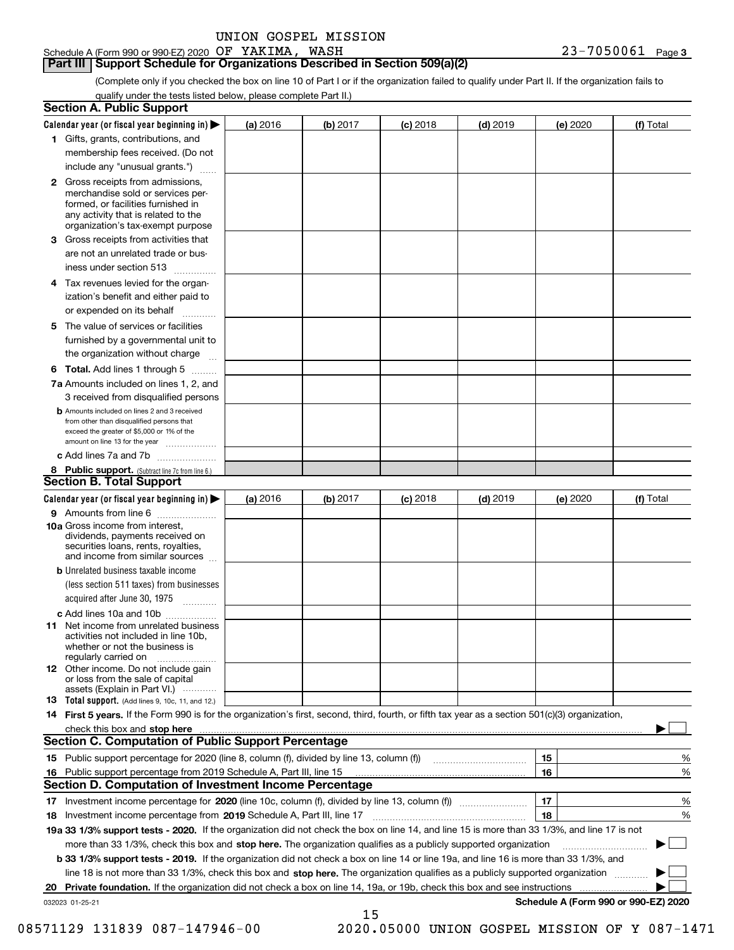|  | UNION GOSPEL MISSION |
|--|----------------------|
|  |                      |

Schedule A (Form 990 or 990-EZ) 2020 Page OF YAKIMA, WASH 23-7050061

#### **Part III Support Schedule for Organizations Described in Section 509(a)(2)**

(Complete only if you checked the box on line 10 of Part I or if the organization failed to qualify under Part II. If the organization fails to qualify under the tests listed below, please complete Part II.)

| <b>Section A. Public Support</b>                                                                                                                                                         |          |          |            |            |          |                                      |
|------------------------------------------------------------------------------------------------------------------------------------------------------------------------------------------|----------|----------|------------|------------|----------|--------------------------------------|
| Calendar year (or fiscal year beginning in) $\blacktriangleright$                                                                                                                        | (a) 2016 | (b) 2017 | $(c)$ 2018 | $(d)$ 2019 | (e) 2020 | (f) Total                            |
| 1 Gifts, grants, contributions, and                                                                                                                                                      |          |          |            |            |          |                                      |
| membership fees received. (Do not                                                                                                                                                        |          |          |            |            |          |                                      |
| include any "unusual grants.")                                                                                                                                                           |          |          |            |            |          |                                      |
| 2 Gross receipts from admissions,<br>merchandise sold or services per-<br>formed, or facilities furnished in<br>any activity that is related to the<br>organization's tax-exempt purpose |          |          |            |            |          |                                      |
| 3 Gross receipts from activities that<br>are not an unrelated trade or bus-                                                                                                              |          |          |            |            |          |                                      |
| iness under section 513                                                                                                                                                                  |          |          |            |            |          |                                      |
| 4 Tax revenues levied for the organ-<br>ization's benefit and either paid to<br>or expended on its behalf<br>.                                                                           |          |          |            |            |          |                                      |
| 5 The value of services or facilities<br>furnished by a governmental unit to<br>the organization without charge                                                                          |          |          |            |            |          |                                      |
| <b>6 Total.</b> Add lines 1 through 5                                                                                                                                                    |          |          |            |            |          |                                      |
| 7a Amounts included on lines 1, 2, and<br>3 received from disqualified persons                                                                                                           |          |          |            |            |          |                                      |
| <b>b</b> Amounts included on lines 2 and 3 received<br>from other than disqualified persons that<br>exceed the greater of \$5,000 or 1% of the<br>amount on line 13 for the year         |          |          |            |            |          |                                      |
| c Add lines 7a and 7b                                                                                                                                                                    |          |          |            |            |          |                                      |
| 8 Public support. (Subtract line 7c from line 6.)<br><b>Section B. Total Support</b>                                                                                                     |          |          |            |            |          |                                      |
| Calendar year (or fiscal year beginning in) $\blacktriangleright$                                                                                                                        | (a) 2016 | (b) 2017 | $(c)$ 2018 | $(d)$ 2019 | (e) 2020 | (f) Total                            |
| 9 Amounts from line 6                                                                                                                                                                    |          |          |            |            |          |                                      |
| 10a Gross income from interest,<br>dividends, payments received on<br>securities loans, rents, royalties,<br>and income from similar sources                                             |          |          |            |            |          |                                      |
| <b>b</b> Unrelated business taxable income<br>(less section 511 taxes) from businesses<br>acquired after June 30, 1975<br>1.1.1.1.1.1.1.1.1.1                                            |          |          |            |            |          |                                      |
| c Add lines 10a and 10b                                                                                                                                                                  |          |          |            |            |          |                                      |
| <b>11</b> Net income from unrelated business<br>activities not included in line 10b.<br>whether or not the business is<br>regularly carried on                                           |          |          |            |            |          |                                      |
| <b>12</b> Other income. Do not include gain<br>or loss from the sale of capital<br>assets (Explain in Part VI.)                                                                          |          |          |            |            |          |                                      |
| <b>13</b> Total support. (Add lines 9, 10c, 11, and 12.)                                                                                                                                 |          |          |            |            |          |                                      |
| 14 First 5 years. If the Form 990 is for the organization's first, second, third, fourth, or fifth tax year as a section 501(c)(3) organization,                                         |          |          |            |            |          |                                      |
| check this box and stop here <b>contained the contained and all and stream and stop here</b> in the character of the c                                                                   |          |          |            |            |          |                                      |
| <b>Section C. Computation of Public Support Percentage</b>                                                                                                                               |          |          |            |            |          |                                      |
|                                                                                                                                                                                          |          |          |            |            | 15       | %                                    |
| 16 Public support percentage from 2019 Schedule A, Part III, line 15                                                                                                                     |          |          |            |            | 16       | %                                    |
| <b>Section D. Computation of Investment Income Percentage</b>                                                                                                                            |          |          |            |            |          |                                      |
| 17 Investment income percentage for 2020 (line 10c, column (f), divided by line 13, column (f))                                                                                          |          |          |            |            | 17       | %                                    |
| 18 Investment income percentage from 2019 Schedule A, Part III, line 17                                                                                                                  |          |          |            |            | 18       | %                                    |
| 19a 33 1/3% support tests - 2020. If the organization did not check the box on line 14, and line 15 is more than 33 1/3%, and line 17 is not                                             |          |          |            |            |          |                                      |
| more than 33 1/3%, check this box and stop here. The organization qualifies as a publicly supported organization                                                                         |          |          |            |            |          |                                      |
| b 33 1/3% support tests - 2019. If the organization did not check a box on line 14 or line 19a, and line 16 is more than 33 1/3%, and                                                    |          |          |            |            |          |                                      |
| line 18 is not more than 33 1/3%, check this box and stop here. The organization qualifies as a publicly supported organization                                                          |          |          |            |            |          |                                      |
| 20 Private foundation. If the organization did not check a box on line 14, 19a, or 19b, check this box and see instructions                                                              |          |          |            |            |          | .                                    |
| 032023 01-25-21                                                                                                                                                                          |          | 15       |            |            |          | Schedule A (Form 990 or 990-EZ) 2020 |

 <sup>08571129 131839 087-147946-00 2020.05000</sup> UNION GOSPEL MISSION OF Y 087-1471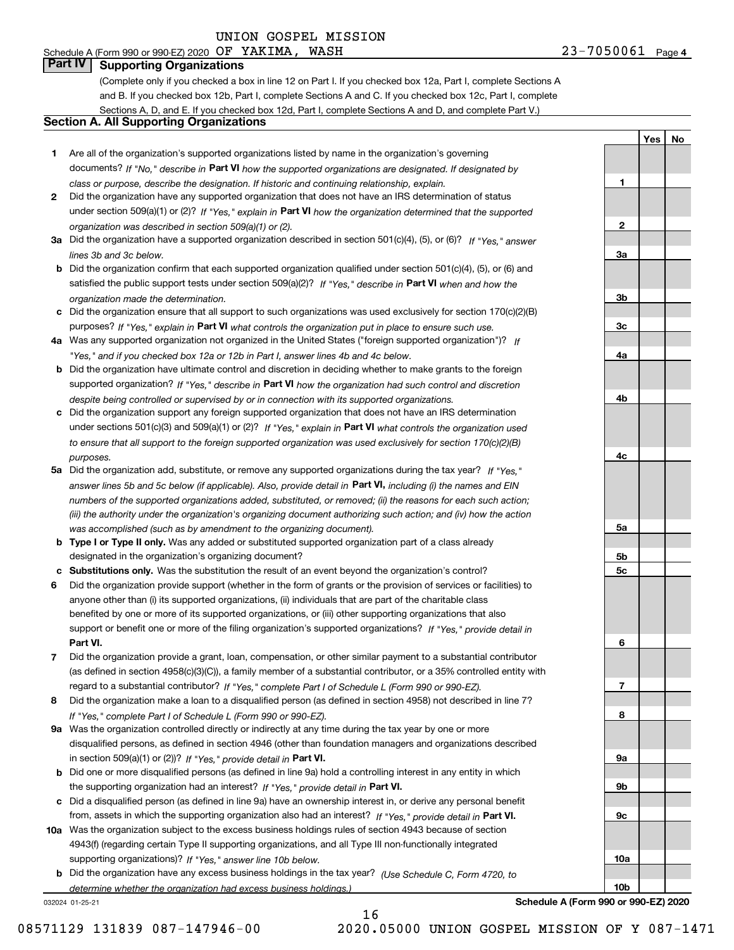# Schedule A (Form 990 or 990-EZ) 2020 Page OF YAKIMA, WASH 23-7050061

## **Part IV Supporting Organizations**

(Complete only if you checked a box in line 12 on Part I. If you checked box 12a, Part I, complete Sections A and B. If you checked box 12b, Part I, complete Sections A and C. If you checked box 12c, Part I, complete Sections A, D, and E. If you checked box 12d, Part I, complete Sections A and D, and complete Part V.)

#### **Section A. All Supporting Organizations**

- **1** Are all of the organization's supported organizations listed by name in the organization's governing documents? If "No," describe in **Part VI** how the supported organizations are designated. If designated by *class or purpose, describe the designation. If historic and continuing relationship, explain.*
- **2** Did the organization have any supported organization that does not have an IRS determination of status under section 509(a)(1) or (2)? If "Yes," explain in Part VI how the organization determined that the supported *organization was described in section 509(a)(1) or (2).*
- **3a** Did the organization have a supported organization described in section 501(c)(4), (5), or (6)? If "Yes," answer *lines 3b and 3c below.*
- **b** Did the organization confirm that each supported organization qualified under section 501(c)(4), (5), or (6) and satisfied the public support tests under section 509(a)(2)? If "Yes," describe in **Part VI** when and how the *organization made the determination.*
- **c**Did the organization ensure that all support to such organizations was used exclusively for section 170(c)(2)(B) purposes? If "Yes," explain in **Part VI** what controls the organization put in place to ensure such use.
- **4a***If* Was any supported organization not organized in the United States ("foreign supported organization")? *"Yes," and if you checked box 12a or 12b in Part I, answer lines 4b and 4c below.*
- **b** Did the organization have ultimate control and discretion in deciding whether to make grants to the foreign supported organization? If "Yes," describe in **Part VI** how the organization had such control and discretion *despite being controlled or supervised by or in connection with its supported organizations.*
- **c** Did the organization support any foreign supported organization that does not have an IRS determination under sections 501(c)(3) and 509(a)(1) or (2)? If "Yes," explain in **Part VI** what controls the organization used *to ensure that all support to the foreign supported organization was used exclusively for section 170(c)(2)(B) purposes.*
- **5a** Did the organization add, substitute, or remove any supported organizations during the tax year? If "Yes," answer lines 5b and 5c below (if applicable). Also, provide detail in **Part VI,** including (i) the names and EIN *numbers of the supported organizations added, substituted, or removed; (ii) the reasons for each such action; (iii) the authority under the organization's organizing document authorizing such action; and (iv) how the action was accomplished (such as by amendment to the organizing document).*
- **b** Type I or Type II only. Was any added or substituted supported organization part of a class already designated in the organization's organizing document?
- **cSubstitutions only.**  Was the substitution the result of an event beyond the organization's control?
- **6** Did the organization provide support (whether in the form of grants or the provision of services or facilities) to **Part VI.** *If "Yes," provide detail in* support or benefit one or more of the filing organization's supported organizations? anyone other than (i) its supported organizations, (ii) individuals that are part of the charitable class benefited by one or more of its supported organizations, or (iii) other supporting organizations that also
- **7**Did the organization provide a grant, loan, compensation, or other similar payment to a substantial contributor *If "Yes," complete Part I of Schedule L (Form 990 or 990-EZ).* regard to a substantial contributor? (as defined in section 4958(c)(3)(C)), a family member of a substantial contributor, or a 35% controlled entity with
- **8** Did the organization make a loan to a disqualified person (as defined in section 4958) not described in line 7? *If "Yes," complete Part I of Schedule L (Form 990 or 990-EZ).*
- **9a** Was the organization controlled directly or indirectly at any time during the tax year by one or more in section 509(a)(1) or (2))? If "Yes," *provide detail in* <code>Part VI.</code> disqualified persons, as defined in section 4946 (other than foundation managers and organizations described
- **b**the supporting organization had an interest? If "Yes," provide detail in P**art VI**. Did one or more disqualified persons (as defined in line 9a) hold a controlling interest in any entity in which
- **c**Did a disqualified person (as defined in line 9a) have an ownership interest in, or derive any personal benefit from, assets in which the supporting organization also had an interest? If "Yes," provide detail in P**art VI.**
- **10a** Was the organization subject to the excess business holdings rules of section 4943 because of section supporting organizations)? If "Yes," answer line 10b below. 4943(f) (regarding certain Type II supporting organizations, and all Type III non-functionally integrated
- **b** Did the organization have any excess business holdings in the tax year? (Use Schedule C, Form 4720, to *determine whether the organization had excess business holdings.)*

16

032024 01-25-21

**123a3b3c4a4b4c5a 5b5c6789a 9b9c10a10b**

**Schedule A (Form 990 or 990-EZ) 2020**

08571129 131839 087-147946-00 2020.05000 UNION GOSPEL MISSION OF Y 087-1471

**YesNo**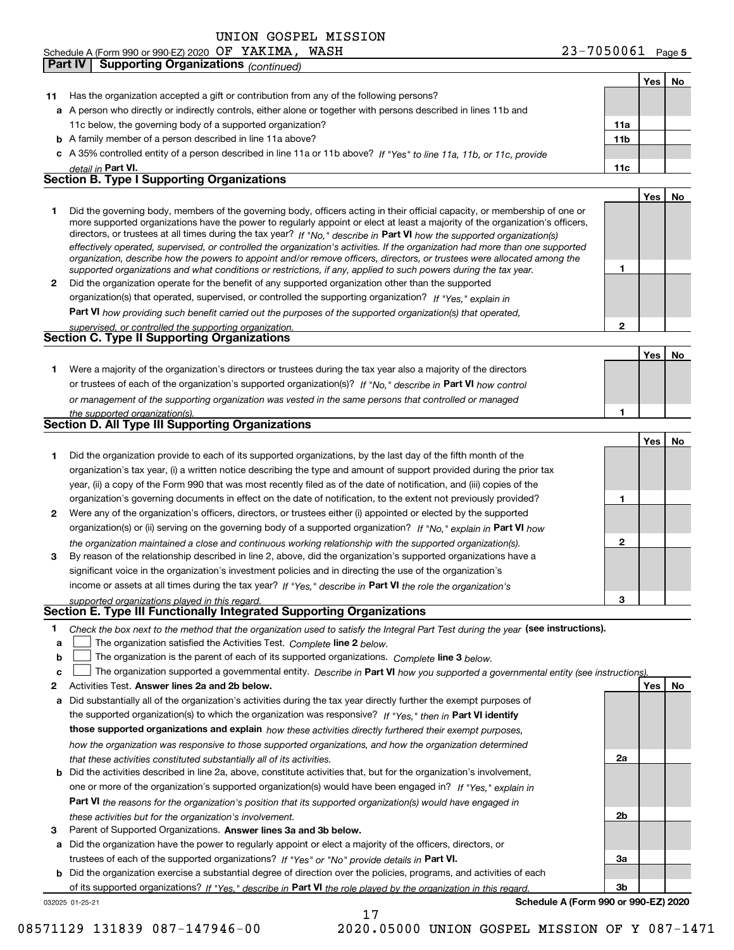Schedule A (Form 990 or 990-EZ) 2020 OF YAKIMA, WASH

|              | <b>Supporting Organizations (continued)</b><br>Part IV                                                                                                                                                                                                    |                 |     |    |
|--------------|-----------------------------------------------------------------------------------------------------------------------------------------------------------------------------------------------------------------------------------------------------------|-----------------|-----|----|
|              |                                                                                                                                                                                                                                                           |                 | Yes | No |
| 11.          | Has the organization accepted a gift or contribution from any of the following persons?                                                                                                                                                                   |                 |     |    |
|              | a A person who directly or indirectly controls, either alone or together with persons described in lines 11b and                                                                                                                                          |                 |     |    |
|              | 11c below, the governing body of a supported organization?                                                                                                                                                                                                | 11a             |     |    |
|              | <b>b</b> A family member of a person described in line 11a above?                                                                                                                                                                                         | 11 <sub>b</sub> |     |    |
|              | c A 35% controlled entity of a person described in line 11a or 11b above? If "Yes" to line 11a, 11b, or 11c, provide                                                                                                                                      |                 |     |    |
|              | detail in <b>Part VI.</b>                                                                                                                                                                                                                                 | 11c             |     |    |
|              | <b>Section B. Type I Supporting Organizations</b>                                                                                                                                                                                                         |                 |     |    |
|              |                                                                                                                                                                                                                                                           |                 | Yes | No |
| 1            | Did the governing body, members of the governing body, officers acting in their official capacity, or membership of one or                                                                                                                                |                 |     |    |
|              | more supported organizations have the power to regularly appoint or elect at least a majority of the organization's officers,                                                                                                                             |                 |     |    |
|              | directors, or trustees at all times during the tax year? If "No," describe in Part VI how the supported organization(s)<br>effectively operated, supervised, or controlled the organization's activities. If the organization had more than one supported |                 |     |    |
|              | organization, describe how the powers to appoint and/or remove officers, directors, or trustees were allocated among the                                                                                                                                  |                 |     |    |
|              | supported organizations and what conditions or restrictions, if any, applied to such powers during the tax year.                                                                                                                                          | 1               |     |    |
| $\mathbf{2}$ | Did the organization operate for the benefit of any supported organization other than the supported                                                                                                                                                       |                 |     |    |
|              | organization(s) that operated, supervised, or controlled the supporting organization? If "Yes," explain in                                                                                                                                                |                 |     |    |
|              | <b>Part VI</b> how providing such benefit carried out the purposes of the supported organization(s) that operated,                                                                                                                                        |                 |     |    |
|              | supervised, or controlled the supporting organization.                                                                                                                                                                                                    | $\mathbf{2}$    |     |    |
|              | <b>Section C. Type II Supporting Organizations</b>                                                                                                                                                                                                        |                 |     |    |
|              |                                                                                                                                                                                                                                                           |                 | Yes | No |
| 1.           | Were a majority of the organization's directors or trustees during the tax year also a majority of the directors                                                                                                                                          |                 |     |    |
|              | or trustees of each of the organization's supported organization(s)? If "No," describe in Part VI how control                                                                                                                                             |                 |     |    |
|              | or management of the supporting organization was vested in the same persons that controlled or managed                                                                                                                                                    |                 |     |    |
|              | the supported organization(s).                                                                                                                                                                                                                            | 1               |     |    |
|              | <b>Section D. All Type III Supporting Organizations</b>                                                                                                                                                                                                   |                 |     |    |
|              |                                                                                                                                                                                                                                                           |                 | Yes | No |
| 1.           | Did the organization provide to each of its supported organizations, by the last day of the fifth month of the                                                                                                                                            |                 |     |    |
|              | organization's tax year, (i) a written notice describing the type and amount of support provided during the prior tax                                                                                                                                     |                 |     |    |
|              | year, (ii) a copy of the Form 990 that was most recently filed as of the date of notification, and (iii) copies of the                                                                                                                                    |                 |     |    |
|              | organization's governing documents in effect on the date of notification, to the extent not previously provided?                                                                                                                                          | 1               |     |    |
| 2            | Were any of the organization's officers, directors, or trustees either (i) appointed or elected by the supported                                                                                                                                          |                 |     |    |
|              | organization(s) or (ii) serving on the governing body of a supported organization? If "No," explain in Part VI how                                                                                                                                        |                 |     |    |
|              | the organization maintained a close and continuous working relationship with the supported organization(s).                                                                                                                                               | 2               |     |    |
| 3            | By reason of the relationship described in line 2, above, did the organization's supported organizations have a                                                                                                                                           |                 |     |    |
|              | significant voice in the organization's investment policies and in directing the use of the organization's                                                                                                                                                |                 |     |    |
|              | income or assets at all times during the tax year? If "Yes," describe in Part VI the role the organization's                                                                                                                                              |                 |     |    |
|              | supported organizations played in this regard.<br>Section E. Type III Functionally Integrated Supporting Organizations                                                                                                                                    | 3               |     |    |
|              |                                                                                                                                                                                                                                                           |                 |     |    |
| 1            | Check the box next to the method that the organization used to satisfy the Integral Part Test during the year (see instructions).                                                                                                                         |                 |     |    |
| a            | The organization satisfied the Activities Test. Complete line 2 below.                                                                                                                                                                                    |                 |     |    |
| b            | The organization is the parent of each of its supported organizations. Complete line 3 below.                                                                                                                                                             |                 |     |    |
| c            | The organization supported a governmental entity. Describe in Part VI how you supported a governmental entity (see instructions).                                                                                                                         |                 |     |    |
| 2            | Activities Test. Answer lines 2a and 2b below.                                                                                                                                                                                                            |                 | Yes | No |
| а            | Did substantially all of the organization's activities during the tax year directly further the exempt purposes of                                                                                                                                        |                 |     |    |
|              | the supported organization(s) to which the organization was responsive? If "Yes," then in Part VI identify                                                                                                                                                |                 |     |    |
|              | those supported organizations and explain how these activities directly furthered their exempt purposes,                                                                                                                                                  |                 |     |    |
|              | how the organization was responsive to those supported organizations, and how the organization determined                                                                                                                                                 | 2a              |     |    |
|              | that these activities constituted substantially all of its activities.<br><b>b</b> Did the activities described in line 2a, above, constitute activities that, but for the organization's involvement,                                                    |                 |     |    |
|              | one or more of the organization's supported organization(s) would have been engaged in? If "Yes," explain in                                                                                                                                              |                 |     |    |
|              |                                                                                                                                                                                                                                                           |                 |     |    |
|              | <b>Part VI</b> the reasons for the organization's position that its supported organization(s) would have engaged in                                                                                                                                       | 2b              |     |    |
| з            | these activities but for the organization's involvement.<br>Parent of Supported Organizations. Answer lines 3a and 3b below.                                                                                                                              |                 |     |    |
|              | a Did the organization have the power to regularly appoint or elect a majority of the officers, directors, or                                                                                                                                             |                 |     |    |
|              | trustees of each of the supported organizations? If "Yes" or "No" provide details in Part VI.                                                                                                                                                             | 3a              |     |    |

**b** Did the organization exercise a substantial degree of direction over the policies, programs, and activities of each trustees of each of the supported organizations? If "Yes" or "No" provide details in **Part VI.** of its supported organizations? If "Yes," describe in Part VI the role played by the organization in this regard.

17

**Schedule A (Form 990 or 990-EZ) 2020**

**3b**

032025 01-25-21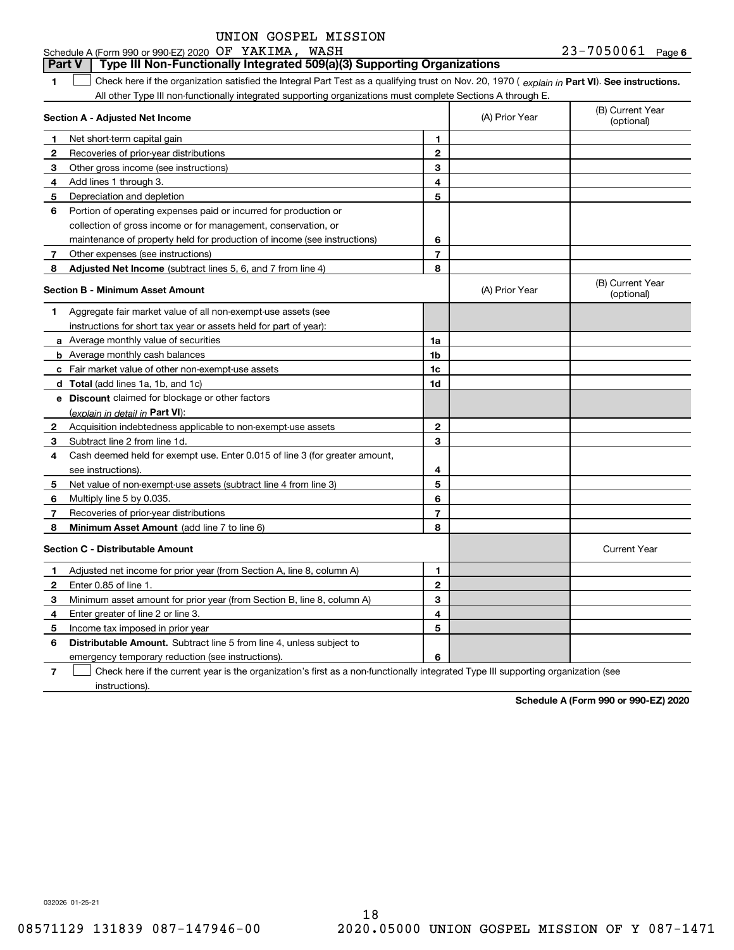| Schedule A (Form 990 or 990-EZ) 2020 $OF$ $YAKIMA$ , |  | WASH | 23-7050061 | Page 6 |
|------------------------------------------------------|--|------|------------|--------|
|------------------------------------------------------|--|------|------------|--------|

#### **Part V Type III Non-Functionally Integrated 509(a)(3) Supporting Organizations**

**1**1 Check here if the organization satisfied the Integral Part Test as a qualifying trust on Nov. 20, 1970 (explain in Part VI). See instructions. All other Type III non-functionally integrated supporting organizations must complete Sections A through E.

|    | Section A - Adjusted Net Income                                             |                | (A) Prior Year | (B) Current Year<br>(optional) |
|----|-----------------------------------------------------------------------------|----------------|----------------|--------------------------------|
| 1. | Net short-term capital gain                                                 | 1              |                |                                |
| 2  | Recoveries of prior-year distributions                                      | $\overline{2}$ |                |                                |
| 3  | Other gross income (see instructions)                                       | 3              |                |                                |
| 4  | Add lines 1 through 3.                                                      | 4              |                |                                |
| 5  | Depreciation and depletion                                                  | 5              |                |                                |
| 6  | Portion of operating expenses paid or incurred for production or            |                |                |                                |
|    | collection of gross income or for management, conservation, or              |                |                |                                |
|    | maintenance of property held for production of income (see instructions)    | 6              |                |                                |
| 7  | Other expenses (see instructions)                                           | $\overline{7}$ |                |                                |
| 8  | Adjusted Net Income (subtract lines 5, 6, and 7 from line 4)                | 8              |                |                                |
|    | <b>Section B - Minimum Asset Amount</b>                                     |                | (A) Prior Year | (B) Current Year<br>(optional) |
| 1  | Aggregate fair market value of all non-exempt-use assets (see               |                |                |                                |
|    | instructions for short tax year or assets held for part of year):           |                |                |                                |
|    | a Average monthly value of securities                                       | 1a             |                |                                |
|    | <b>b</b> Average monthly cash balances                                      | 1b             |                |                                |
|    | c Fair market value of other non-exempt-use assets                          | 1c             |                |                                |
|    | <b>d</b> Total (add lines 1a, 1b, and 1c)                                   | 1d             |                |                                |
|    | e Discount claimed for blockage or other factors                            |                |                |                                |
|    | (explain in detail in Part VI):                                             |                |                |                                |
| 2  | Acquisition indebtedness applicable to non-exempt-use assets                | $\mathbf{2}$   |                |                                |
| З  | Subtract line 2 from line 1d.                                               | 3              |                |                                |
| 4  | Cash deemed held for exempt use. Enter 0.015 of line 3 (for greater amount, |                |                |                                |
|    | see instructions).                                                          | 4              |                |                                |
| 5  | Net value of non-exempt-use assets (subtract line 4 from line 3)            | 5              |                |                                |
| 6  | Multiply line 5 by 0.035.                                                   | 6              |                |                                |
| 7  | Recoveries of prior-year distributions                                      | $\overline{7}$ |                |                                |
| 8  | Minimum Asset Amount (add line 7 to line 6)                                 | 8              |                |                                |
|    | <b>Section C - Distributable Amount</b>                                     |                |                | <b>Current Year</b>            |
| 1  | Adjusted net income for prior year (from Section A, line 8, column A)       | 1              |                |                                |
| 2  | Enter 0.85 of line 1.                                                       | $\overline{2}$ |                |                                |
| 3  | Minimum asset amount for prior year (from Section B, line 8, column A)      | 3              |                |                                |
| 4  | Enter greater of line 2 or line 3.                                          | 4              |                |                                |
| 5  | Income tax imposed in prior year                                            | 5              |                |                                |
| 6  | <b>Distributable Amount.</b> Subtract line 5 from line 4, unless subject to |                |                |                                |
|    | emergency temporary reduction (see instructions).                           | 6              |                |                                |
|    |                                                                             |                |                |                                |

**7**Check here if the current year is the organization's first as a non-functionally integrated Type III supporting organization (see instructions).

**Schedule A (Form 990 or 990-EZ) 2020**

032026 01-25-21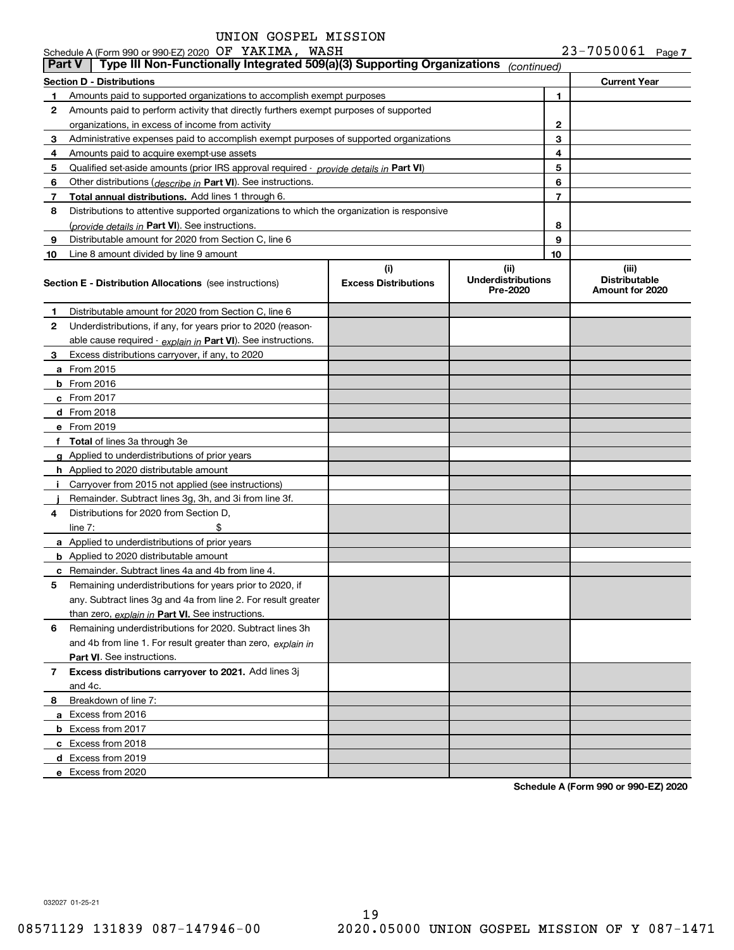|               | Schedule A (Form 990 or 990-EZ) 2020 OF YAKIMA, WASH                                          |                                    |                                               |                | $23 - 7050061$ Page 7                            |  |
|---------------|-----------------------------------------------------------------------------------------------|------------------------------------|-----------------------------------------------|----------------|--------------------------------------------------|--|
| <b>Part V</b> | Type III Non-Functionally Integrated 509(a)(3) Supporting Organizations                       |                                    | (continued)                                   |                |                                                  |  |
|               | Section D - Distributions                                                                     |                                    |                                               |                | <b>Current Year</b>                              |  |
| 1.            | Amounts paid to supported organizations to accomplish exempt purposes                         |                                    |                                               | 1              |                                                  |  |
| 2             | Amounts paid to perform activity that directly furthers exempt purposes of supported          |                                    |                                               |                |                                                  |  |
|               | organizations, in excess of income from activity                                              | 2                                  |                                               |                |                                                  |  |
| 3             | Administrative expenses paid to accomplish exempt purposes of supported organizations         |                                    |                                               | 3              |                                                  |  |
| 4             | Amounts paid to acquire exempt-use assets                                                     |                                    |                                               | 4              |                                                  |  |
| 5             | Qualified set-aside amounts (prior IRS approval required - <i>provide details in</i> Part VI) |                                    |                                               | 5              |                                                  |  |
| 6             | Other distributions ( <i>describe in</i> Part VI). See instructions.                          |                                    |                                               | 6              |                                                  |  |
| 7             | Total annual distributions. Add lines 1 through 6.                                            |                                    |                                               | $\overline{7}$ |                                                  |  |
| 8             | Distributions to attentive supported organizations to which the organization is responsive    |                                    |                                               |                |                                                  |  |
|               | (provide details in Part VI). See instructions.                                               |                                    |                                               | 8              |                                                  |  |
| 9             | Distributable amount for 2020 from Section C, line 6                                          |                                    |                                               | 9              |                                                  |  |
| 10            | Line 8 amount divided by line 9 amount                                                        |                                    |                                               | 10             |                                                  |  |
|               | <b>Section E - Distribution Allocations</b> (see instructions)                                | (i)<br><b>Excess Distributions</b> | (ii)<br><b>Underdistributions</b><br>Pre-2020 |                | (iii)<br><b>Distributable</b><br>Amount for 2020 |  |
| 1             | Distributable amount for 2020 from Section C, line 6                                          |                                    |                                               |                |                                                  |  |
| 2             | Underdistributions, if any, for years prior to 2020 (reason-                                  |                                    |                                               |                |                                                  |  |
|               | able cause required - explain in Part VI). See instructions.                                  |                                    |                                               |                |                                                  |  |
| 3             | Excess distributions carryover, if any, to 2020                                               |                                    |                                               |                |                                                  |  |
|               | <b>a</b> From 2015                                                                            |                                    |                                               |                |                                                  |  |
|               | <b>b</b> From 2016                                                                            |                                    |                                               |                |                                                  |  |
|               | <b>c</b> From 2017                                                                            |                                    |                                               |                |                                                  |  |
|               | d From 2018                                                                                   |                                    |                                               |                |                                                  |  |
|               | e From 2019                                                                                   |                                    |                                               |                |                                                  |  |
|               | f Total of lines 3a through 3e                                                                |                                    |                                               |                |                                                  |  |
|               | g Applied to underdistributions of prior years                                                |                                    |                                               |                |                                                  |  |
|               | <b>h</b> Applied to 2020 distributable amount                                                 |                                    |                                               |                |                                                  |  |
|               | i Carryover from 2015 not applied (see instructions)                                          |                                    |                                               |                |                                                  |  |
|               | Remainder. Subtract lines 3g, 3h, and 3i from line 3f.                                        |                                    |                                               |                |                                                  |  |
| 4             | Distributions for 2020 from Section D,                                                        |                                    |                                               |                |                                                  |  |
|               | \$<br>line $7:$                                                                               |                                    |                                               |                |                                                  |  |
|               | a Applied to underdistributions of prior years                                                |                                    |                                               |                |                                                  |  |
|               | <b>b</b> Applied to 2020 distributable amount                                                 |                                    |                                               |                |                                                  |  |
|               | <b>c</b> Remainder. Subtract lines 4a and 4b from line 4.                                     |                                    |                                               |                |                                                  |  |
|               | Remaining underdistributions for years prior to 2020, if                                      |                                    |                                               |                |                                                  |  |
|               | any. Subtract lines 3g and 4a from line 2. For result greater                                 |                                    |                                               |                |                                                  |  |
|               | than zero, explain in Part VI. See instructions.                                              |                                    |                                               |                |                                                  |  |
| 6             | Remaining underdistributions for 2020. Subtract lines 3h                                      |                                    |                                               |                |                                                  |  |
|               | and 4b from line 1. For result greater than zero, explain in                                  |                                    |                                               |                |                                                  |  |
|               | <b>Part VI.</b> See instructions.                                                             |                                    |                                               |                |                                                  |  |
| 7             | Excess distributions carryover to 2021. Add lines 3j                                          |                                    |                                               |                |                                                  |  |
|               | and 4c.                                                                                       |                                    |                                               |                |                                                  |  |
| 8             | Breakdown of line 7:                                                                          |                                    |                                               |                |                                                  |  |
|               | a Excess from 2016                                                                            |                                    |                                               |                |                                                  |  |
|               | <b>b</b> Excess from 2017                                                                     |                                    |                                               |                |                                                  |  |
|               | c Excess from 2018                                                                            |                                    |                                               |                |                                                  |  |
|               | d Excess from 2019                                                                            |                                    |                                               |                |                                                  |  |
|               | e Excess from 2020                                                                            |                                    |                                               |                |                                                  |  |
|               |                                                                                               |                                    |                                               |                |                                                  |  |

**Schedule A (Form 990 or 990-EZ) 2020**

032027 01-25-21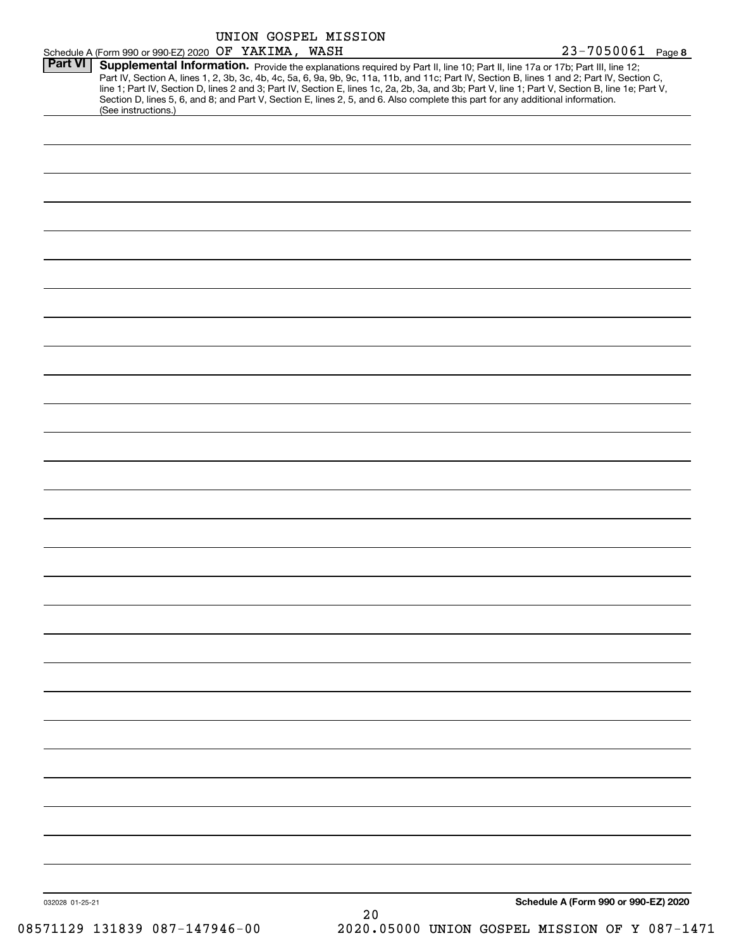|                 |                                                                                                                                                                                                                                                                                         |  | UNION GOSPEL MISSION |  |  |                                                                                                                                                                                                                                                                                                  |
|-----------------|-----------------------------------------------------------------------------------------------------------------------------------------------------------------------------------------------------------------------------------------------------------------------------------------|--|----------------------|--|--|--------------------------------------------------------------------------------------------------------------------------------------------------------------------------------------------------------------------------------------------------------------------------------------------------|
|                 | Schedule A (Form 990 or 990-EZ) 2020 OF YAKIMA, WASH                                                                                                                                                                                                                                    |  |                      |  |  | 23-7050061 Page 8                                                                                                                                                                                                                                                                                |
| <b>Part VI</b>  | Supplemental Information. Provide the explanations required by Part II, line 10; Part II, line 17a or 17b; Part III, line 12;<br>Section D, lines 5, 6, and 8; and Part V, Section E, lines 2, 5, and 6. Also complete this part for any additional information.<br>(See instructions.) |  |                      |  |  | Part IV, Section A, lines 1, 2, 3b, 3c, 4b, 4c, 5a, 6, 9a, 9b, 9c, 11a, 11b, and 11c; Part IV, Section B, lines 1 and 2; Part IV, Section C,<br>line 1; Part IV, Section D, lines 2 and 3; Part IV, Section E, lines 1c, 2a, 2b, 3a, and 3b; Part V, line 1; Part V, Section B, line 1e; Part V, |
|                 |                                                                                                                                                                                                                                                                                         |  |                      |  |  |                                                                                                                                                                                                                                                                                                  |
|                 |                                                                                                                                                                                                                                                                                         |  |                      |  |  |                                                                                                                                                                                                                                                                                                  |
|                 |                                                                                                                                                                                                                                                                                         |  |                      |  |  |                                                                                                                                                                                                                                                                                                  |
|                 |                                                                                                                                                                                                                                                                                         |  |                      |  |  |                                                                                                                                                                                                                                                                                                  |
|                 |                                                                                                                                                                                                                                                                                         |  |                      |  |  |                                                                                                                                                                                                                                                                                                  |
|                 |                                                                                                                                                                                                                                                                                         |  |                      |  |  |                                                                                                                                                                                                                                                                                                  |
|                 |                                                                                                                                                                                                                                                                                         |  |                      |  |  |                                                                                                                                                                                                                                                                                                  |
|                 |                                                                                                                                                                                                                                                                                         |  |                      |  |  |                                                                                                                                                                                                                                                                                                  |
|                 |                                                                                                                                                                                                                                                                                         |  |                      |  |  |                                                                                                                                                                                                                                                                                                  |
|                 |                                                                                                                                                                                                                                                                                         |  |                      |  |  |                                                                                                                                                                                                                                                                                                  |
|                 |                                                                                                                                                                                                                                                                                         |  |                      |  |  |                                                                                                                                                                                                                                                                                                  |
|                 |                                                                                                                                                                                                                                                                                         |  |                      |  |  |                                                                                                                                                                                                                                                                                                  |
|                 |                                                                                                                                                                                                                                                                                         |  |                      |  |  |                                                                                                                                                                                                                                                                                                  |
|                 |                                                                                                                                                                                                                                                                                         |  |                      |  |  |                                                                                                                                                                                                                                                                                                  |
|                 |                                                                                                                                                                                                                                                                                         |  |                      |  |  |                                                                                                                                                                                                                                                                                                  |
|                 |                                                                                                                                                                                                                                                                                         |  |                      |  |  |                                                                                                                                                                                                                                                                                                  |
|                 |                                                                                                                                                                                                                                                                                         |  |                      |  |  |                                                                                                                                                                                                                                                                                                  |
|                 |                                                                                                                                                                                                                                                                                         |  |                      |  |  |                                                                                                                                                                                                                                                                                                  |
|                 |                                                                                                                                                                                                                                                                                         |  |                      |  |  |                                                                                                                                                                                                                                                                                                  |
|                 |                                                                                                                                                                                                                                                                                         |  |                      |  |  |                                                                                                                                                                                                                                                                                                  |
|                 |                                                                                                                                                                                                                                                                                         |  |                      |  |  |                                                                                                                                                                                                                                                                                                  |
|                 |                                                                                                                                                                                                                                                                                         |  |                      |  |  |                                                                                                                                                                                                                                                                                                  |
|                 |                                                                                                                                                                                                                                                                                         |  |                      |  |  |                                                                                                                                                                                                                                                                                                  |
|                 |                                                                                                                                                                                                                                                                                         |  |                      |  |  |                                                                                                                                                                                                                                                                                                  |
|                 |                                                                                                                                                                                                                                                                                         |  |                      |  |  |                                                                                                                                                                                                                                                                                                  |
|                 |                                                                                                                                                                                                                                                                                         |  |                      |  |  |                                                                                                                                                                                                                                                                                                  |
|                 |                                                                                                                                                                                                                                                                                         |  |                      |  |  |                                                                                                                                                                                                                                                                                                  |
|                 |                                                                                                                                                                                                                                                                                         |  |                      |  |  |                                                                                                                                                                                                                                                                                                  |
|                 |                                                                                                                                                                                                                                                                                         |  |                      |  |  |                                                                                                                                                                                                                                                                                                  |
|                 |                                                                                                                                                                                                                                                                                         |  |                      |  |  |                                                                                                                                                                                                                                                                                                  |
|                 |                                                                                                                                                                                                                                                                                         |  |                      |  |  |                                                                                                                                                                                                                                                                                                  |
| 032028 01-25-21 |                                                                                                                                                                                                                                                                                         |  |                      |  |  | Schedule A (Form 990 or 990-EZ) 2020                                                                                                                                                                                                                                                             |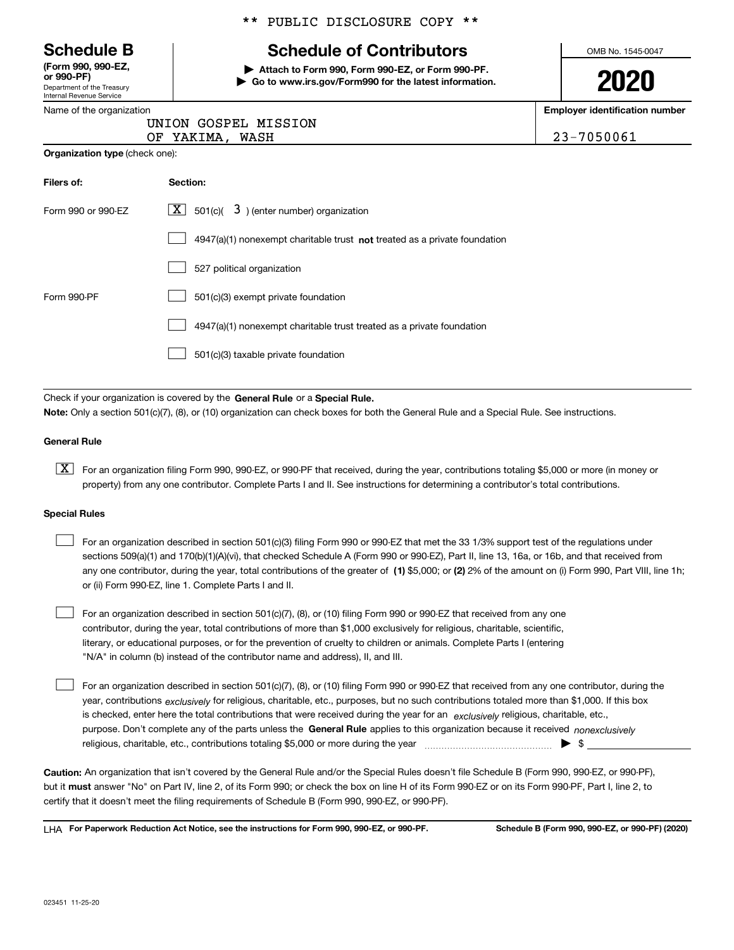Department of the Treasury Internal Revenue Service **(Form 990, 990-EZ, or 990-PF)**

|  | Name of the organization |  |
|--|--------------------------|--|

#### \*\* PUBLIC DISCLOSURE COPY \*\*

# **Schedule B Schedule of Contributors**

**| Attach to Form 990, Form 990-EZ, or Form 990-PF. | Go to www.irs.gov/Form990 for the latest information.** OMB No. 1545-0047

**2020**

**Employer identification number**

| 23-7050061 |  |
|------------|--|
|------------|--|

| ınization |                      |
|-----------|----------------------|
|           | UNION GOSPEL MISSION |

OF YAKIMA, WASH

| <b>Organization type (check one):</b> |  |
|---------------------------------------|--|
|                                       |  |

| Filers of:         | Section:                                                                    |
|--------------------|-----------------------------------------------------------------------------|
| Form 990 or 990-FZ | $X$ 501(c)( $3$ ) (enter number) organization                               |
|                    | $4947(a)(1)$ nonexempt charitable trust not treated as a private foundation |
|                    | 527 political organization                                                  |
| Form 990-PF        | 501(c)(3) exempt private foundation                                         |
|                    | 4947(a)(1) nonexempt charitable trust treated as a private foundation       |
|                    | 501(c)(3) taxable private foundation                                        |

Check if your organization is covered by the **General Rule** or a **Special Rule. Note:**  Only a section 501(c)(7), (8), or (10) organization can check boxes for both the General Rule and a Special Rule. See instructions.

#### **General Rule**

 $\boxed{\textbf{X}}$  For an organization filing Form 990, 990-EZ, or 990-PF that received, during the year, contributions totaling \$5,000 or more (in money or property) from any one contributor. Complete Parts I and II. See instructions for determining a contributor's total contributions.

#### **Special Rules**

 $\mathcal{L}^{\text{max}}$ 

| For an organization described in section 501(c)(3) filing Form 990 or 990-EZ that met the 33 1/3% support test of the regulations under               |
|-------------------------------------------------------------------------------------------------------------------------------------------------------|
| sections 509(a)(1) and 170(b)(1)(A)(vi), that checked Schedule A (Form 990 or 990-EZ), Part II, line 13, 16a, or 16b, and that received from          |
| any one contributor, during the year, total contributions of the greater of (1) \$5,000; or (2) 2% of the amount on (i) Form 990, Part VIII, line 1h; |
| or (ii) Form 990-EZ, line 1. Complete Parts I and II.                                                                                                 |

For an organization described in section 501(c)(7), (8), or (10) filing Form 990 or 990-EZ that received from any one contributor, during the year, total contributions of more than \$1,000 exclusively for religious, charitable, scientific, literary, or educational purposes, or for the prevention of cruelty to children or animals. Complete Parts I (entering "N/A" in column (b) instead of the contributor name and address), II, and III.  $\mathcal{L}^{\text{max}}$ 

purpose. Don't complete any of the parts unless the **General Rule** applies to this organization because it received *nonexclusively* year, contributions <sub>exclusively</sub> for religious, charitable, etc., purposes, but no such contributions totaled more than \$1,000. If this box is checked, enter here the total contributions that were received during the year for an  $\;$ exclusively religious, charitable, etc., For an organization described in section 501(c)(7), (8), or (10) filing Form 990 or 990-EZ that received from any one contributor, during the religious, charitable, etc., contributions totaling \$5,000 or more during the year  $\Box$ — $\Box$   $\Box$ 

**Caution:**  An organization that isn't covered by the General Rule and/or the Special Rules doesn't file Schedule B (Form 990, 990-EZ, or 990-PF),  **must** but it answer "No" on Part IV, line 2, of its Form 990; or check the box on line H of its Form 990-EZ or on its Form 990-PF, Part I, line 2, to certify that it doesn't meet the filing requirements of Schedule B (Form 990, 990-EZ, or 990-PF).

**For Paperwork Reduction Act Notice, see the instructions for Form 990, 990-EZ, or 990-PF. Schedule B (Form 990, 990-EZ, or 990-PF) (2020)** LHA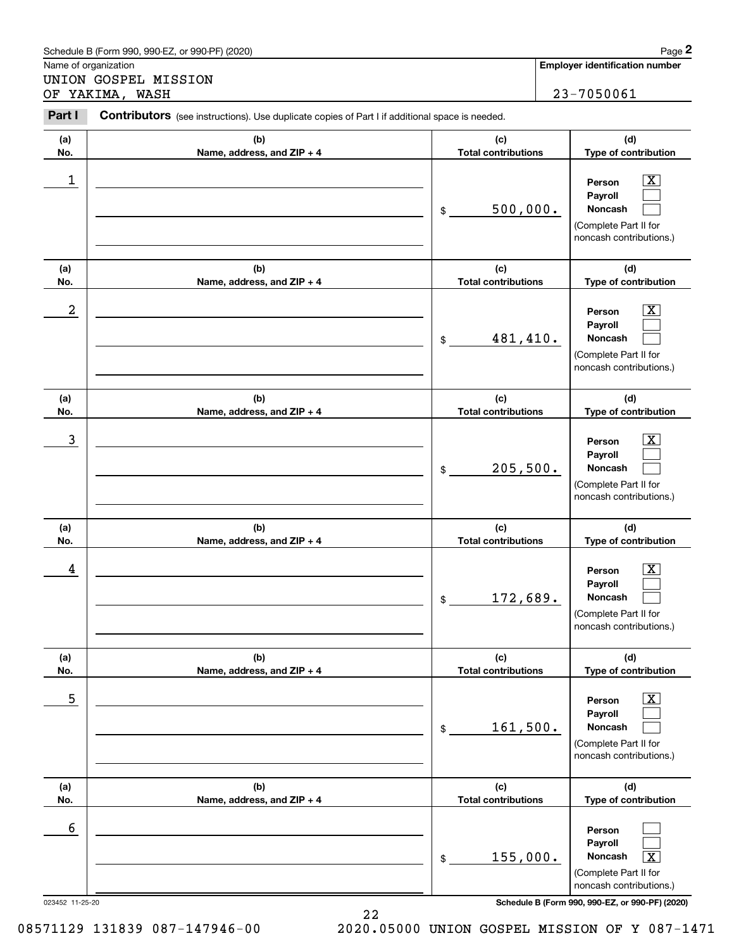|                  | Schedule B (Form 990, 990-EZ, or 990-PF) (2020)                                                       |                                   | Page 2                                                                                                    |
|------------------|-------------------------------------------------------------------------------------------------------|-----------------------------------|-----------------------------------------------------------------------------------------------------------|
|                  | Name of organization<br>UNION GOSPEL MISSION                                                          |                                   | <b>Employer identification number</b>                                                                     |
|                  | OF YAKIMA, WASH                                                                                       |                                   | 23-7050061                                                                                                |
| Part I           | <b>Contributors</b> (see instructions). Use duplicate copies of Part I if additional space is needed. |                                   |                                                                                                           |
| (a)<br>No.       | (b)<br>Name, address, and ZIP + 4                                                                     | (c)<br><b>Total contributions</b> | (d)<br>Type of contribution                                                                               |
| 1                |                                                                                                       | 500,000.<br>\$                    | Person<br>Payroll<br>Noncash<br>(Complete Part II for<br>noncash contributions.)                          |
| (a)<br>No.       | (b)<br>Name, address, and ZIP + 4                                                                     | (c)<br><b>Total contributions</b> | (d)<br>Type of contribution                                                                               |
| $\boldsymbol{2}$ |                                                                                                       | 481,410.<br>$\$$                  | Person<br>Payroll<br>Noncash<br>(Complete Part II for<br>noncash contributions.)                          |
| (a)<br>No.       | (b)<br>Name, address, and ZIP + 4                                                                     | (c)<br><b>Total contributions</b> | (d)<br>Type of contribution                                                                               |
| 3                |                                                                                                       | 205,500.<br>\$                    | Person<br>Payroll<br>Noncash<br>(Complete Part II for<br>noncash contributions.)                          |
| (a)<br>No.       | (b)<br>Name, address, and ZIP + 4                                                                     | (c)<br><b>Total contributions</b> | (d)<br>Type of contribution                                                                               |
| 4                |                                                                                                       | 172,689.<br>$\$\$                 | X.<br>Person<br>Payroll<br>Noncash<br>(Complete Part II for<br>noncash contributions.)                    |
| (a)<br>No.       | (b)<br>Name, address, and ZIP + 4                                                                     | (c)<br><b>Total contributions</b> | (d)<br>Type of contribution                                                                               |
| 5                |                                                                                                       | 161,500.<br>\$                    | $\overline{\text{X}}$<br>Person<br>Payroll<br>Noncash<br>(Complete Part II for<br>noncash contributions.) |
| (a)<br>No.       | (b)<br>Name, address, and ZIP + 4                                                                     | (c)<br><b>Total contributions</b> | (d)<br>Type of contribution                                                                               |
| 6                |                                                                                                       | 155,000.<br>$\$$                  | Person<br>Payroll<br>$\boxed{\text{X}}$<br>Noncash<br>(Complete Part II for<br>noncash contributions.)    |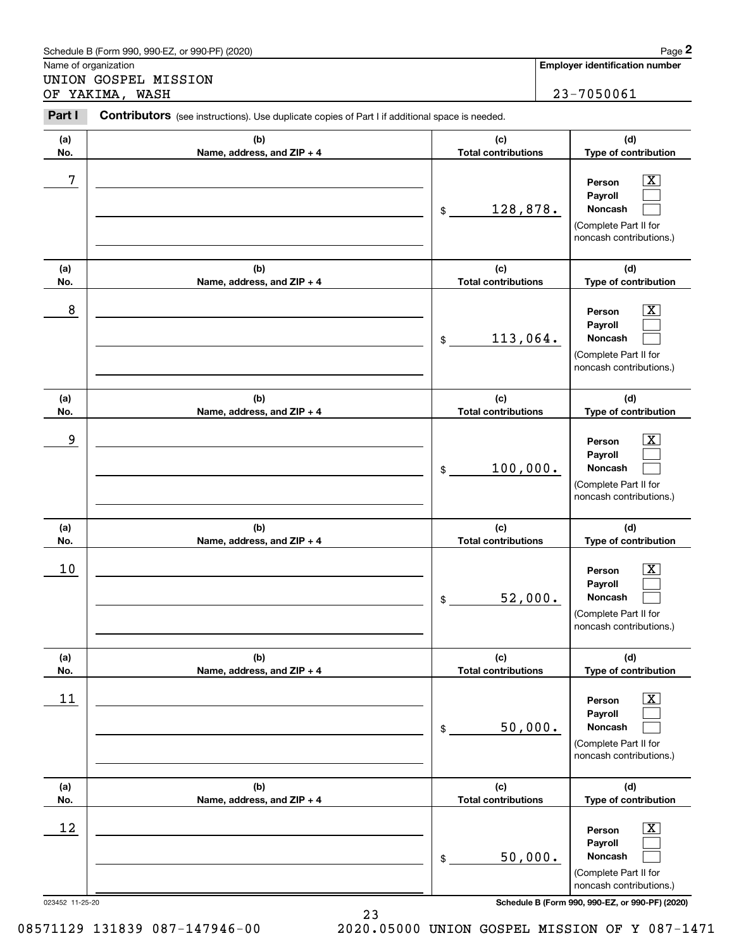|                      | Schedule B (Form 990, 990-EZ, or 990-PF) (2020)                                                       |                                   | Page 2                                                                                                    |
|----------------------|-------------------------------------------------------------------------------------------------------|-----------------------------------|-----------------------------------------------------------------------------------------------------------|
| Name of organization |                                                                                                       |                                   | <b>Employer identification number</b>                                                                     |
|                      | UNION GOSPEL MISSION<br>OF YAKIMA, WASH                                                               |                                   | 23-7050061                                                                                                |
| Part I               | <b>Contributors</b> (see instructions). Use duplicate copies of Part I if additional space is needed. |                                   |                                                                                                           |
| (a)<br>No.           | (b)<br>Name, address, and ZIP + 4                                                                     | (c)<br><b>Total contributions</b> | (d)<br>Type of contribution                                                                               |
| 7                    |                                                                                                       | 128,878.<br>$\$$                  | Person<br>Payroll<br>Noncash<br>(Complete Part II for<br>noncash contributions.)                          |
| (a)<br>No.           | (b)<br>Name, address, and ZIP + 4                                                                     | (c)<br><b>Total contributions</b> | (d)<br>Type of contribution                                                                               |
| 8                    |                                                                                                       | 113,064.<br>\$                    | Person<br>Payroll<br><b>Noncash</b><br>(Complete Part II for<br>noncash contributions.)                   |
| (a)<br>No.           | (b)<br>Name, address, and ZIP + 4                                                                     | (c)<br><b>Total contributions</b> | (d)<br>Type of contribution                                                                               |
| 9                    |                                                                                                       | 100,000.<br>\$                    | Person<br>Payroll<br>Noncash<br>(Complete Part II for<br>noncash contributions.)                          |
| (a)<br>No.           | (b)<br>Name, address, and ZIP + 4                                                                     | (c)<br><b>Total contributions</b> | (d)<br>Type of contribution                                                                               |
| 10                   |                                                                                                       | 52,000.<br>\$                     | X.<br>Person<br>Payroll<br><b>Noncash</b><br>(Complete Part II for<br>noncash contributions.)             |
| (a)<br>No.           | (b)<br>Name, address, and ZIP + 4                                                                     | (c)<br><b>Total contributions</b> | (d)<br>Type of contribution                                                                               |
| 11                   |                                                                                                       | 50,000.<br>\$                     | $\overline{\text{X}}$<br>Person<br>Payroll<br>Noncash<br>(Complete Part II for<br>noncash contributions.) |
| (a)<br>No.           | (b)<br>Name, address, and ZIP + 4                                                                     | (c)<br><b>Total contributions</b> | (d)<br>Type of contribution                                                                               |
| 12                   |                                                                                                       | 50,000.<br>\$                     | X.<br>Person<br>Payroll<br>Noncash<br>(Complete Part II for<br>noncash contributions.)                    |

23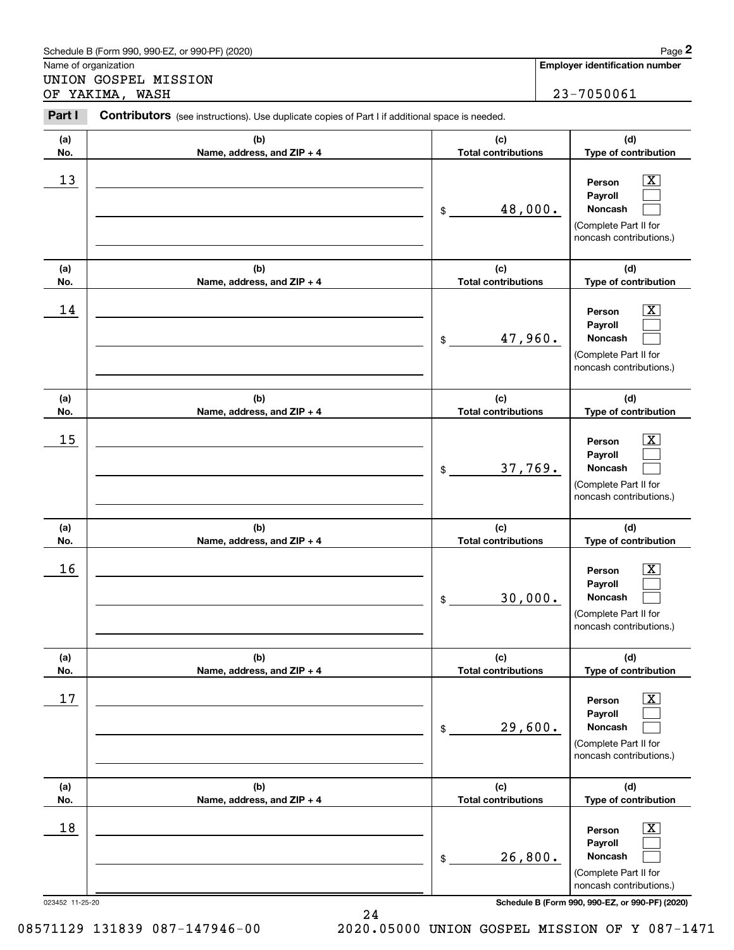|            | Schedule B (Form 990, 990-EZ, or 990-PF) (2020)                                                |                                   | Page 2                                                                                                                         |
|------------|------------------------------------------------------------------------------------------------|-----------------------------------|--------------------------------------------------------------------------------------------------------------------------------|
|            | Name of organization                                                                           |                                   | <b>Employer identification number</b>                                                                                          |
|            | UNION GOSPEL MISSION<br>OF YAKIMA, WASH                                                        |                                   | 23-7050061                                                                                                                     |
|            |                                                                                                |                                   |                                                                                                                                |
| Part I     | Contributors (see instructions). Use duplicate copies of Part I if additional space is needed. |                                   |                                                                                                                                |
| (a)        | (b)                                                                                            | (c)                               | (d)                                                                                                                            |
| No.        | Name, address, and ZIP + 4                                                                     | <b>Total contributions</b>        | Type of contribution                                                                                                           |
| 13         |                                                                                                | 48,000.<br>\$                     | $\overline{\mathbf{X}}$<br>Person<br>Payroll<br>Noncash<br>(Complete Part II for<br>noncash contributions.)                    |
| (a)        | (b)                                                                                            | (c)                               | (d)                                                                                                                            |
| No.        | Name, address, and ZIP + 4                                                                     | <b>Total contributions</b>        | Type of contribution                                                                                                           |
| 14         |                                                                                                | 47,960.<br>\$                     | $\overline{\mathbf{X}}$<br>Person<br>Payroll<br>Noncash<br>(Complete Part II for<br>noncash contributions.)                    |
| (a)        | (b)                                                                                            | (c)                               | (d)                                                                                                                            |
| No.        | Name, address, and ZIP + 4                                                                     | <b>Total contributions</b>        | Type of contribution                                                                                                           |
| 15         |                                                                                                | 37,769.<br>\$                     | x<br>Person<br>Payroll<br>Noncash<br>(Complete Part II for<br>noncash contributions.)                                          |
| (a)<br>No. | (b)<br>Name, address, and ZIP + 4                                                              | (c)<br><b>Total contributions</b> | (d)<br>Type of contribution                                                                                                    |
| 16         |                                                                                                | 30,000.<br>\$                     | $\overline{\mathbf{X}}$<br>Person<br>Payroll<br>Noncash<br>(Complete Part II for<br>noncash contributions.)                    |
| (a)<br>No. | (b)<br>Name, address, and ZIP + 4                                                              | (c)<br><b>Total contributions</b> | (d)<br>Type of contribution                                                                                                    |
| 17         |                                                                                                | 29,600.<br>\$                     | $\boxed{\text{X}}$<br>Person<br>Payroll<br>Noncash<br>(Complete Part II for<br>noncash contributions.)                         |
| (a)        | (b)                                                                                            | (c)<br><b>Total contributions</b> | (d)                                                                                                                            |
| No.<br>18  | Name, address, and ZIP + 4                                                                     | 26,800.<br>\$                     | Type of contribution<br>$\boxed{\text{X}}$<br>Person<br>Payroll<br>Noncash<br>(Complete Part II for<br>noncash contributions.) |

24

023452 11-25-20 **Schedule B (Form 990, 990-EZ, or 990-PF) (2020)**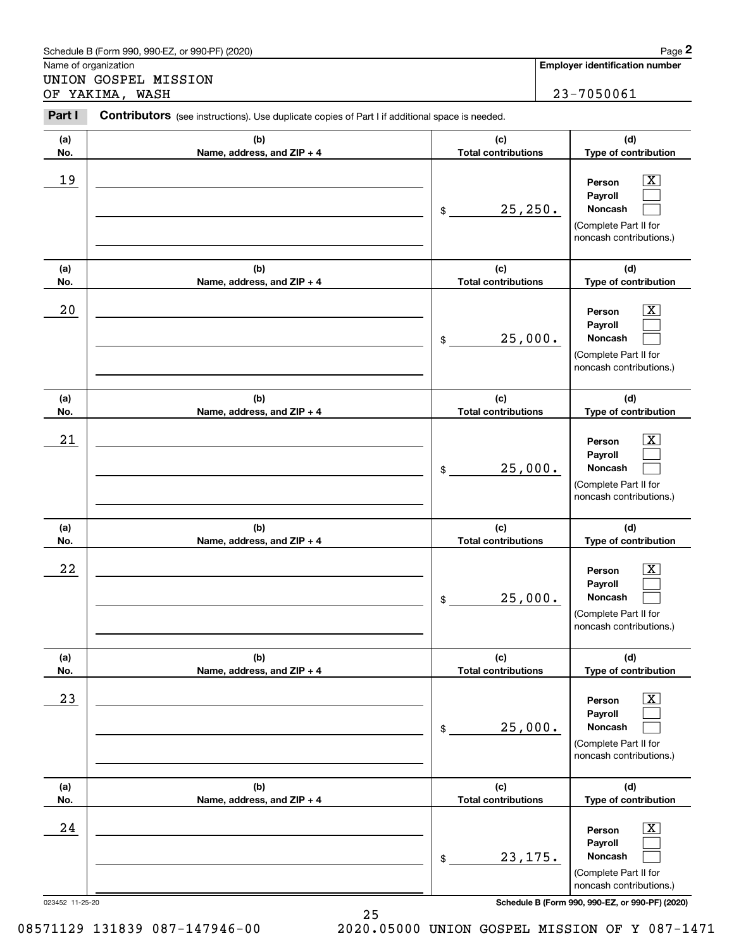|            | Schedule B (Form 990, 990-EZ, or 990-PF) (2020)                                                |                                   | Page 2                                                                                                    |
|------------|------------------------------------------------------------------------------------------------|-----------------------------------|-----------------------------------------------------------------------------------------------------------|
|            | Name of organization                                                                           |                                   | <b>Employer identification number</b>                                                                     |
|            | UNION GOSPEL MISSION<br>OF YAKIMA, WASH                                                        |                                   | 23-7050061                                                                                                |
| Part I     | Contributors (see instructions). Use duplicate copies of Part I if additional space is needed. |                                   |                                                                                                           |
| (a)<br>No. | (b)<br>Name, address, and ZIP + 4                                                              | (c)<br><b>Total contributions</b> | (d)<br>Type of contribution                                                                               |
| 19         |                                                                                                | 25, 250.<br>\$                    | х<br>Person<br>Payroll<br>Noncash<br>(Complete Part II for<br>noncash contributions.)                     |
| (a)<br>No. | (b)<br>Name, address, and ZIP + 4                                                              | (c)<br><b>Total contributions</b> | (d)<br>Type of contribution                                                                               |
| 20         |                                                                                                | 25,000.<br>\$                     | х<br>Person<br>Payroll<br>Noncash<br>(Complete Part II for<br>noncash contributions.)                     |
| (a)<br>No. | (b)<br>Name, address, and ZIP + 4                                                              | (c)<br><b>Total contributions</b> | (d)<br>Type of contribution                                                                               |
| 21         |                                                                                                | 25,000.<br>\$                     | х<br>Person<br>Payroll<br>Noncash<br>(Complete Part II for<br>noncash contributions.)                     |
| (a)<br>No. | (b)<br>Name, address, and ZIP + 4                                                              | (c)<br><b>Total contributions</b> | (d)<br>Type of contribution                                                                               |
| 22         |                                                                                                | 25,000.<br>\$                     | Х,<br>Person<br>Payroll<br>Noncash<br>(Complete Part II for<br>noncash contributions.)                    |
| (a)<br>No. | (b)<br>Name, address, and ZIP + 4                                                              | (c)<br><b>Total contributions</b> | (d)<br>Type of contribution                                                                               |
| 23         |                                                                                                | 25,000.<br>\$                     | $\overline{\text{X}}$<br>Person<br>Payroll<br>Noncash<br>(Complete Part II for<br>noncash contributions.) |
| (a)<br>No. | (b)<br>Name, address, and ZIP + 4                                                              | (c)<br><b>Total contributions</b> | (d)<br>Type of contribution                                                                               |
| 24         |                                                                                                | 23, 175.<br>\$                    | $\overline{\text{X}}$<br>Person<br>Payroll<br>Noncash<br>(Complete Part II for<br>noncash contributions.) |

25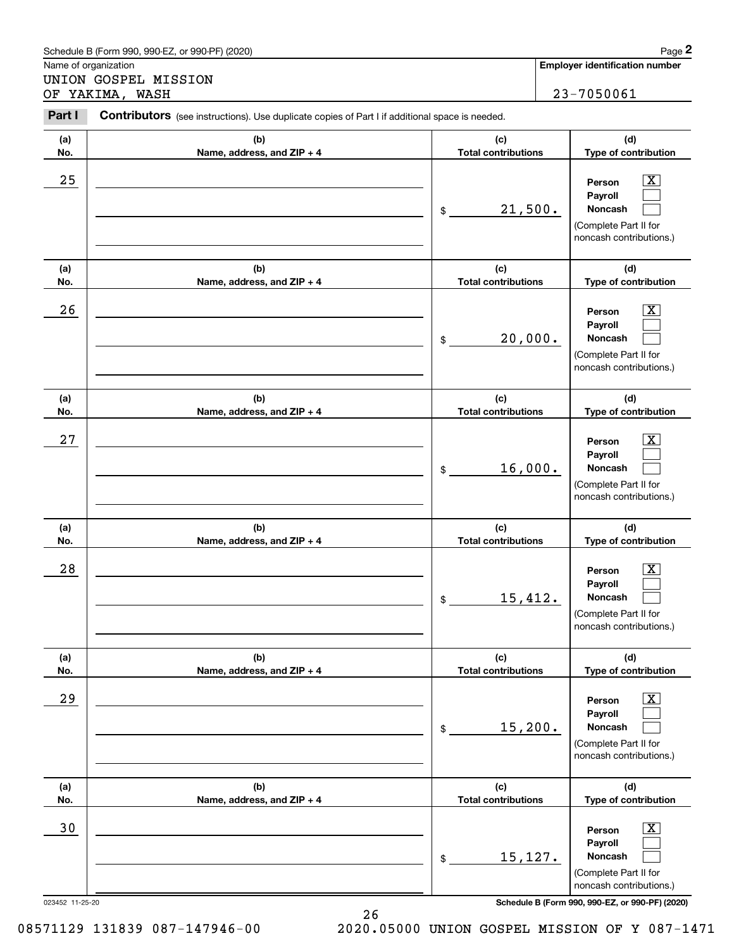|            | Schedule B (Form 990, 990-EZ, or 990-PF) (2020)                                                |                                   | Page 2                                                                                                      |
|------------|------------------------------------------------------------------------------------------------|-----------------------------------|-------------------------------------------------------------------------------------------------------------|
|            | Name of organization                                                                           |                                   | <b>Employer identification number</b>                                                                       |
|            | UNION GOSPEL MISSION<br>OF YAKIMA, WASH                                                        |                                   | 23-7050061                                                                                                  |
| Part I     | Contributors (see instructions). Use duplicate copies of Part I if additional space is needed. |                                   |                                                                                                             |
| (a)<br>No. | (b)<br>Name, address, and ZIP + 4                                                              | (c)<br><b>Total contributions</b> | (d)<br>Type of contribution                                                                                 |
| 25         |                                                                                                | 21,500.<br>\$                     | х<br>Person<br>Payroll<br>Noncash<br>(Complete Part II for<br>noncash contributions.)                       |
| (a)<br>No. | (b)<br>Name, address, and ZIP + 4                                                              | (c)<br><b>Total contributions</b> | (d)<br>Type of contribution                                                                                 |
| 26         |                                                                                                | 20,000.<br>\$                     | х<br>Person<br>Payroll<br>Noncash<br>(Complete Part II for<br>noncash contributions.)                       |
| (a)<br>No. | (b)<br>Name, address, and ZIP + 4                                                              | (c)<br><b>Total contributions</b> | (d)<br>Type of contribution                                                                                 |
| 27         |                                                                                                | 16,000.<br>\$                     | х<br>Person<br>Payroll<br>Noncash<br>(Complete Part II for<br>noncash contributions.)                       |
| (a)<br>No. | (b)<br>Name, address, and ZIP + 4                                                              | (c)<br><b>Total contributions</b> | (d)<br>Type of contribution                                                                                 |
| 28         |                                                                                                | 15,412.<br>\$                     | Х,<br>Person<br>Payroll<br>Noncash<br>(Complete Part II for<br>noncash contributions.)                      |
| (a)<br>No. | (b)<br>Name, address, and ZIP + 4                                                              | (c)<br><b>Total contributions</b> | (d)<br>Type of contribution                                                                                 |
| 29         |                                                                                                | 15,200.<br>\$                     | $\overline{\mathbf{X}}$<br>Person<br>Payroll<br>Noncash<br>(Complete Part II for<br>noncash contributions.) |
| (a)<br>No. | (b)<br>Name, address, and ZIP + 4                                                              | (c)<br><b>Total contributions</b> | (d)<br>Type of contribution                                                                                 |
| 30         |                                                                                                | 15,127.<br>\$                     | $\overline{\mathbf{X}}$<br>Person<br>Payroll<br>Noncash<br>(Complete Part II for<br>noncash contributions.) |

26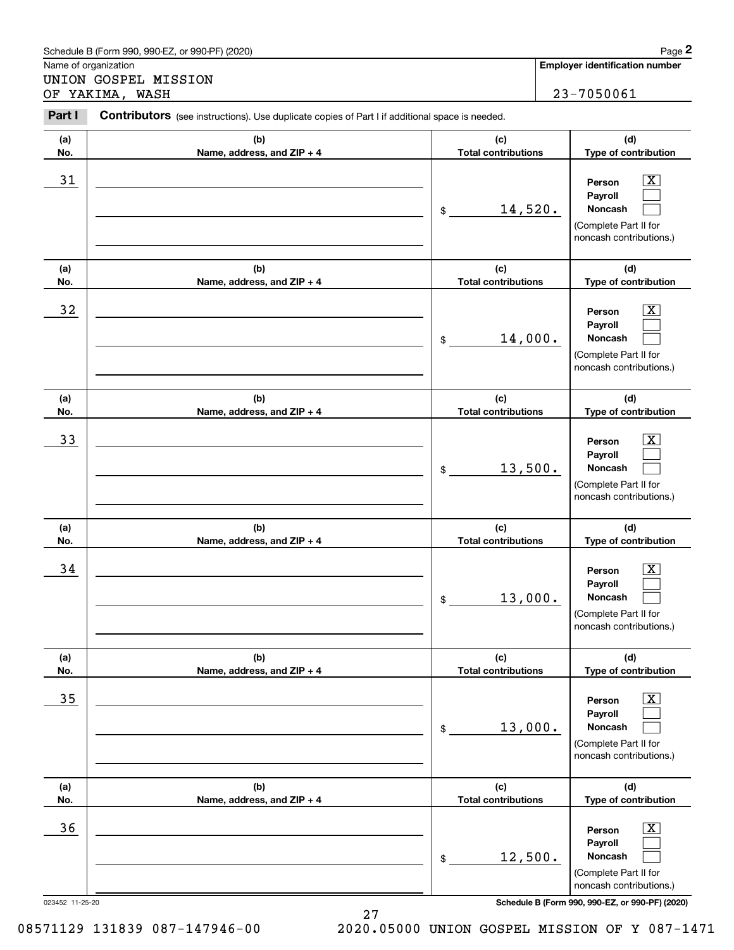|            | Schedule B (Form 990, 990-EZ, or 990-PF) (2020)                                                |                                   | Page 2                                                                                                      |  |
|------------|------------------------------------------------------------------------------------------------|-----------------------------------|-------------------------------------------------------------------------------------------------------------|--|
|            | Name of organization                                                                           |                                   | Employer identification number                                                                              |  |
|            | UNION GOSPEL MISSION<br>OF YAKIMA, WASH                                                        |                                   | 23-7050061                                                                                                  |  |
| Part I     | Contributors (see instructions). Use duplicate copies of Part I if additional space is needed. |                                   |                                                                                                             |  |
| (a)<br>No. | (b)<br>Name, address, and ZIP + 4                                                              | (c)<br><b>Total contributions</b> | (d)<br>Type of contribution                                                                                 |  |
| 31         |                                                                                                | 14,520.<br>\$                     | х<br>Person<br>Payroll<br>Noncash<br>(Complete Part II for<br>noncash contributions.)                       |  |
| (a)<br>No. | (b)<br>Name, address, and ZIP + 4                                                              | (c)<br><b>Total contributions</b> | (d)<br>Type of contribution                                                                                 |  |
| 32         |                                                                                                | 14,000.<br>\$                     | х<br>Person<br>Payroll<br>Noncash<br>(Complete Part II for<br>noncash contributions.)                       |  |
| (a)<br>No. | (b)<br>Name, address, and ZIP + 4                                                              | (c)<br><b>Total contributions</b> | (d)<br>Type of contribution                                                                                 |  |
| 33         |                                                                                                | 13,500.<br>\$                     | х<br>Person<br>Payroll<br>Noncash<br>(Complete Part II for<br>noncash contributions.)                       |  |
| (a)<br>No. | (b)<br>Name, address, and ZIP + 4                                                              | (c)<br><b>Total contributions</b> | (d)<br>Type of contribution                                                                                 |  |
| 34         |                                                                                                | 13,000.<br>\$                     | X<br>Person<br>Payroll<br>Noncash<br>(Complete Part II for<br>noncash contributions.)                       |  |
| (a)<br>No. | (b)<br>Name, address, and ZIP + 4                                                              | (c)<br><b>Total contributions</b> | (d)<br>Type of contribution                                                                                 |  |
| 35         |                                                                                                | 13,000.<br>\$                     | $\overline{\mathbf{X}}$<br>Person<br>Payroll<br>Noncash<br>(Complete Part II for<br>noncash contributions.) |  |
| (a)<br>No. | (b)<br>Name, address, and ZIP + 4                                                              | (c)<br><b>Total contributions</b> | (d)<br>Type of contribution                                                                                 |  |
| 36         |                                                                                                | 12,500.<br>\$                     | $\overline{\mathbf{X}}$<br>Person<br>Payroll<br>Noncash<br>(Complete Part II for<br>noncash contributions.) |  |

27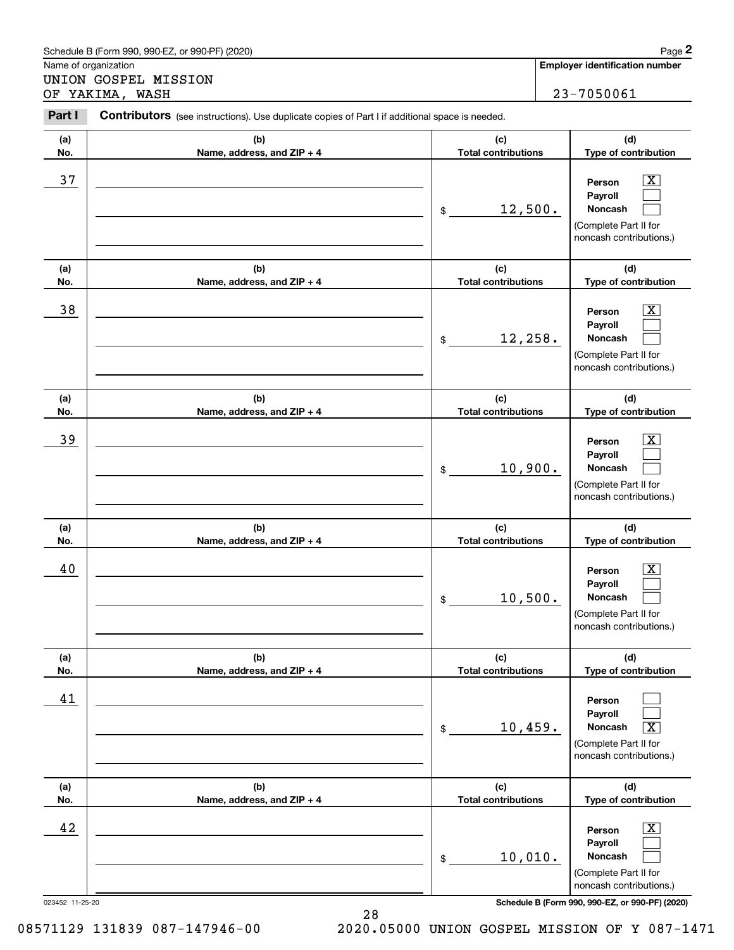|            | Schedule B (Form 990, 990-EZ, or 990-PF) (2020)                                                |                                   | Page 2                                                                                                      |  |
|------------|------------------------------------------------------------------------------------------------|-----------------------------------|-------------------------------------------------------------------------------------------------------------|--|
|            | Name of organization                                                                           |                                   | <b>Employer identification number</b>                                                                       |  |
|            | UNION GOSPEL MISSION<br>OF YAKIMA, WASH                                                        |                                   | 23-7050061                                                                                                  |  |
| Part I     | Contributors (see instructions). Use duplicate copies of Part I if additional space is needed. |                                   |                                                                                                             |  |
| (a)<br>No. | (b)<br>Name, address, and ZIP + 4                                                              | (c)<br><b>Total contributions</b> | (d)<br>Type of contribution                                                                                 |  |
| 37         |                                                                                                | 12,500.<br>\$                     | х<br>Person<br>Payroll<br>Noncash<br>(Complete Part II for<br>noncash contributions.)                       |  |
| (a)<br>No. | (b)<br>Name, address, and ZIP + 4                                                              | (c)<br><b>Total contributions</b> | (d)<br>Type of contribution                                                                                 |  |
| 38         |                                                                                                | 12, 258.<br>\$                    | х<br>Person<br>Payroll<br>Noncash<br>(Complete Part II for<br>noncash contributions.)                       |  |
| (a)<br>No. | (b)<br>Name, address, and ZIP + 4                                                              | (c)<br><b>Total contributions</b> | (d)<br>Type of contribution                                                                                 |  |
| 39         |                                                                                                | 10,900.<br>\$                     | х<br>Person<br>Payroll<br>Noncash<br>(Complete Part II for<br>noncash contributions.)                       |  |
| (a)<br>No. | (b)<br>Name, address, and ZIP + 4                                                              | (c)<br><b>Total contributions</b> | (d)<br>Type of contribution                                                                                 |  |
| 40         |                                                                                                | 10,500.<br>\$                     | X<br>Person<br>Payroll<br>Noncash<br>(Complete Part II for<br>noncash contributions.)                       |  |
| (a)<br>No. | (b)<br>Name, address, and ZIP + 4                                                              | (c)<br><b>Total contributions</b> | (d)<br>Type of contribution                                                                                 |  |
| 41         |                                                                                                | 10,459.<br>\$                     | Person<br>Payroll<br>$\overline{\text{X}}$<br>Noncash<br>(Complete Part II for<br>noncash contributions.)   |  |
| (a)<br>No. | (b)<br>Name, address, and ZIP + 4                                                              | (c)<br><b>Total contributions</b> | (d)<br>Type of contribution                                                                                 |  |
| 42         |                                                                                                | 10,010.<br>\$                     | $\overline{\mathbf{X}}$<br>Person<br>Payroll<br>Noncash<br>(Complete Part II for<br>noncash contributions.) |  |

28

023452 11-25-20 **Schedule B (Form 990, 990-EZ, or 990-PF) (2020)**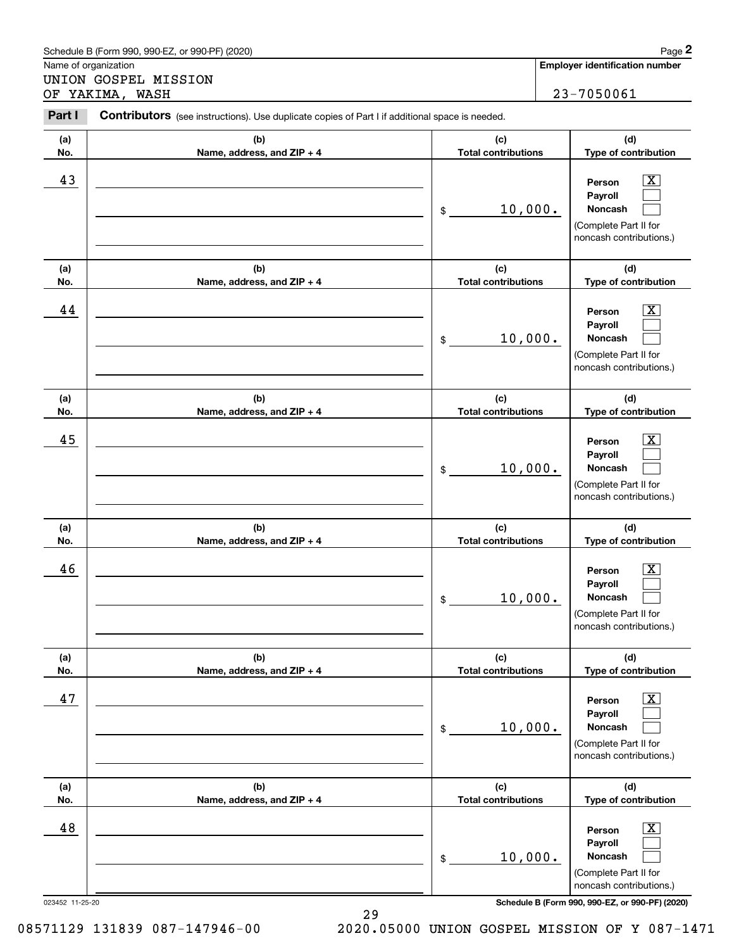|                      | Schedule B (Form 990, 990-EZ, or 990-PF) (2020)                                                |                                   | Page 2                                                                                                        |
|----------------------|------------------------------------------------------------------------------------------------|-----------------------------------|---------------------------------------------------------------------------------------------------------------|
| Name of organization | UNION GOSPEL MISSION                                                                           |                                   | <b>Employer identification number</b>                                                                         |
|                      | OF YAKIMA, WASH                                                                                |                                   | 23-7050061                                                                                                    |
| Part I               | Contributors (see instructions). Use duplicate copies of Part I if additional space is needed. |                                   |                                                                                                               |
| (a)<br>No.           | (b)<br>Name, address, and ZIP + 4                                                              | (c)<br><b>Total contributions</b> | (d)<br>Type of contribution                                                                                   |
| 43                   |                                                                                                | 10,000.<br>\$                     | x<br>Person<br>Payroll<br><b>Noncash</b><br>(Complete Part II for<br>noncash contributions.)                  |
| (a)<br>No.           | (b)<br>Name, address, and ZIP + 4                                                              | (c)<br><b>Total contributions</b> | (d)<br>Type of contribution                                                                                   |
| 44                   |                                                                                                | 10,000.<br>\$                     | x<br>Person<br>Payroll<br>Noncash<br>(Complete Part II for<br>noncash contributions.)                         |
| (a)<br>No.           | (b)<br>Name, address, and ZIP + 4                                                              | (c)<br><b>Total contributions</b> | (d)<br>Type of contribution                                                                                   |
| 45                   |                                                                                                | 10,000.<br>\$                     | x<br>Person<br>Payroll<br>Noncash<br>(Complete Part II for<br>noncash contributions.)                         |
| (a)<br>No.           | (b)<br>Name, address, and ZIP + 4                                                              | (c)<br><b>Total contributions</b> | (d)<br>Type of contribution                                                                                   |
| 46                   |                                                                                                | 10,000.<br>\$                     | $\overline{\text{X}}$<br>Person<br>Payroll<br>Noncash<br>(Complete Part II for<br>noncash contributions.)     |
| (a)<br>No.           | (b)<br>Name, address, and ZIP + 4                                                              | (c)<br><b>Total contributions</b> | (d)<br>Type of contribution                                                                                   |
| 47                   |                                                                                                | 10,000.<br>\$                     | $\boxed{\text{X}}$<br>Person<br>Payroll<br><b>Noncash</b><br>(Complete Part II for<br>noncash contributions.) |
| (a)<br>No.           | (b)<br>Name, address, and ZIP + 4                                                              | (c)<br><b>Total contributions</b> | (d)<br>Type of contribution                                                                                   |
| 48                   |                                                                                                | 10,000.<br>\$                     | $\boxed{\text{X}}$<br>Person<br>Payroll<br><b>Noncash</b><br>(Complete Part II for<br>noncash contributions.) |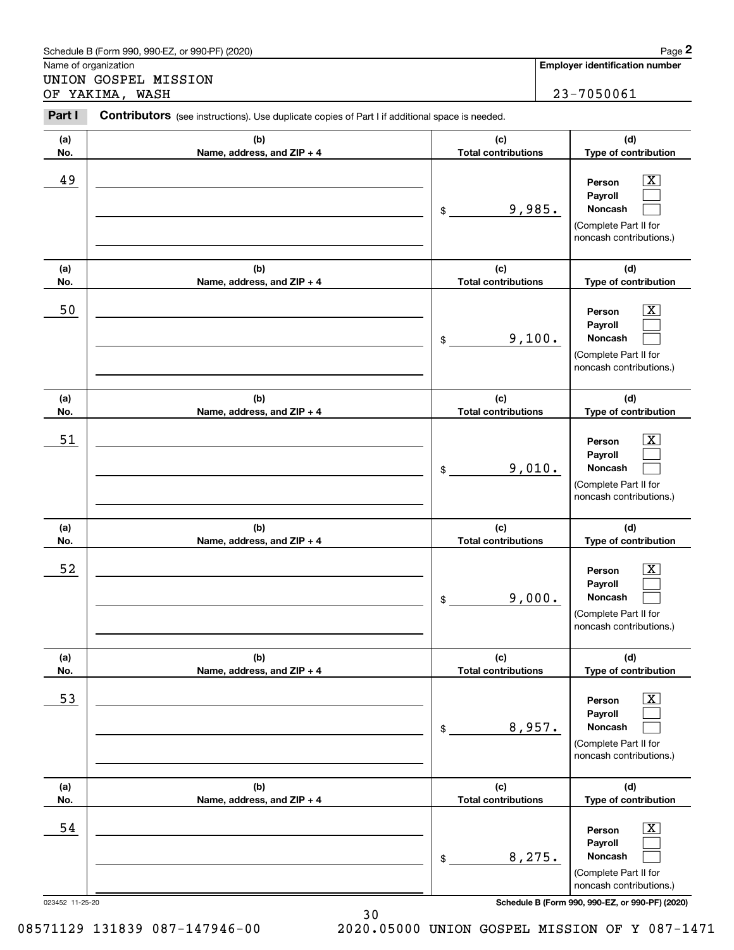|                                              | Schedule B (Form 990, 990-EZ, or 990-PF) (2020)                                                |                                   |        | Page 2                                                                                                           |
|----------------------------------------------|------------------------------------------------------------------------------------------------|-----------------------------------|--------|------------------------------------------------------------------------------------------------------------------|
| Name of organization<br>UNION GOSPEL MISSION |                                                                                                |                                   |        | <b>Employer identification number</b>                                                                            |
|                                              | OF YAKIMA, WASH                                                                                |                                   |        | 23-7050061                                                                                                       |
| Part I                                       | Contributors (see instructions). Use duplicate copies of Part I if additional space is needed. |                                   |        |                                                                                                                  |
| (a)<br>No.                                   | (b)<br>Name, address, and ZIP + 4                                                              | (c)<br><b>Total contributions</b> |        | (d)<br>Type of contribution                                                                                      |
| 49                                           |                                                                                                | 9,985.<br>\$                      |        | x<br>Person<br>Payroll<br>Noncash<br>(Complete Part II for<br>noncash contributions.)                            |
| (a)<br>No.                                   | (b)<br>Name, address, and ZIP + 4                                                              | (c)<br><b>Total contributions</b> |        | (d)<br>Type of contribution                                                                                      |
| 50                                           |                                                                                                | \$                                | 9,100. | x<br>Person<br>Payroll<br>Noncash<br>(Complete Part II for<br>noncash contributions.)                            |
| (a)<br>No.                                   | (b)<br>Name, address, and ZIP + 4                                                              | (c)<br><b>Total contributions</b> |        | (d)<br>Type of contribution                                                                                      |
| 51                                           |                                                                                                | \$                                | 9,010. | x.<br>Person<br>Payroll<br>Noncash<br>(Complete Part II for<br>noncash contributions.)                           |
| (a)<br>No.                                   | (b)<br>Name, address, and ZIP + 4                                                              | (c)<br><b>Total contributions</b> |        | (d)<br>Type of contribution                                                                                      |
| 52                                           |                                                                                                | \$                                | 9,000. | X<br>Person<br>Payroll<br>Noncash<br>(Complete Part II for<br>noncash contributions.)                            |
| (a)<br>No.                                   | (b)<br>Name, address, and ZIP + 4                                                              | (c)<br><b>Total contributions</b> |        | (d)<br>Type of contribution                                                                                      |
| 53                                           |                                                                                                | 8,957.<br>\$                      |        | $\overline{\text{X}}$<br>Person<br>Payroll<br><b>Noncash</b><br>(Complete Part II for<br>noncash contributions.) |
| (a)<br>No.                                   | (b)<br>Name, address, and ZIP + 4                                                              | (c)<br><b>Total contributions</b> |        | (d)<br>Type of contribution                                                                                      |
| 54                                           |                                                                                                | 8,275.<br>\$                      |        | $\overline{\text{X}}$<br>Person<br>Payroll<br><b>Noncash</b><br>(Complete Part II for<br>noncash contributions.) |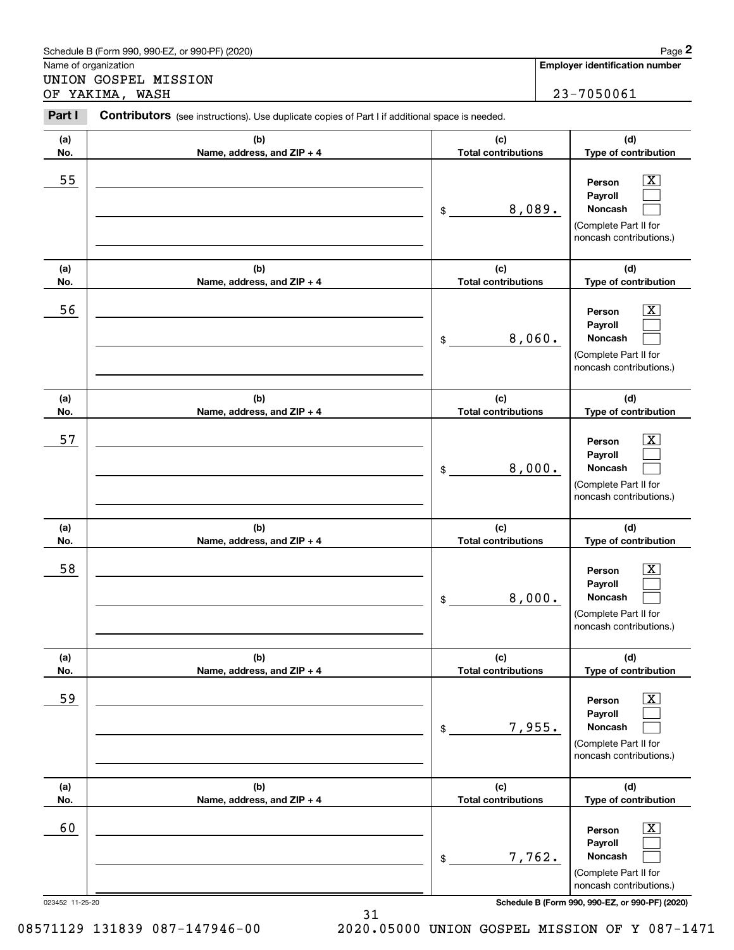|                                              | Schedule B (Form 990, 990-EZ, or 990-PF) (2020)                                                |                                   |        | Page 2                                                                                                           |
|----------------------------------------------|------------------------------------------------------------------------------------------------|-----------------------------------|--------|------------------------------------------------------------------------------------------------------------------|
| Name of organization<br>UNION GOSPEL MISSION |                                                                                                |                                   |        | <b>Employer identification number</b>                                                                            |
|                                              | OF YAKIMA, WASH                                                                                |                                   |        | 23-7050061                                                                                                       |
| Part I                                       | Contributors (see instructions). Use duplicate copies of Part I if additional space is needed. |                                   |        |                                                                                                                  |
| (a)<br>No.                                   | (b)<br>Name, address, and ZIP + 4                                                              | (c)<br><b>Total contributions</b> |        | (d)<br>Type of contribution                                                                                      |
| 55                                           |                                                                                                | 8,089.<br>\$                      |        | x<br>Person<br>Payroll<br>Noncash<br>(Complete Part II for<br>noncash contributions.)                            |
| (a)<br>No.                                   | (b)<br>Name, address, and ZIP + 4                                                              | (c)<br><b>Total contributions</b> |        | (d)<br>Type of contribution                                                                                      |
| 56                                           |                                                                                                | 8,060.<br>\$                      |        | x.<br>Person<br>Payroll<br>Noncash<br>(Complete Part II for<br>noncash contributions.)                           |
| (a)<br>No.                                   | (b)<br>Name, address, and ZIP + 4                                                              | (c)<br><b>Total contributions</b> |        | (d)<br>Type of contribution                                                                                      |
| 57                                           |                                                                                                | 8,000.<br>\$                      |        | x.<br>Person<br>Payroll<br>Noncash<br>(Complete Part II for<br>noncash contributions.)                           |
| (a)<br>No.                                   | (b)<br>Name, address, and ZIP + 4                                                              | (c)<br><b>Total contributions</b> |        | (d)<br>Type of contribution                                                                                      |
| 58                                           |                                                                                                | 8,000.<br>\$                      |        | X<br>Person<br>Payroll<br>Noncash<br>(Complete Part II for<br>noncash contributions.)                            |
| (a)<br>No.                                   | (b)<br>Name, address, and ZIP + 4                                                              | (c)<br><b>Total contributions</b> |        | (d)<br>Type of contribution                                                                                      |
| 59                                           |                                                                                                | \$                                | 7,955. | $\overline{\text{X}}$<br>Person<br>Payroll<br>Noncash<br>(Complete Part II for<br>noncash contributions.)        |
| (a)<br>No.                                   | (b)<br>Name, address, and ZIP + 4                                                              | (c)<br><b>Total contributions</b> |        | (d)<br>Type of contribution                                                                                      |
| 60                                           |                                                                                                | \$                                | 7,762. | $\overline{\text{X}}$<br>Person<br>Payroll<br><b>Noncash</b><br>(Complete Part II for<br>noncash contributions.) |

31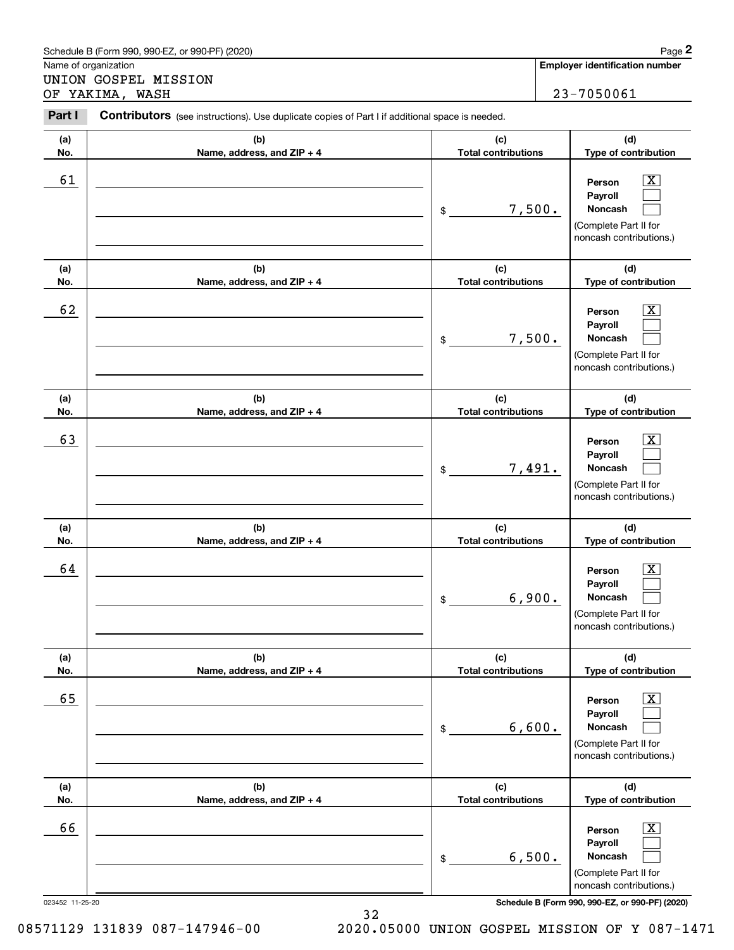|            | Schedule B (Form 990, 990-EZ, or 990-PF) (2020)                                                |                                   |        | Page 2                                                                                                        |
|------------|------------------------------------------------------------------------------------------------|-----------------------------------|--------|---------------------------------------------------------------------------------------------------------------|
|            | Name of organization                                                                           |                                   |        | <b>Employer identification number</b>                                                                         |
|            | UNION GOSPEL MISSION<br>OF YAKIMA, WASH                                                        |                                   |        | 23-7050061                                                                                                    |
| Part I     | Contributors (see instructions). Use duplicate copies of Part I if additional space is needed. |                                   |        |                                                                                                               |
| (a)<br>No. | (b)<br>Name, address, and ZIP + 4                                                              | (c)<br><b>Total contributions</b> |        | (d)<br>Type of contribution                                                                                   |
| 61         |                                                                                                | \$                                | 7,500. | x<br>Person<br>Payroll<br>Noncash<br>(Complete Part II for<br>noncash contributions.)                         |
| (a)<br>No. | (b)<br>Name, address, and ZIP + 4                                                              | (c)<br><b>Total contributions</b> |        | (d)<br>Type of contribution                                                                                   |
| 62         |                                                                                                | \$                                | 7,500. | x<br>Person<br>Payroll<br>Noncash<br>(Complete Part II for<br>noncash contributions.)                         |
| (a)<br>No. | (b)<br>Name, address, and ZIP + 4                                                              | (c)<br><b>Total contributions</b> |        | (d)<br>Type of contribution                                                                                   |
| 63         |                                                                                                | \$                                | 7,491. | x<br>Person<br>Payroll<br>Noncash<br>(Complete Part II for<br>noncash contributions.)                         |
| (a)<br>No. | (b)<br>Name, address, and ZIP + 4                                                              | (c)<br><b>Total contributions</b> |        | (d)<br>Type of contribution                                                                                   |
| 64         |                                                                                                | 6,900.<br>\$                      |        | $\overline{\text{X}}$<br>Person<br>Payroll<br>Noncash<br>(Complete Part II for<br>noncash contributions.)     |
| (a)<br>No. | (b)<br>Name, address, and ZIP + 4                                                              | (c)<br><b>Total contributions</b> |        | (d)<br>Type of contribution                                                                                   |
| 65         |                                                                                                | \$                                | 6,600. | $\boxed{\text{X}}$<br>Person<br>Payroll<br><b>Noncash</b><br>(Complete Part II for<br>noncash contributions.) |
| (a)<br>No. | (b)<br>Name, address, and ZIP + 4                                                              | (c)<br><b>Total contributions</b> |        | (d)<br>Type of contribution                                                                                   |
| 66         |                                                                                                | \$                                | 6,500. | $\boxed{\text{X}}$<br>Person<br>Payroll<br><b>Noncash</b><br>(Complete Part II for<br>noncash contributions.) |

32

023452 11-25-20 **Schedule B (Form 990, 990-EZ, or 990-PF) (2020)**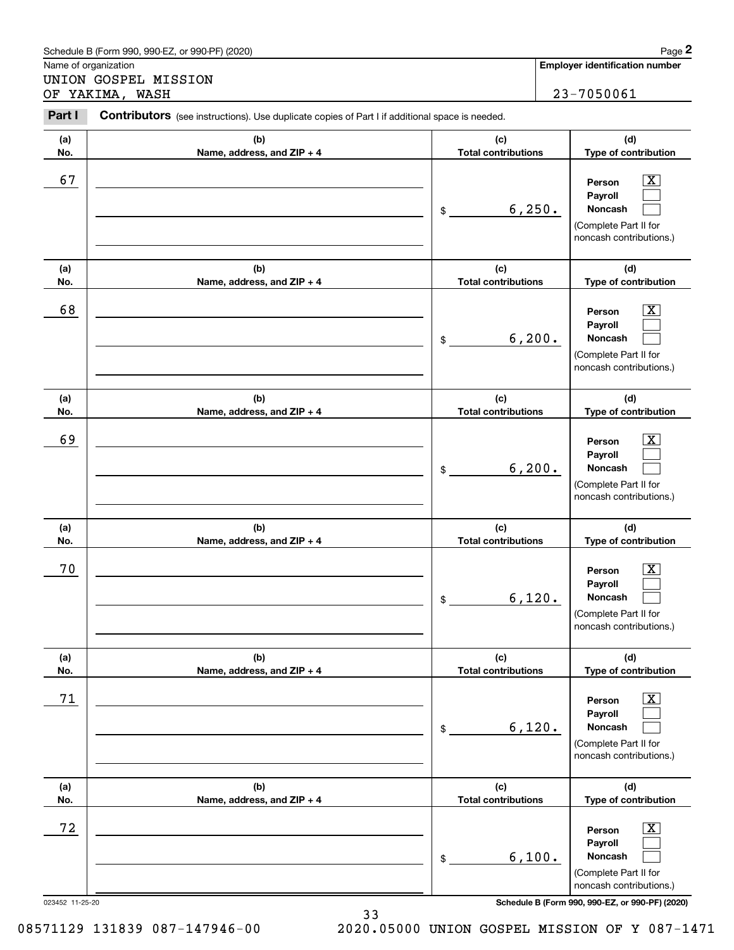|            | Schedule B (Form 990, 990-EZ, or 990-PF) (2020)                                                |                                   |         | Page 2                                                                                                             |
|------------|------------------------------------------------------------------------------------------------|-----------------------------------|---------|--------------------------------------------------------------------------------------------------------------------|
|            | Name of organization                                                                           |                                   |         | <b>Employer identification number</b>                                                                              |
|            | UNION GOSPEL MISSION<br>OF YAKIMA, WASH                                                        |                                   |         | 23-7050061                                                                                                         |
| Part I     | Contributors (see instructions). Use duplicate copies of Part I if additional space is needed. |                                   |         |                                                                                                                    |
| (a)<br>No. | (b)<br>Name, address, and ZIP + 4                                                              | (c)<br><b>Total contributions</b> |         | (d)<br>Type of contribution                                                                                        |
| 67         |                                                                                                | \$                                | 6, 250. | $\overline{\text{X}}$<br>Person<br>Payroll<br><b>Noncash</b><br>(Complete Part II for<br>noncash contributions.)   |
| (a)<br>No. | (b)<br>Name, address, and ZIP + 4                                                              | (c)<br><b>Total contributions</b> |         | (d)<br>Type of contribution                                                                                        |
| 68         |                                                                                                | \$                                | 6, 200. | $\overline{\mathbf{X}}$<br>Person<br>Payroll<br><b>Noncash</b><br>(Complete Part II for<br>noncash contributions.) |
| (a)<br>No. | (b)<br>Name, address, and ZIP + 4                                                              | (c)<br><b>Total contributions</b> |         | (d)<br>Type of contribution                                                                                        |
| 69         |                                                                                                | \$                                | 6, 200. | X<br>Person<br>Payroll<br><b>Noncash</b><br>(Complete Part II for<br>noncash contributions.)                       |
| (a)<br>No. | (b)<br>Name, address, and ZIP + 4                                                              | (c)<br><b>Total contributions</b> |         | (d)<br>Type of contribution                                                                                        |
| 70         |                                                                                                | 6,120.<br>\$                      |         | $\mathbf{X}$<br>Person<br>Payroll<br>Noncash<br>(Complete Part II for<br>noncash contributions.)                   |
| (a)<br>No. | (b)<br>Name, address, and ZIP + 4                                                              | (c)<br><b>Total contributions</b> |         | (d)<br>Type of contribution                                                                                        |
| 71         |                                                                                                | \$                                | 6,120.  | $\boxed{\text{X}}$<br>Person<br>Payroll<br><b>Noncash</b><br>(Complete Part II for<br>noncash contributions.)      |
| (a)<br>No. | (b)<br>Name, address, and ZIP + 4                                                              | (c)<br><b>Total contributions</b> |         | (d)<br>Type of contribution                                                                                        |
| 72         |                                                                                                | \$                                | 6,100.  | $\boxed{\text{X}}$<br>Person<br>Payroll<br><b>Noncash</b><br>(Complete Part II for<br>noncash contributions.)      |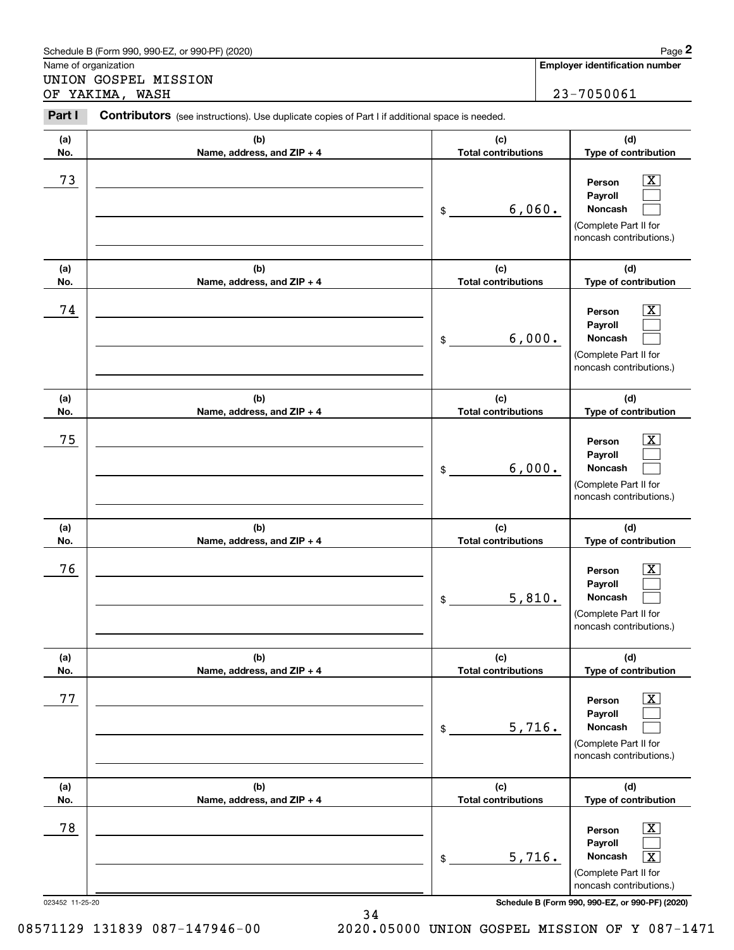|                                         | Schedule B (Form 990, 990-EZ, or 990-PF) (2020)                                                |                                   |        | Page 2                                                                                                                            |
|-----------------------------------------|------------------------------------------------------------------------------------------------|-----------------------------------|--------|-----------------------------------------------------------------------------------------------------------------------------------|
|                                         | Name of organization                                                                           |                                   |        | <b>Employer identification number</b>                                                                                             |
| UNION GOSPEL MISSION<br>OF YAKIMA, WASH |                                                                                                |                                   |        | 23-7050061                                                                                                                        |
| Part I                                  | Contributors (see instructions). Use duplicate copies of Part I if additional space is needed. |                                   |        |                                                                                                                                   |
| (a)<br>No.                              | (b)<br>Name, address, and ZIP + 4                                                              | (c)<br><b>Total contributions</b> |        | (d)<br>Type of contribution                                                                                                       |
| 73                                      |                                                                                                | \$                                | 6,060. | $\overline{\mathbf{x}}$<br>Person<br>Payroll<br>Noncash<br>(Complete Part II for<br>noncash contributions.)                       |
| (a)<br>No.                              | (b)<br>Name, address, and ZIP + 4                                                              | (c)<br><b>Total contributions</b> |        | (d)<br>Type of contribution                                                                                                       |
| 74                                      |                                                                                                | \$                                | 6,000. | x<br>Person<br>Payroll<br><b>Noncash</b><br>(Complete Part II for<br>noncash contributions.)                                      |
| (a)<br>No.                              | (b)<br>Name, address, and ZIP + 4                                                              | (c)<br><b>Total contributions</b> |        | (d)<br>Type of contribution                                                                                                       |
| 75                                      |                                                                                                | \$                                | 6,000. | X<br>Person<br>Payroll<br><b>Noncash</b><br>(Complete Part II for<br>noncash contributions.)                                      |
| (a)<br>No.                              | (b)<br>Name, address, and ZIP + 4                                                              | (c)<br><b>Total contributions</b> |        | (d)<br>Type of contribution                                                                                                       |
| 76                                      |                                                                                                | 5,810.<br>\$                      |        | $\overline{\mathbf{X}}$<br>Person<br>Payroll<br>Noncash<br>(Complete Part II for<br>noncash contributions.)                       |
| (a)<br>No.                              | (b)<br>Name, address, and ZIP + 4                                                              | (c)<br><b>Total contributions</b> |        | (d)<br>Type of contribution                                                                                                       |
| 77                                      |                                                                                                | 5,716.<br>\$                      |        | $\boxed{\text{X}}$<br>Person<br>Payroll<br><b>Noncash</b><br>(Complete Part II for<br>noncash contributions.)                     |
| (a)<br>No.                              | (b)<br>Name, address, and ZIP + 4                                                              | (c)<br><b>Total contributions</b> |        | (d)<br>Type of contribution                                                                                                       |
| 78                                      |                                                                                                | 5,716.<br>\$                      |        | $\boxed{\text{X}}$<br>Person<br>Payroll<br>$\overline{\mathbf{X}}$<br>Noncash<br>(Complete Part II for<br>noncash contributions.) |

34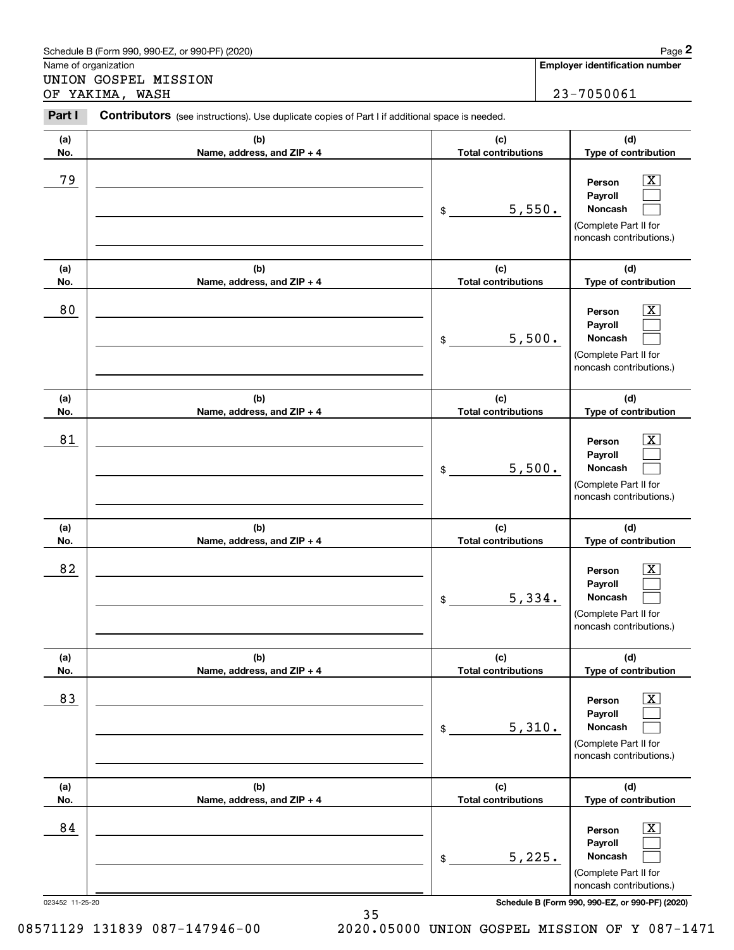|                                              | Schedule B (Form 990, 990-EZ, or 990-PF) (2020)                                                |                                   |        | Page 2                                                                                                        |
|----------------------------------------------|------------------------------------------------------------------------------------------------|-----------------------------------|--------|---------------------------------------------------------------------------------------------------------------|
| Name of organization<br>UNION GOSPEL MISSION |                                                                                                |                                   |        | <b>Employer identification number</b>                                                                         |
| OF YAKIMA, WASH                              |                                                                                                |                                   |        | 23-7050061                                                                                                    |
| Part I                                       | Contributors (see instructions). Use duplicate copies of Part I if additional space is needed. |                                   |        |                                                                                                               |
| (a)<br>No.                                   | (b)<br>Name, address, and ZIP + 4                                                              | (c)<br><b>Total contributions</b> |        | (d)<br>Type of contribution                                                                                   |
| 79                                           |                                                                                                | \$                                | 5,550. | x<br>Person<br>Payroll<br>Noncash<br>(Complete Part II for<br>noncash contributions.)                         |
| (a)<br>No.                                   | (b)<br>Name, address, and ZIP + 4                                                              | (c)<br><b>Total contributions</b> |        | (d)<br>Type of contribution                                                                                   |
| 80                                           |                                                                                                | \$                                | 5,500. | x<br>Person<br>Payroll<br>Noncash<br>(Complete Part II for<br>noncash contributions.)                         |
| (a)<br>No.                                   | (b)<br>Name, address, and ZIP + 4                                                              | (c)<br><b>Total contributions</b> |        | (d)<br>Type of contribution                                                                                   |
| 81                                           |                                                                                                | \$                                | 5,500. | x<br>Person<br>Payroll<br>Noncash<br>(Complete Part II for<br>noncash contributions.)                         |
| (a)<br>No.                                   | (b)<br>Name, address, and ZIP + 4                                                              | (c)<br><b>Total contributions</b> |        | (d)<br>Type of contribution                                                                                   |
| 82                                           |                                                                                                | \$                                | 5,334. | $\overline{\text{X}}$<br>Person<br>Payroll<br>Noncash<br>(Complete Part II for<br>noncash contributions.)     |
| (a)<br>No.                                   | (b)<br>Name, address, and ZIP + 4                                                              | (c)<br><b>Total contributions</b> |        | (d)<br>Type of contribution                                                                                   |
| 83                                           |                                                                                                | \$                                | 5,310. | $\boxed{\text{X}}$<br>Person<br>Payroll<br><b>Noncash</b><br>(Complete Part II for<br>noncash contributions.) |
| (a)<br>No.                                   | (b)<br>Name, address, and ZIP + 4                                                              | (c)<br><b>Total contributions</b> |        | (d)<br>Type of contribution                                                                                   |
| 84                                           |                                                                                                | 5,225.<br>\$                      |        | $\boxed{\text{X}}$<br>Person<br>Payroll<br><b>Noncash</b><br>(Complete Part II for<br>noncash contributions.) |

35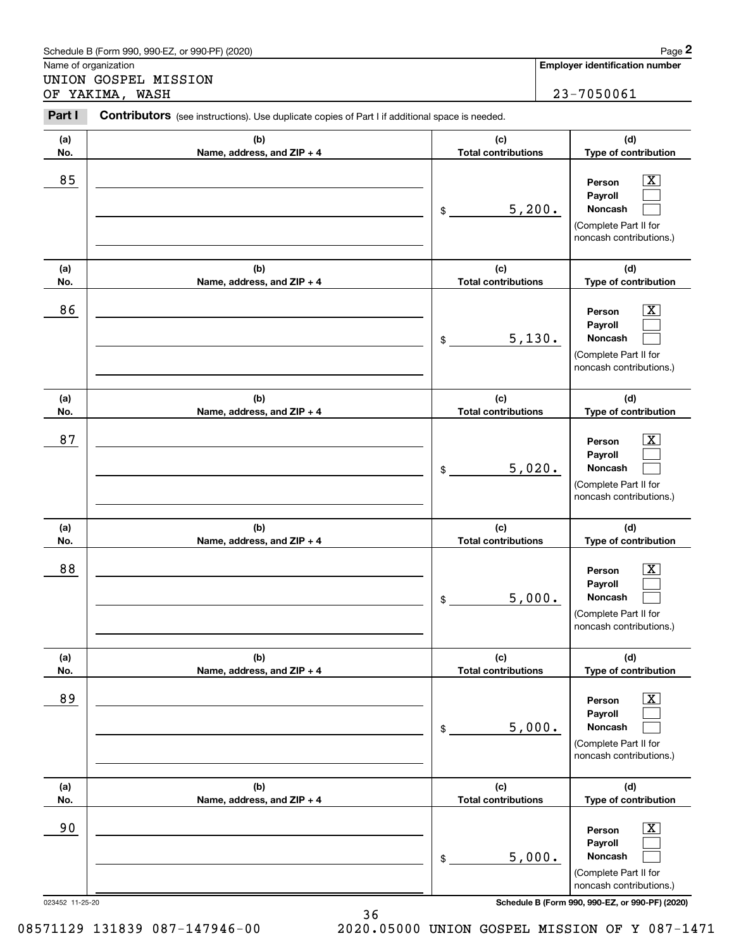|                                              | Schedule B (Form 990, 990-EZ, or 990-PF) (2020)                                                |                                   |        | Page 2                                                                                                           |
|----------------------------------------------|------------------------------------------------------------------------------------------------|-----------------------------------|--------|------------------------------------------------------------------------------------------------------------------|
| Name of organization<br>UNION GOSPEL MISSION |                                                                                                |                                   |        | <b>Employer identification number</b>                                                                            |
| OF YAKIMA, WASH                              |                                                                                                |                                   |        | 23-7050061                                                                                                       |
| Part I                                       | Contributors (see instructions). Use duplicate copies of Part I if additional space is needed. |                                   |        |                                                                                                                  |
| (a)<br>No.                                   | (b)<br>Name, address, and ZIP + 4                                                              | (c)<br><b>Total contributions</b> |        | (d)<br>Type of contribution                                                                                      |
| 85                                           |                                                                                                | \$                                | 5,200. | х<br>Person<br>Payroll<br>Noncash<br>(Complete Part II for<br>noncash contributions.)                            |
| (a)<br>No.                                   | (b)<br>Name, address, and ZIP + 4                                                              | (c)<br><b>Total contributions</b> |        | (d)<br>Type of contribution                                                                                      |
| 86                                           |                                                                                                | \$                                | 5,130. | х<br>Person<br>Payroll<br>Noncash<br>(Complete Part II for<br>noncash contributions.)                            |
| (a)<br>No.                                   | (b)<br>Name, address, and ZIP + 4                                                              | (c)<br><b>Total contributions</b> |        | (d)<br>Type of contribution                                                                                      |
| 87                                           |                                                                                                | \$                                | 5,020. | x<br>Person<br>Payroll<br>Noncash<br>(Complete Part II for<br>noncash contributions.)                            |
| (a)<br>No.                                   | (b)<br>Name, address, and ZIP + 4                                                              | (c)<br><b>Total contributions</b> |        | (d)<br>Type of contribution                                                                                      |
| 88                                           |                                                                                                | \$                                | 5,000. | X<br>Person<br>Payroll<br>Noncash<br>(Complete Part II for<br>noncash contributions.)                            |
| (a)<br>No.                                   | (b)<br>Name, address, and ZIP + 4                                                              | (c)<br><b>Total contributions</b> |        | (d)<br>Type of contribution                                                                                      |
| 89                                           |                                                                                                | \$                                | 5,000. | $\boxed{\text{X}}$<br>Person<br>Payroll<br><b>Noncash</b><br>(Complete Part II for<br>noncash contributions.)    |
| (a)<br>No.                                   | (b)<br>Name, address, and ZIP + 4                                                              | (c)<br><b>Total contributions</b> |        | (d)<br>Type of contribution                                                                                      |
| 90                                           |                                                                                                | \$                                | 5,000. | $\overline{\text{X}}$<br>Person<br>Payroll<br><b>Noncash</b><br>(Complete Part II for<br>noncash contributions.) |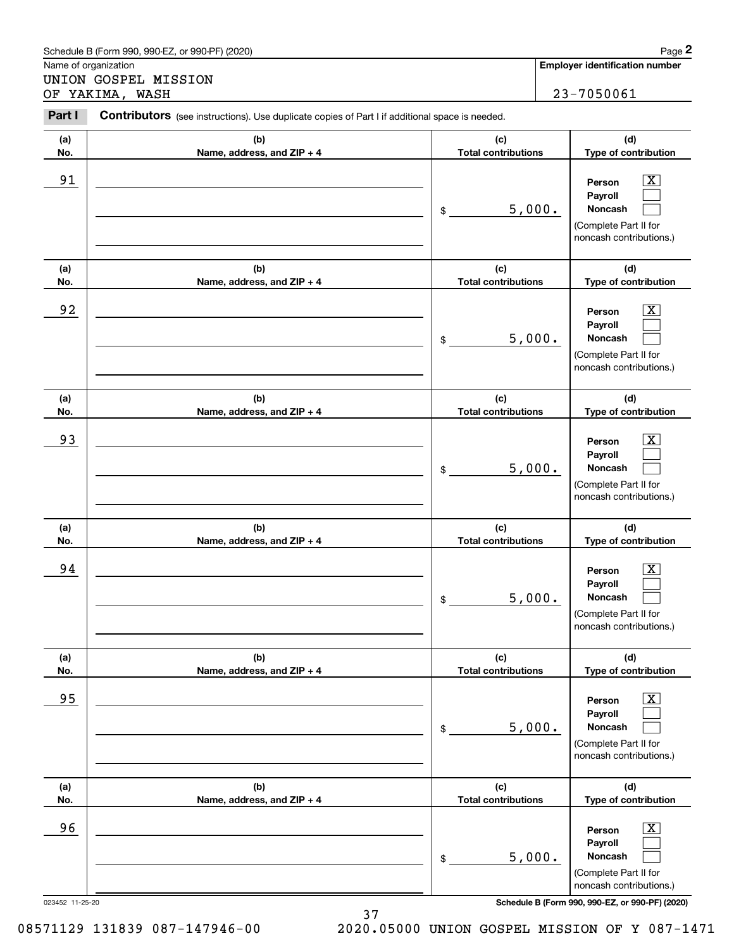|                                              | Schedule B (Form 990, 990-EZ, or 990-PF) (2020)                                                |                                   |                                       | Page 2                                                                                                        |  |
|----------------------------------------------|------------------------------------------------------------------------------------------------|-----------------------------------|---------------------------------------|---------------------------------------------------------------------------------------------------------------|--|
| Name of organization<br>UNION GOSPEL MISSION |                                                                                                |                                   | <b>Employer identification number</b> |                                                                                                               |  |
| OF YAKIMA, WASH                              |                                                                                                |                                   |                                       | 23-7050061                                                                                                    |  |
| Part I                                       | Contributors (see instructions). Use duplicate copies of Part I if additional space is needed. |                                   |                                       |                                                                                                               |  |
| (a)<br>No.                                   | (b)<br>Name, address, and ZIP + 4                                                              | (c)<br><b>Total contributions</b> |                                       | (d)<br>Type of contribution                                                                                   |  |
| 91                                           |                                                                                                | \$                                | 5,000.                                | x<br>Person<br>Payroll<br>Noncash<br>(Complete Part II for<br>noncash contributions.)                         |  |
| (a)<br>No.                                   | (b)<br>Name, address, and ZIP + 4                                                              | (c)<br><b>Total contributions</b> |                                       | (d)<br>Type of contribution                                                                                   |  |
| 92                                           |                                                                                                | \$                                | 5,000.                                | x<br>Person<br>Payroll<br>Noncash<br>(Complete Part II for<br>noncash contributions.)                         |  |
| (a)<br>No.                                   | (b)<br>Name, address, and ZIP + 4                                                              | (c)<br><b>Total contributions</b> |                                       | (d)<br>Type of contribution                                                                                   |  |
| 93                                           |                                                                                                | \$                                | 5,000.                                | x<br>Person<br>Payroll<br>Noncash<br>(Complete Part II for<br>noncash contributions.)                         |  |
| (a)<br>No.                                   | (b)<br>Name, address, and ZIP + 4                                                              | (c)<br><b>Total contributions</b> |                                       | (d)<br>Type of contribution                                                                                   |  |
| 94                                           |                                                                                                | 5,000.<br>\$                      |                                       | $\overline{\text{X}}$<br>Person<br>Payroll<br>Noncash<br>(Complete Part II for<br>noncash contributions.)     |  |
| (a)<br>No.                                   | (b)<br>Name, address, and ZIP + 4                                                              | (c)<br><b>Total contributions</b> |                                       | (d)<br>Type of contribution                                                                                   |  |
| 95                                           |                                                                                                | \$                                | 5,000.                                | $\boxed{\text{X}}$<br>Person<br>Payroll<br><b>Noncash</b><br>(Complete Part II for<br>noncash contributions.) |  |
| (a)<br>No.                                   | (b)<br>Name, address, and ZIP + 4                                                              | (c)<br><b>Total contributions</b> |                                       | (d)<br>Type of contribution                                                                                   |  |
| 96                                           |                                                                                                | 5,000.<br>\$                      |                                       | $\boxed{\text{X}}$<br>Person<br>Payroll<br><b>Noncash</b><br>(Complete Part II for<br>noncash contributions.) |  |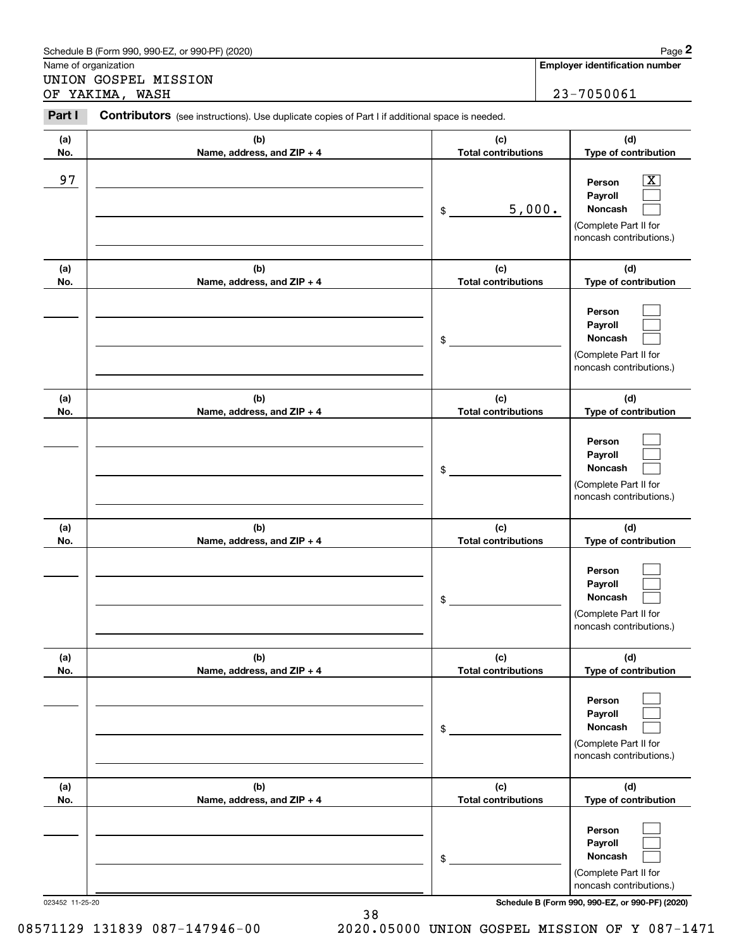|                                         | Schedule B (Form 990, 990-EZ, or 990-PF) (2020)                                                |                                   |        | Page 2                                                                                                    |
|-----------------------------------------|------------------------------------------------------------------------------------------------|-----------------------------------|--------|-----------------------------------------------------------------------------------------------------------|
| Name of organization                    |                                                                                                |                                   |        | <b>Employer identification number</b>                                                                     |
| UNION GOSPEL MISSION<br>OF YAKIMA, WASH |                                                                                                |                                   |        | 23-7050061                                                                                                |
| Part I                                  | Contributors (see instructions). Use duplicate copies of Part I if additional space is needed. |                                   |        |                                                                                                           |
| (a)<br>No.                              | (b)<br>Name, address, and ZIP + 4                                                              | (c)<br><b>Total contributions</b> |        | (d)<br>Type of contribution                                                                               |
| 97                                      |                                                                                                | \$                                | 5,000. | $\overline{\text{X}}$<br>Person<br>Payroll<br>Noncash<br>(Complete Part II for<br>noncash contributions.) |
| (a)<br>No.                              | (b)<br>Name, address, and ZIP + 4                                                              | (c)<br><b>Total contributions</b> |        | (d)<br>Type of contribution                                                                               |
|                                         |                                                                                                | \$                                |        | Person<br>Payroll<br><b>Noncash</b><br>(Complete Part II for<br>noncash contributions.)                   |
| (a)<br>No.                              | (b)<br>Name, address, and ZIP + 4                                                              | (c)<br><b>Total contributions</b> |        | (d)<br>Type of contribution                                                                               |
|                                         |                                                                                                | \$                                |        | Person<br>Payroll<br><b>Noncash</b><br>(Complete Part II for<br>noncash contributions.)                   |
| (a)<br>No.                              | (b)<br>Name, address, and ZIP + 4                                                              | (c)<br><b>Total contributions</b> |        | (d)<br>Type of contribution                                                                               |
|                                         |                                                                                                | \$                                |        | Person<br>Payroll<br>Noncash<br>(Complete Part II for<br>noncash contributions.)                          |
| (a)<br>No.                              | (b)<br>Name, address, and ZIP + 4                                                              | (c)<br><b>Total contributions</b> |        | (d)<br>Type of contribution                                                                               |
|                                         |                                                                                                | \$                                |        | Person<br>Payroll<br><b>Noncash</b><br>(Complete Part II for<br>noncash contributions.)                   |
| (a)<br>No.                              | (b)<br>Name, address, and ZIP + 4                                                              | (c)<br><b>Total contributions</b> |        | (d)<br>Type of contribution                                                                               |
|                                         |                                                                                                | \$                                |        | Person<br>Payroll<br><b>Noncash</b><br>(Complete Part II for<br>noncash contributions.)                   |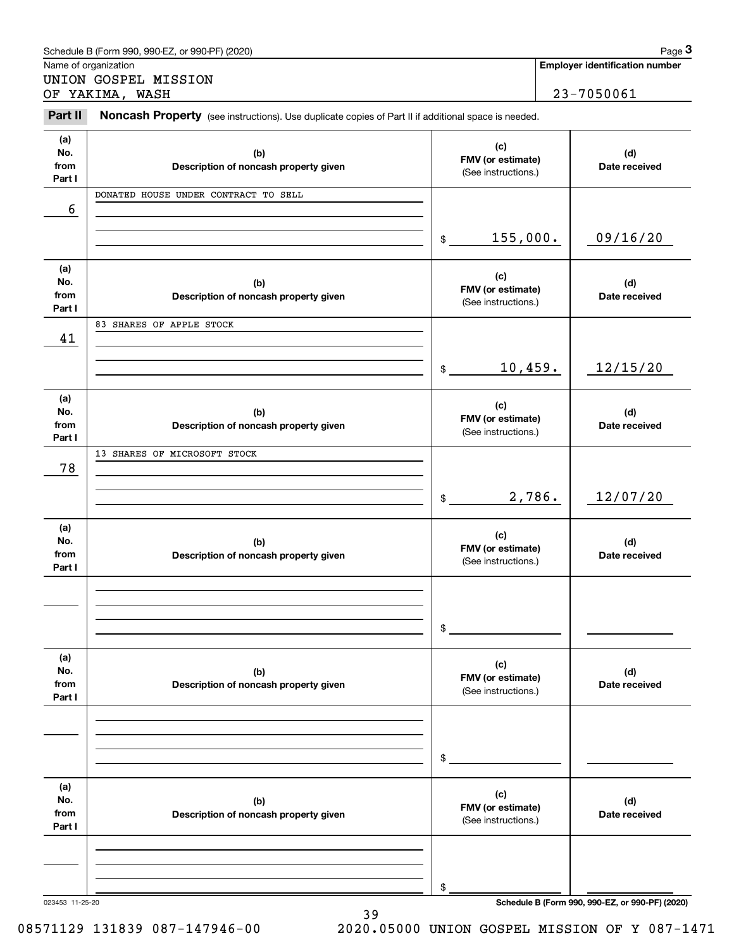|                              | Schedule B (Form 990, 990-EZ, or 990-PF) (2020)                                                     |                                                 |        | Page 3                                          |
|------------------------------|-----------------------------------------------------------------------------------------------------|-------------------------------------------------|--------|-------------------------------------------------|
| Name of organization         |                                                                                                     |                                                 |        | <b>Employer identification number</b>           |
|                              | UNION GOSPEL MISSION<br>OF YAKIMA, WASH                                                             |                                                 |        | 23-7050061                                      |
| Part II                      | Noncash Property (see instructions). Use duplicate copies of Part II if additional space is needed. |                                                 |        |                                                 |
| (a)<br>No.<br>from<br>Part I | (b)<br>Description of noncash property given                                                        | (c)<br>FMV (or estimate)<br>(See instructions.) |        | (d)<br>Date received                            |
| 6                            | DONATED HOUSE UNDER CONTRACT TO SELL                                                                |                                                 |        |                                                 |
|                              |                                                                                                     | 155,000.<br>$\frac{1}{2}$                       |        | 09/16/20                                        |
| (a)<br>No.<br>from<br>Part I | (b)<br>Description of noncash property given                                                        | (c)<br>FMV (or estimate)<br>(See instructions.) |        | (d)<br>Date received                            |
| 41                           | 83 SHARES OF APPLE STOCK                                                                            |                                                 |        |                                                 |
|                              |                                                                                                     | 10,459.<br>$\frac{1}{2}$                        |        | 12/15/20                                        |
| (a)<br>No.<br>from<br>Part I | (b)<br>Description of noncash property given                                                        | (c)<br>FMV (or estimate)<br>(See instructions.) |        | (d)<br>Date received                            |
| 78                           | 13 SHARES OF MICROSOFT STOCK                                                                        | $\frac{1}{2}$                                   | 2,786. | 12/07/20                                        |
| (a)<br>No.<br>from<br>Part I | (b)<br>Description of noncash property given                                                        | (c)<br>FMV (or estimate)<br>(See instructions.) |        | (d)<br>Date received                            |
|                              |                                                                                                     | \$                                              |        |                                                 |
| (a)<br>No.<br>from<br>Part I | (b)<br>Description of noncash property given                                                        | (c)<br>FMV (or estimate)<br>(See instructions.) |        | (d)<br>Date received                            |
|                              |                                                                                                     | \$                                              |        |                                                 |
| (a)<br>No.<br>from<br>Part I | (b)<br>Description of noncash property given                                                        | (c)<br>FMV (or estimate)<br>(See instructions.) |        | (d)<br>Date received                            |
| 023453 11-25-20              |                                                                                                     | \$                                              |        | Schedule B (Form 990, 990-EZ, or 990-PF) (2020) |

39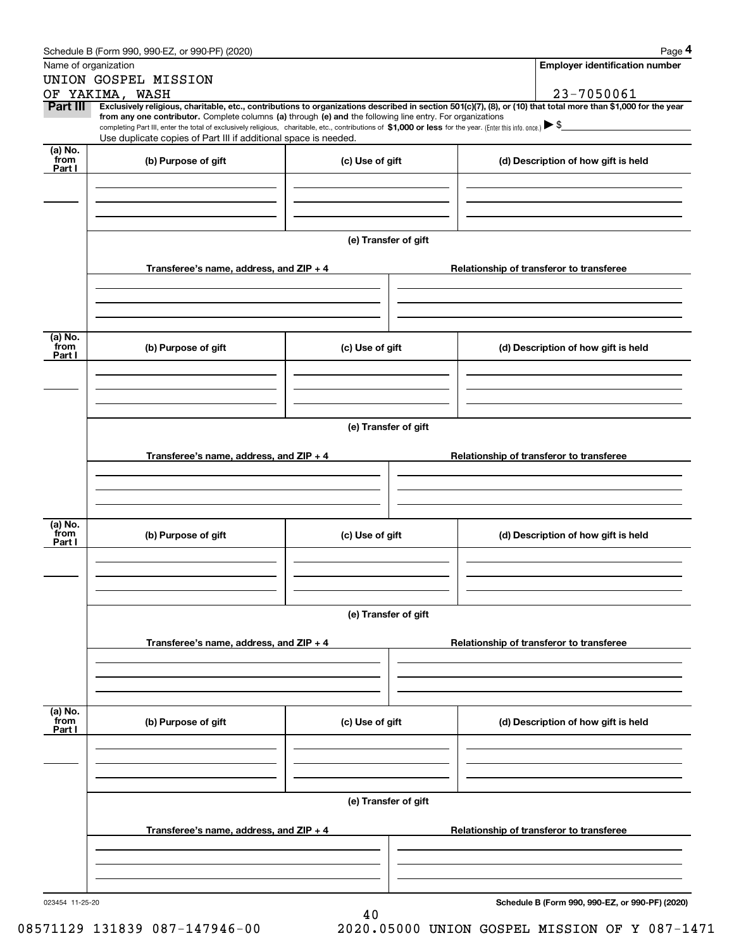|                 | Schedule B (Form 990, 990-EZ, or 990-PF) (2020)                                                                                                                                   |                      | Page 4                                                                                                                                                         |
|-----------------|-----------------------------------------------------------------------------------------------------------------------------------------------------------------------------------|----------------------|----------------------------------------------------------------------------------------------------------------------------------------------------------------|
|                 | Name of organization                                                                                                                                                              |                      | <b>Employer identification number</b>                                                                                                                          |
|                 | UNION GOSPEL MISSION                                                                                                                                                              |                      |                                                                                                                                                                |
|                 | OF YAKIMA, WASH                                                                                                                                                                   |                      | 23-7050061                                                                                                                                                     |
| Part III        | from any one contributor. Complete columns (a) through (e) and the following line entry. For organizations                                                                        |                      | Exclusively religious, charitable, etc., contributions to organizations described in section 501(c)(7), (8), or (10) that total more than \$1,000 for the year |
|                 | completing Part III, enter the total of exclusively religious, charitable, etc., contributions of \$1,000 or less for the year. (Enter this info. once.) $\blacktriangleright$ \$ |                      |                                                                                                                                                                |
|                 | Use duplicate copies of Part III if additional space is needed.                                                                                                                   |                      |                                                                                                                                                                |
| (a) No.<br>from | (b) Purpose of gift                                                                                                                                                               | (c) Use of gift      | (d) Description of how gift is held                                                                                                                            |
| Part I          |                                                                                                                                                                                   |                      |                                                                                                                                                                |
|                 |                                                                                                                                                                                   |                      |                                                                                                                                                                |
|                 |                                                                                                                                                                                   |                      |                                                                                                                                                                |
|                 |                                                                                                                                                                                   |                      |                                                                                                                                                                |
|                 |                                                                                                                                                                                   | (e) Transfer of gift |                                                                                                                                                                |
|                 |                                                                                                                                                                                   |                      |                                                                                                                                                                |
|                 | Transferee's name, address, and ZIP + 4                                                                                                                                           |                      | Relationship of transferor to transferee                                                                                                                       |
|                 |                                                                                                                                                                                   |                      |                                                                                                                                                                |
|                 |                                                                                                                                                                                   |                      |                                                                                                                                                                |
|                 |                                                                                                                                                                                   |                      |                                                                                                                                                                |
|                 |                                                                                                                                                                                   |                      |                                                                                                                                                                |
| (a) No.<br>from | (b) Purpose of gift                                                                                                                                                               | (c) Use of gift      | (d) Description of how gift is held                                                                                                                            |
| Part I          |                                                                                                                                                                                   |                      |                                                                                                                                                                |
|                 |                                                                                                                                                                                   |                      |                                                                                                                                                                |
|                 |                                                                                                                                                                                   |                      |                                                                                                                                                                |
|                 |                                                                                                                                                                                   |                      |                                                                                                                                                                |
|                 |                                                                                                                                                                                   |                      |                                                                                                                                                                |
|                 |                                                                                                                                                                                   | (e) Transfer of gift |                                                                                                                                                                |
|                 | Transferee's name, address, and $ZIP + 4$                                                                                                                                         |                      | Relationship of transferor to transferee                                                                                                                       |
|                 |                                                                                                                                                                                   |                      |                                                                                                                                                                |
|                 |                                                                                                                                                                                   |                      |                                                                                                                                                                |
|                 |                                                                                                                                                                                   |                      |                                                                                                                                                                |
|                 |                                                                                                                                                                                   |                      |                                                                                                                                                                |
| (a) No.<br>from | (b) Purpose of gift                                                                                                                                                               | (c) Use of gift      | (d) Description of how gift is held                                                                                                                            |
| Part I          |                                                                                                                                                                                   |                      |                                                                                                                                                                |
|                 |                                                                                                                                                                                   |                      |                                                                                                                                                                |
|                 |                                                                                                                                                                                   |                      |                                                                                                                                                                |
|                 |                                                                                                                                                                                   |                      |                                                                                                                                                                |
|                 |                                                                                                                                                                                   |                      |                                                                                                                                                                |
|                 |                                                                                                                                                                                   | (e) Transfer of gift |                                                                                                                                                                |
|                 | Transferee's name, address, and $ZIP + 4$                                                                                                                                         |                      | Relationship of transferor to transferee                                                                                                                       |
|                 |                                                                                                                                                                                   |                      |                                                                                                                                                                |
|                 |                                                                                                                                                                                   |                      |                                                                                                                                                                |
|                 |                                                                                                                                                                                   |                      |                                                                                                                                                                |
|                 |                                                                                                                                                                                   |                      |                                                                                                                                                                |
| (a) No.<br>from | (b) Purpose of gift                                                                                                                                                               | (c) Use of gift      | (d) Description of how gift is held                                                                                                                            |
| Part I          |                                                                                                                                                                                   |                      |                                                                                                                                                                |
|                 |                                                                                                                                                                                   |                      |                                                                                                                                                                |
|                 |                                                                                                                                                                                   |                      |                                                                                                                                                                |
|                 |                                                                                                                                                                                   |                      |                                                                                                                                                                |
|                 |                                                                                                                                                                                   |                      |                                                                                                                                                                |
|                 |                                                                                                                                                                                   | (e) Transfer of gift |                                                                                                                                                                |
|                 | Transferee's name, address, and $ZIP + 4$                                                                                                                                         |                      | Relationship of transferor to transferee                                                                                                                       |
|                 |                                                                                                                                                                                   |                      |                                                                                                                                                                |
|                 |                                                                                                                                                                                   |                      |                                                                                                                                                                |
|                 |                                                                                                                                                                                   |                      |                                                                                                                                                                |
|                 |                                                                                                                                                                                   |                      |                                                                                                                                                                |

40

Schedule B (Form 990, 990-EZ, or 990-PF) (2020) Page 4

**Schedule B (Form 990, 990-EZ, or 990-PF) (2020)**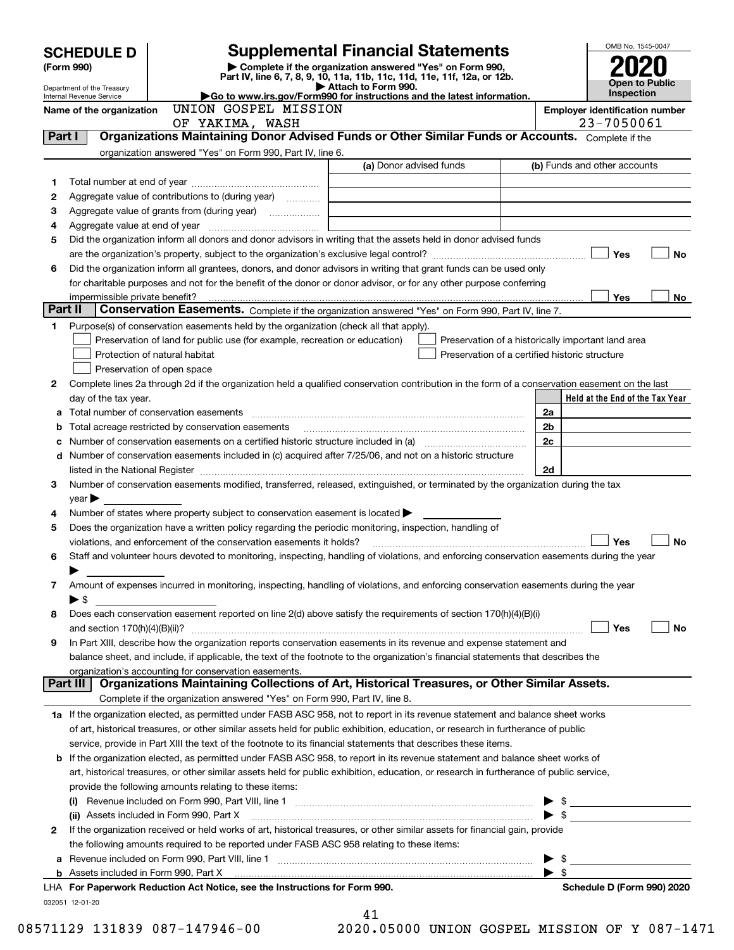|         | <b>SCHEDULE D</b>                                                                                                                                                                                                                                      |                                                                                                                                                                                                                                | <b>Supplemental Financial Statements</b>                                                                                                                                                                                       |                          | OMB No. 1545-0047               |  |
|---------|--------------------------------------------------------------------------------------------------------------------------------------------------------------------------------------------------------------------------------------------------------|--------------------------------------------------------------------------------------------------------------------------------------------------------------------------------------------------------------------------------|--------------------------------------------------------------------------------------------------------------------------------------------------------------------------------------------------------------------------------|--------------------------|---------------------------------|--|
|         | Complete if the organization answered "Yes" on Form 990,<br>(Form 990)<br>Part IV, line 6, 7, 8, 9, 10, 11a, 11b, 11c, 11d, 11e, 11f, 12a, or 12b.                                                                                                     |                                                                                                                                                                                                                                |                                                                                                                                                                                                                                |                          |                                 |  |
|         | Attach to Form 990.<br>Department of the Treasury<br>Go to www.irs.gov/Form990 for instructions and the latest information.                                                                                                                            |                                                                                                                                                                                                                                |                                                                                                                                                                                                                                |                          |                                 |  |
|         | <b>Internal Revenue Service</b><br>Name of the organization                                                                                                                                                                                            | <b>Inspection</b><br><b>Employer identification number</b>                                                                                                                                                                     |                                                                                                                                                                                                                                |                          |                                 |  |
|         |                                                                                                                                                                                                                                                        | UNION GOSPEL MISSION<br>OF YAKIMA, WASH                                                                                                                                                                                        |                                                                                                                                                                                                                                |                          | 23-7050061                      |  |
| Part I  |                                                                                                                                                                                                                                                        |                                                                                                                                                                                                                                | Organizations Maintaining Donor Advised Funds or Other Similar Funds or Accounts. Complete if the                                                                                                                              |                          |                                 |  |
|         |                                                                                                                                                                                                                                                        | organization answered "Yes" on Form 990, Part IV, line 6.                                                                                                                                                                      |                                                                                                                                                                                                                                |                          |                                 |  |
|         |                                                                                                                                                                                                                                                        |                                                                                                                                                                                                                                | (a) Donor advised funds                                                                                                                                                                                                        |                          | (b) Funds and other accounts    |  |
| 1       |                                                                                                                                                                                                                                                        |                                                                                                                                                                                                                                |                                                                                                                                                                                                                                |                          |                                 |  |
| 2       |                                                                                                                                                                                                                                                        | Aggregate value of contributions to (during year)                                                                                                                                                                              |                                                                                                                                                                                                                                |                          |                                 |  |
| з       |                                                                                                                                                                                                                                                        |                                                                                                                                                                                                                                |                                                                                                                                                                                                                                |                          |                                 |  |
| 4       |                                                                                                                                                                                                                                                        | Aggregate value at end of year memorial and the control of the state of the state of the state of the state of the state of the state of the state of the state of the state of the state of the state of the state of the sta |                                                                                                                                                                                                                                |                          |                                 |  |
| 5       |                                                                                                                                                                                                                                                        |                                                                                                                                                                                                                                | Did the organization inform all donors and donor advisors in writing that the assets held in donor advised funds                                                                                                               |                          | Yes<br>No                       |  |
| 6       |                                                                                                                                                                                                                                                        |                                                                                                                                                                                                                                | Did the organization inform all grantees, donors, and donor advisors in writing that grant funds can be used only                                                                                                              |                          |                                 |  |
|         |                                                                                                                                                                                                                                                        |                                                                                                                                                                                                                                | for charitable purposes and not for the benefit of the donor or donor advisor, or for any other purpose conferring                                                                                                             |                          |                                 |  |
|         | impermissible private benefit?                                                                                                                                                                                                                         |                                                                                                                                                                                                                                |                                                                                                                                                                                                                                |                          | <b>Yes</b><br>No                |  |
| Part II |                                                                                                                                                                                                                                                        |                                                                                                                                                                                                                                | <b>Conservation Easements.</b> Complete if the organization answered "Yes" on Form 990, Part IV, line 7.                                                                                                                       |                          |                                 |  |
| 1       |                                                                                                                                                                                                                                                        | Purpose(s) of conservation easements held by the organization (check all that apply).                                                                                                                                          |                                                                                                                                                                                                                                |                          |                                 |  |
|         |                                                                                                                                                                                                                                                        | Preservation of land for public use (for example, recreation or education)                                                                                                                                                     | Preservation of a historically important land area                                                                                                                                                                             |                          |                                 |  |
|         |                                                                                                                                                                                                                                                        | Protection of natural habitat                                                                                                                                                                                                  | Preservation of a certified historic structure                                                                                                                                                                                 |                          |                                 |  |
|         |                                                                                                                                                                                                                                                        | Preservation of open space                                                                                                                                                                                                     |                                                                                                                                                                                                                                |                          |                                 |  |
| 2       |                                                                                                                                                                                                                                                        |                                                                                                                                                                                                                                | Complete lines 2a through 2d if the organization held a qualified conservation contribution in the form of a conservation easement on the last                                                                                 |                          |                                 |  |
|         | day of the tax year.                                                                                                                                                                                                                                   |                                                                                                                                                                                                                                |                                                                                                                                                                                                                                |                          | Held at the End of the Tax Year |  |
| а       |                                                                                                                                                                                                                                                        |                                                                                                                                                                                                                                |                                                                                                                                                                                                                                | 2a<br>2 <sub>b</sub>     |                                 |  |
| b<br>с  |                                                                                                                                                                                                                                                        |                                                                                                                                                                                                                                |                                                                                                                                                                                                                                | 2c                       |                                 |  |
| d       |                                                                                                                                                                                                                                                        |                                                                                                                                                                                                                                | Number of conservation easements included in (c) acquired after 7/25/06, and not on a historic structure                                                                                                                       |                          |                                 |  |
|         |                                                                                                                                                                                                                                                        |                                                                                                                                                                                                                                |                                                                                                                                                                                                                                | 2d                       |                                 |  |
| 3       |                                                                                                                                                                                                                                                        |                                                                                                                                                                                                                                | Number of conservation easements modified, transferred, released, extinguished, or terminated by the organization during the tax                                                                                               |                          |                                 |  |
|         | $year \blacktriangleright$                                                                                                                                                                                                                             |                                                                                                                                                                                                                                |                                                                                                                                                                                                                                |                          |                                 |  |
| 4       |                                                                                                                                                                                                                                                        | Number of states where property subject to conservation easement is located $\blacktriangleright$                                                                                                                              |                                                                                                                                                                                                                                |                          |                                 |  |
| 5       |                                                                                                                                                                                                                                                        | Does the organization have a written policy regarding the periodic monitoring, inspection, handling of                                                                                                                         |                                                                                                                                                                                                                                |                          |                                 |  |
|         |                                                                                                                                                                                                                                                        | violations, and enforcement of the conservation easements it holds?                                                                                                                                                            |                                                                                                                                                                                                                                |                          | Yes<br><b>No</b>                |  |
| 6       |                                                                                                                                                                                                                                                        |                                                                                                                                                                                                                                | Staff and volunteer hours devoted to monitoring, inspecting, handling of violations, and enforcing conservation easements during the year                                                                                      |                          |                                 |  |
| 7       |                                                                                                                                                                                                                                                        |                                                                                                                                                                                                                                | Amount of expenses incurred in monitoring, inspecting, handling of violations, and enforcing conservation easements during the year                                                                                            |                          |                                 |  |
|         | ▶ \$                                                                                                                                                                                                                                                   |                                                                                                                                                                                                                                |                                                                                                                                                                                                                                |                          |                                 |  |
| 8       |                                                                                                                                                                                                                                                        |                                                                                                                                                                                                                                | Does each conservation easement reported on line 2(d) above satisfy the requirements of section 170(h)(4)(B)(i)                                                                                                                |                          |                                 |  |
|         |                                                                                                                                                                                                                                                        |                                                                                                                                                                                                                                |                                                                                                                                                                                                                                |                          | Yes<br>No                       |  |
| 9       |                                                                                                                                                                                                                                                        |                                                                                                                                                                                                                                | In Part XIII, describe how the organization reports conservation easements in its revenue and expense statement and                                                                                                            |                          |                                 |  |
|         |                                                                                                                                                                                                                                                        |                                                                                                                                                                                                                                | balance sheet, and include, if applicable, the text of the footnote to the organization's financial statements that describes the                                                                                              |                          |                                 |  |
|         | organization's accounting for conservation easements.<br>Organizations Maintaining Collections of Art, Historical Treasures, or Other Similar Assets.                                                                                                  |                                                                                                                                                                                                                                |                                                                                                                                                                                                                                |                          |                                 |  |
|         | Part III                                                                                                                                                                                                                                               |                                                                                                                                                                                                                                |                                                                                                                                                                                                                                |                          |                                 |  |
|         |                                                                                                                                                                                                                                                        | Complete if the organization answered "Yes" on Form 990, Part IV, line 8.                                                                                                                                                      |                                                                                                                                                                                                                                |                          |                                 |  |
|         |                                                                                                                                                                                                                                                        |                                                                                                                                                                                                                                | 1a If the organization elected, as permitted under FASB ASC 958, not to report in its revenue statement and balance sheet works                                                                                                |                          |                                 |  |
|         |                                                                                                                                                                                                                                                        |                                                                                                                                                                                                                                | of art, historical treasures, or other similar assets held for public exhibition, education, or research in furtherance of public                                                                                              |                          |                                 |  |
|         | service, provide in Part XIII the text of the footnote to its financial statements that describes these items.<br><b>b</b> If the organization elected, as permitted under FASB ASC 958, to report in its revenue statement and balance sheet works of |                                                                                                                                                                                                                                |                                                                                                                                                                                                                                |                          |                                 |  |
|         |                                                                                                                                                                                                                                                        |                                                                                                                                                                                                                                | art, historical treasures, or other similar assets held for public exhibition, education, or research in furtherance of public service,                                                                                        |                          |                                 |  |
|         |                                                                                                                                                                                                                                                        | provide the following amounts relating to these items:                                                                                                                                                                         |                                                                                                                                                                                                                                |                          |                                 |  |
|         |                                                                                                                                                                                                                                                        |                                                                                                                                                                                                                                |                                                                                                                                                                                                                                | $\blacktriangleright$ \$ |                                 |  |
|         |                                                                                                                                                                                                                                                        |                                                                                                                                                                                                                                | (ii) Assets included in Form 990, Part X [11] Marshall Marson Marshall Marson Marson Marson Marson Marson Mars                                                                                                                 | $\blacktriangleright$ \$ |                                 |  |
| 2       |                                                                                                                                                                                                                                                        |                                                                                                                                                                                                                                | If the organization received or held works of art, historical treasures, or other similar assets for financial gain, provide                                                                                                   |                          |                                 |  |
|         |                                                                                                                                                                                                                                                        | the following amounts required to be reported under FASB ASC 958 relating to these items:                                                                                                                                      |                                                                                                                                                                                                                                |                          |                                 |  |
|         |                                                                                                                                                                                                                                                        |                                                                                                                                                                                                                                |                                                                                                                                                                                                                                | - \$                     |                                 |  |
|         |                                                                                                                                                                                                                                                        |                                                                                                                                                                                                                                | b Assets included in Form 990, Part X [11, 12] Assets included in Form 990, Part X [12] Assets included in Form 990, Part X [12] Assets included in Form 990, Part X [12] Assets included in Form 990, Part X [12] Assets incl | ▶ \$                     |                                 |  |
|         |                                                                                                                                                                                                                                                        | LHA For Paperwork Reduction Act Notice, see the Instructions for Form 990.                                                                                                                                                     |                                                                                                                                                                                                                                |                          | Schedule D (Form 990) 2020      |  |
|         | 032051 12-01-20                                                                                                                                                                                                                                        |                                                                                                                                                                                                                                | 41                                                                                                                                                                                                                             |                          |                                 |  |

|  |  | 20.05000 INTO |  |
|--|--|---------------|--|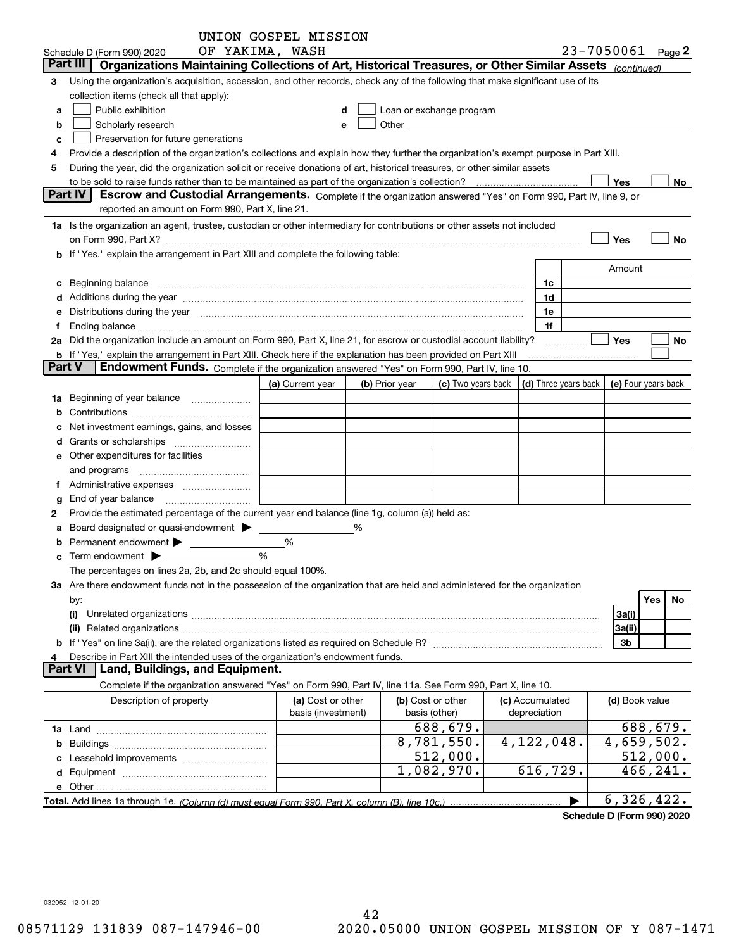|               |                                                                                                                                                                                                                                | UNION GOSPEL MISSION |   |                        |                          |                      |                |                       |
|---------------|--------------------------------------------------------------------------------------------------------------------------------------------------------------------------------------------------------------------------------|----------------------|---|------------------------|--------------------------|----------------------|----------------|-----------------------|
|               | Schedule D (Form 990) 2020                                                                                                                                                                                                     | OF YAKIMA, WASH      |   |                        |                          |                      |                | 23-7050061 Page 2     |
|               | Organizations Maintaining Collections of Art, Historical Treasures, or Other Similar Assets (continued)<br>Part III                                                                                                            |                      |   |                        |                          |                      |                |                       |
| 3             | Using the organization's acquisition, accession, and other records, check any of the following that make significant use of its                                                                                                |                      |   |                        |                          |                      |                |                       |
|               | collection items (check all that apply):                                                                                                                                                                                       |                      |   |                        |                          |                      |                |                       |
| a             | Public exhibition                                                                                                                                                                                                              |                      | d |                        | Loan or exchange program |                      |                |                       |
| b             | Scholarly research                                                                                                                                                                                                             |                      | е | <b>Other Community</b> |                          |                      |                |                       |
| c             | Preservation for future generations                                                                                                                                                                                            |                      |   |                        |                          |                      |                |                       |
| 4             | Provide a description of the organization's collections and explain how they further the organization's exempt purpose in Part XIII.                                                                                           |                      |   |                        |                          |                      |                |                       |
| 5             | During the year, did the organization solicit or receive donations of art, historical treasures, or other similar assets                                                                                                       |                      |   |                        |                          |                      |                |                       |
|               | to be sold to raise funds rather than to be maintained as part of the organization's collection?                                                                                                                               |                      |   |                        |                          |                      | Yes            | No                    |
|               | Part IV<br>Escrow and Custodial Arrangements. Complete if the organization answered "Yes" on Form 990, Part IV, line 9, or                                                                                                     |                      |   |                        |                          |                      |                |                       |
|               | reported an amount on Form 990, Part X, line 21.                                                                                                                                                                               |                      |   |                        |                          |                      |                |                       |
|               | 1a Is the organization an agent, trustee, custodian or other intermediary for contributions or other assets not included                                                                                                       |                      |   |                        |                          |                      |                |                       |
|               |                                                                                                                                                                                                                                |                      |   |                        |                          |                      |                |                       |
|               | on Form 990, Part X? [11] matter and the contract of the contract of the contract of the contract of the contract of the contract of the contract of the contract of the contract of the contract of the contract of the contr |                      |   |                        |                          |                      | Yes            | No                    |
|               | <b>b</b> If "Yes," explain the arrangement in Part XIII and complete the following table:                                                                                                                                      |                      |   |                        |                          |                      |                |                       |
|               |                                                                                                                                                                                                                                |                      |   |                        |                          |                      | Amount         |                       |
| с             | Beginning balance                                                                                                                                                                                                              |                      |   |                        |                          | 1c                   |                |                       |
| d             | Additions during the year manufactured and an annual contract of the year manufactured and all the year manufactured and all the year manufactured and all the year manufactured and all the year manufactured and all the yea |                      |   |                        |                          | 1d                   |                |                       |
| е             | Distributions during the year manufactured and continuum control of the year manufactured and control of the year manufactured and control of the year manufactured and control of the year manufactured and control of the ye |                      |   |                        |                          | 1e                   |                |                       |
| Ť.            |                                                                                                                                                                                                                                |                      |   |                        |                          | 1f                   |                |                       |
|               | 2a Did the organization include an amount on Form 990, Part X, line 21, for escrow or custodial account liability?                                                                                                             |                      |   |                        |                          |                      | Yes            | No                    |
|               | b If "Yes," explain the arrangement in Part XIII. Check here if the explanation has been provided on Part XIII                                                                                                                 |                      |   |                        |                          |                      |                |                       |
| <b>Part V</b> | Endowment Funds. Complete if the organization answered "Yes" on Form 990, Part IV, line 10.                                                                                                                                    |                      |   |                        |                          |                      |                |                       |
|               |                                                                                                                                                                                                                                | (a) Current year     |   | (b) Prior year         | (c) Two years back       | (d) Three years back |                | (e) Four years back   |
| 1a            | Beginning of year balance                                                                                                                                                                                                      |                      |   |                        |                          |                      |                |                       |
| b             |                                                                                                                                                                                                                                |                      |   |                        |                          |                      |                |                       |
|               | Net investment earnings, gains, and losses                                                                                                                                                                                     |                      |   |                        |                          |                      |                |                       |
| d             |                                                                                                                                                                                                                                |                      |   |                        |                          |                      |                |                       |
|               | <b>e</b> Other expenditures for facilities                                                                                                                                                                                     |                      |   |                        |                          |                      |                |                       |
|               | and programs                                                                                                                                                                                                                   |                      |   |                        |                          |                      |                |                       |
|               |                                                                                                                                                                                                                                |                      |   |                        |                          |                      |                |                       |
| g             | End of year balance                                                                                                                                                                                                            |                      |   |                        |                          |                      |                |                       |
| 2             | Provide the estimated percentage of the current year end balance (line 1g, column (a)) held as:                                                                                                                                |                      |   |                        |                          |                      |                |                       |
|               | Board designated or quasi-endowment >                                                                                                                                                                                          |                      | % |                        |                          |                      |                |                       |
| а             |                                                                                                                                                                                                                                | %                    |   |                        |                          |                      |                |                       |
| b             | Permanent endowment > 1                                                                                                                                                                                                        |                      |   |                        |                          |                      |                |                       |
| c             | Term endowment >                                                                                                                                                                                                               | %                    |   |                        |                          |                      |                |                       |
|               | The percentages on lines 2a, 2b, and 2c should equal 100%.                                                                                                                                                                     |                      |   |                        |                          |                      |                |                       |
|               | 3a Are there endowment funds not in the possession of the organization that are held and administered for the organization                                                                                                     |                      |   |                        |                          |                      |                |                       |
|               | by:                                                                                                                                                                                                                            |                      |   |                        |                          |                      |                | Yes<br>No             |
|               | (i)                                                                                                                                                                                                                            |                      |   |                        |                          |                      | 3a(i)          |                       |
|               |                                                                                                                                                                                                                                |                      |   |                        |                          |                      | 3a(ii)         |                       |
|               |                                                                                                                                                                                                                                |                      |   |                        |                          |                      | 3b             |                       |
| 4             | Describe in Part XIII the intended uses of the organization's endowment funds.                                                                                                                                                 |                      |   |                        |                          |                      |                |                       |
|               | Land, Buildings, and Equipment.<br><b>Part VI</b>                                                                                                                                                                              |                      |   |                        |                          |                      |                |                       |
|               | Complete if the organization answered "Yes" on Form 990, Part IV, line 11a. See Form 990, Part X, line 10.                                                                                                                     |                      |   |                        |                          |                      |                |                       |
|               | Description of property                                                                                                                                                                                                        | (a) Cost or other    |   |                        | (b) Cost or other        | (c) Accumulated      | (d) Book value |                       |
|               |                                                                                                                                                                                                                                | basis (investment)   |   |                        | basis (other)            | depreciation         |                |                       |
|               |                                                                                                                                                                                                                                |                      |   |                        | 688,679.                 |                      |                | 688,679.              |
|               |                                                                                                                                                                                                                                |                      |   |                        | 8,781,550.               | 4, 122, 048.         |                | 4,659,502.            |
| c             | Leasehold improvements                                                                                                                                                                                                         |                      |   |                        | 512,000.                 |                      |                | $\overline{51}2,000.$ |
|               |                                                                                                                                                                                                                                |                      |   |                        | 1,082,970.               | 616,729.             |                | 466,241.              |
|               |                                                                                                                                                                                                                                |                      |   |                        |                          |                      |                |                       |
|               |                                                                                                                                                                                                                                |                      |   |                        |                          | ▶                    |                | 6,326,422.            |
|               |                                                                                                                                                                                                                                |                      |   |                        |                          |                      |                |                       |

**Schedule D (Form 990) 2020**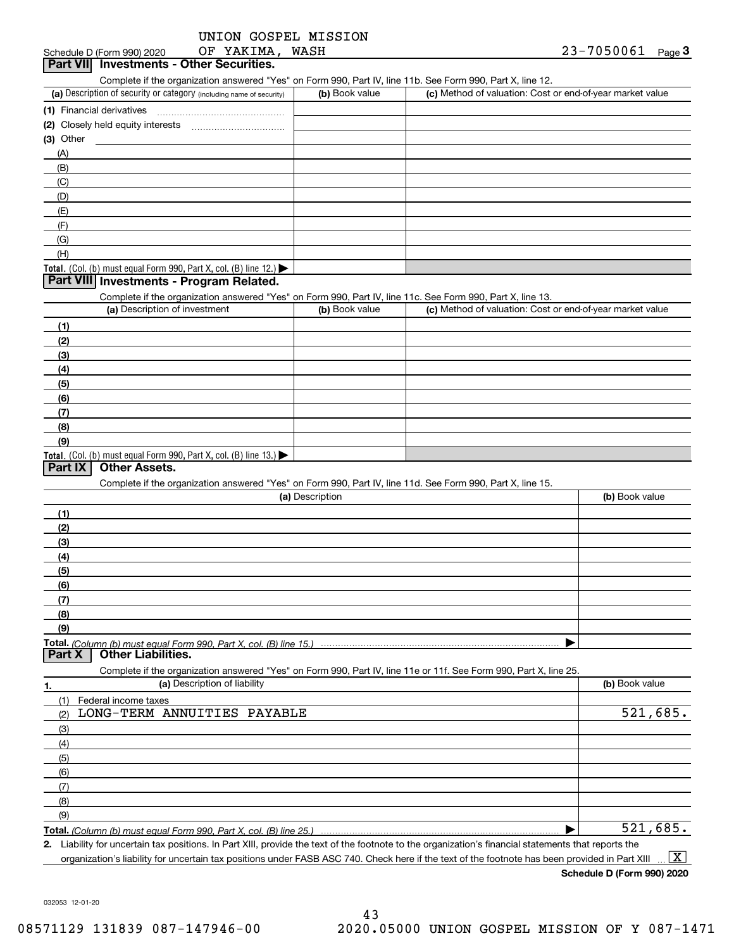|  |                 | UNION GOSPEL MISSION |
|--|-----------------|----------------------|
|  | OF YAKIMA, WASH |                      |

# Schedule D (Form 990) 2020 **OF YAKIMA, WASH**<br>**Part VII Investments - Other Securities.**

Complete if the organization answered "Yes" on Form 990, Part IV, line 11b. See Form 990, Part X, line 12.

| (a) Description of security or category (including name of security)                   | (b) Book value | (c) Method of valuation: Cost or end-of-year market value |
|----------------------------------------------------------------------------------------|----------------|-----------------------------------------------------------|
| (1) Financial derivatives                                                              |                |                                                           |
| (2) Closely held equity interests                                                      |                |                                                           |
| $(3)$ Other                                                                            |                |                                                           |
| (A)                                                                                    |                |                                                           |
| (B)                                                                                    |                |                                                           |
| (C)                                                                                    |                |                                                           |
| (D)                                                                                    |                |                                                           |
| (E)                                                                                    |                |                                                           |
| (F)                                                                                    |                |                                                           |
| (G)                                                                                    |                |                                                           |
| (H)                                                                                    |                |                                                           |
| Total. (Col. (b) must equal Form 990, Part X, col. (B) line 12.) $\blacktriangleright$ |                |                                                           |

#### **Part VIII Investments - Program Related.**

Complete if the organization answered "Yes" on Form 990, Part IV, line 11c. See Form 990, Part X, line 13.

| (a) Description of investment                                       | (b) Book value | (c) Method of valuation: Cost or end-of-year market value |
|---------------------------------------------------------------------|----------------|-----------------------------------------------------------|
| (1)                                                                 |                |                                                           |
| (2)                                                                 |                |                                                           |
| $\frac{1}{2}$                                                       |                |                                                           |
| (4)                                                                 |                |                                                           |
| $\frac{1}{2}$                                                       |                |                                                           |
| (6)                                                                 |                |                                                           |
| $\sqrt{(7)}$                                                        |                |                                                           |
| (8)                                                                 |                |                                                           |
| (9)                                                                 |                |                                                           |
| Total. (Col. (b) must equal Form 990, Part X, col. (B) line $13.$ ) |                |                                                           |

#### **Part IX Other Assets.**

Complete if the organization answered "Yes" on Form 990, Part IV, line 11d. See Form 990, Part X, line 15.

| (a) Description                                                                                                                       | (b) Book value |
|---------------------------------------------------------------------------------------------------------------------------------------|----------------|
|                                                                                                                                       |                |
| (2)                                                                                                                                   |                |
| (3)                                                                                                                                   |                |
| (4)                                                                                                                                   |                |
| (5)                                                                                                                                   |                |
| (6)                                                                                                                                   |                |
|                                                                                                                                       |                |
| (8)                                                                                                                                   |                |
| (9)                                                                                                                                   |                |
|                                                                                                                                       |                |
| Total. (Column (b) must equal Form 990, Part X, col. (B) line 15.) ………………………………………………………………………………………<br>  Part X   Other Liabilities. |                |

|                     | Complete if the organization answered "Yes" on Form 990, Part IV, line 11e or 11f. See Form 990, Part X, line 25. |                |
|---------------------|-------------------------------------------------------------------------------------------------------------------|----------------|
| 1.                  | (a) Description of liability                                                                                      | (b) Book value |
|                     | Federal income taxes                                                                                              |                |
| (2)                 | LONG-TERM ANNUITIES PAYABLE                                                                                       | 521,685.       |
| $\qquad \qquad$ (3) |                                                                                                                   |                |
| (4)                 |                                                                                                                   |                |
| (5)                 |                                                                                                                   |                |
| (6)                 |                                                                                                                   |                |
| (7)                 |                                                                                                                   |                |
| (8)                 |                                                                                                                   |                |
| (9)                 |                                                                                                                   |                |
|                     |                                                                                                                   | 521,685.       |

**2.** Liability for uncertain tax positions. In Part XIII, provide the text of the footnote to the organization's financial statements that reports the

organization's liability for uncertain tax positions under FASB ASC 740. Check here if the text of the footnote has been provided in Part XIII  $\boxed{\text{X}}$ 

**Schedule D (Form 990) 2020**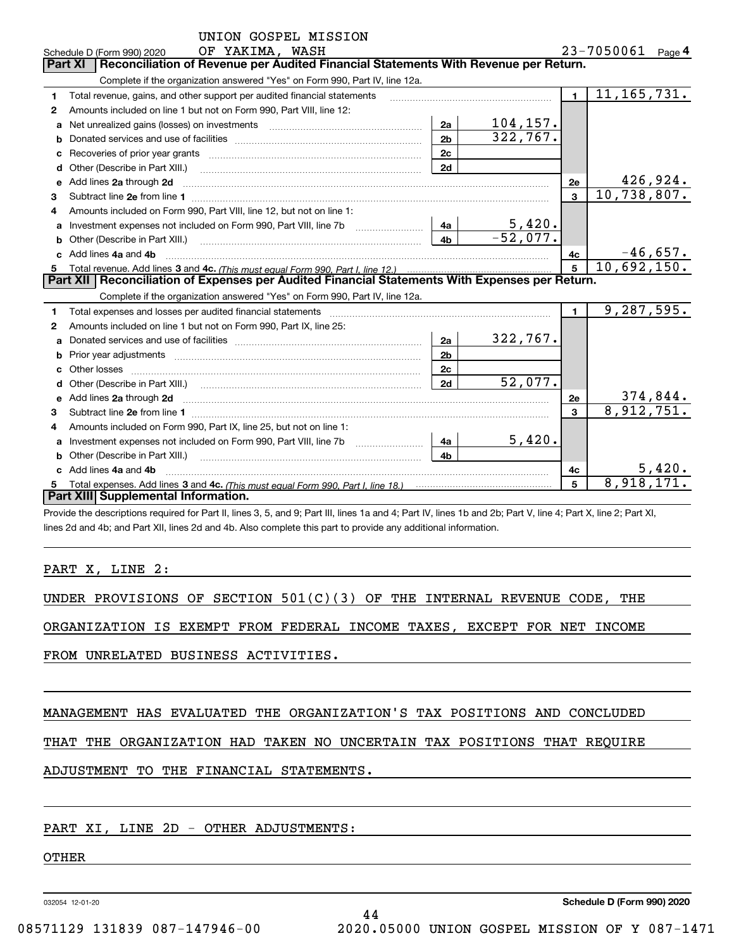|    | OF YAKIMA, WASH<br>Schedule D (Form 990) 2020                                                                                                                                                                                        |                |            |                         | 23-7050061 Page 4           |
|----|--------------------------------------------------------------------------------------------------------------------------------------------------------------------------------------------------------------------------------------|----------------|------------|-------------------------|-----------------------------|
|    | Reconciliation of Revenue per Audited Financial Statements With Revenue per Return.<br><b>Part XI</b>                                                                                                                                |                |            |                         |                             |
|    | Complete if the organization answered "Yes" on Form 990, Part IV, line 12a.                                                                                                                                                          |                |            |                         |                             |
| 1  | Total revenue, gains, and other support per audited financial statements                                                                                                                                                             |                |            | $\blacksquare$          | $\overline{11,165,731}$ .   |
| 2  | Amounts included on line 1 but not on Form 990, Part VIII, line 12:                                                                                                                                                                  |                |            |                         |                             |
| a  | Net unrealized gains (losses) on investments [11] matter contracts and the unrealized gains (losses) on investments                                                                                                                  | 2a             | 104, 157.  |                         |                             |
| b  |                                                                                                                                                                                                                                      | 2 <sub>b</sub> | 322,767.   |                         |                             |
| c  |                                                                                                                                                                                                                                      | 2c             |            |                         |                             |
| d  | Other (Describe in Part XIII.)                                                                                                                                                                                                       | 2d             |            |                         |                             |
| е  | Add lines 2a through 2d <b>continuum contract and all contract and all contract and all contract and all contract and all contract and all contract and all contract and all contract and all contract and all contract and all </b> |                |            | <b>2e</b>               | 426,924.                    |
| 3  |                                                                                                                                                                                                                                      |                |            | $\overline{\mathbf{3}}$ | 10,738,807.                 |
|    | Amounts included on Form 990, Part VIII, line 12, but not on line 1:                                                                                                                                                                 |                |            |                         |                             |
| a  | Investment expenses not included on Form 990, Part VIII, line 7b [100] [100] [100] [100] [100] [100] [100] [10                                                                                                                       | 4a             | 5,420.     |                         |                             |
| b  | Other (Describe in Part XIII.) <b>Construction Construction</b> Chern Construction Chern Chern Chern Chern Chern Chern                                                                                                               | 4 <sub>b</sub> | $-52,077.$ |                         |                             |
|    | Add lines 4a and 4b                                                                                                                                                                                                                  |                |            | 4c                      | $-46,657.$<br>10,692,150.   |
| 5  |                                                                                                                                                                                                                                      |                |            | $\overline{5}$          |                             |
|    |                                                                                                                                                                                                                                      |                |            |                         |                             |
|    | Part XII   Reconciliation of Expenses per Audited Financial Statements With Expenses per Return.                                                                                                                                     |                |            |                         |                             |
|    | Complete if the organization answered "Yes" on Form 990, Part IV, line 12a.                                                                                                                                                          |                |            |                         |                             |
| 1  |                                                                                                                                                                                                                                      |                |            | $\blacksquare$          | 9,287,595.                  |
| 2  | Amounts included on line 1 but not on Form 990, Part IX, line 25:                                                                                                                                                                    |                |            |                         |                             |
| a  |                                                                                                                                                                                                                                      | 2a             | 322,767.   |                         |                             |
| b  |                                                                                                                                                                                                                                      | 2 <sub>b</sub> |            |                         |                             |
| c  |                                                                                                                                                                                                                                      | 2c             |            |                         |                             |
| d  |                                                                                                                                                                                                                                      | 2d             | 52,077.    |                         |                             |
| е  | Add lines 2a through 2d <b>contained a contained a contained a contained a</b> contained a contact the set of the set of the set of the set of the set of the set of the set of the set of the set of the set of the set of the set  |                |            | 2e                      |                             |
| 3  |                                                                                                                                                                                                                                      |                |            | 3                       | $\frac{374,844}{8,912,751}$ |
| 4  | Amounts included on Form 990, Part IX, line 25, but not on line 1:                                                                                                                                                                   |                |            |                         |                             |
| a  |                                                                                                                                                                                                                                      | 4a             | 5,420.     |                         |                             |
| b  | Other (Describe in Part XIII.)                                                                                                                                                                                                       | 4b             |            |                         |                             |
| C. | Add lines 4a and 4b                                                                                                                                                                                                                  |                |            | 4c                      | 5,420.                      |
|    | Part XIII Supplemental Information.                                                                                                                                                                                                  |                |            | 5                       | 8,918,171                   |

Provide the descriptions required for Part II, lines 3, 5, and 9; Part III, lines 1a and 4; Part IV, lines 1b and 2b; Part V, line 4; Part X, line 2; Part XI, lines 2d and 4b; and Part XII, lines 2d and 4b. Also complete this part to provide any additional information.

#### PART X, LINE 2:

|  | UNDER PROVISIONS OF SECTION $501(C)(3)$ OF THE INTERNAL REVENUE CODE, THE |  |  |  |  |  |  |  |  |  |
|--|---------------------------------------------------------------------------|--|--|--|--|--|--|--|--|--|
|--|---------------------------------------------------------------------------|--|--|--|--|--|--|--|--|--|

ORGANIZATION IS EXEMPT FROM FEDERAL INCOME TAXES, EXCEPT FOR NET INCOME

FROM UNRELATED BUSINESS ACTIVITIES.

MANAGEMENT HAS EVALUATED THE ORGANIZATION'S TAX POSITIONS AND CONCLUDED

THAT THE ORGANIZATION HAD TAKEN NO UNCERTAIN TAX POSITIONS THAT REQUIRE

44

### ADJUSTMENT TO THE FINANCIAL STATEMENTS.

#### PART XI, LINE 2D - OTHER ADJUSTMENTS:

## OTHER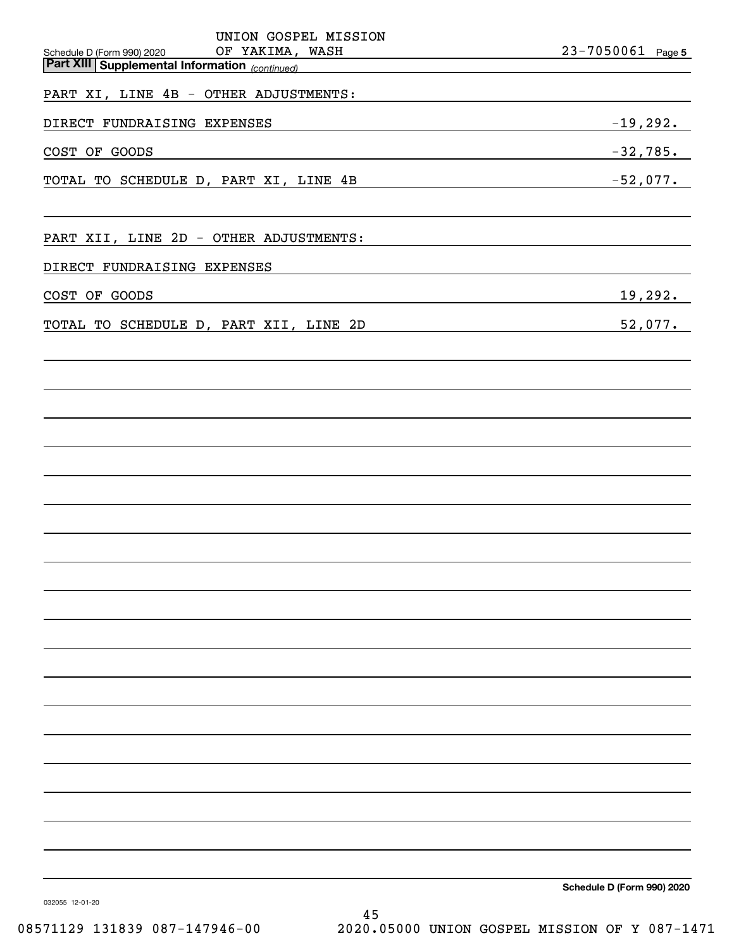| UNION GOSPEL MISSION                                                                            |                            |
|-------------------------------------------------------------------------------------------------|----------------------------|
| OF YAKIMA, WASH<br>Schedule D (Form 990) 2020<br>Part XIII Supplemental Information (continued) | 23-7050061 Page 5          |
| PART XI, LINE 4B - OTHER ADJUSTMENTS:                                                           |                            |
| DIRECT FUNDRAISING EXPENSES                                                                     | $-19,292.$                 |
| COST OF GOODS                                                                                   | $-32,785$ .                |
| TOTAL TO SCHEDULE D, PART XI, LINE 4B                                                           | $-52,077$ .                |
| PART XII, LINE 2D - OTHER ADJUSTMENTS:                                                          |                            |
| DIRECT FUNDRAISING EXPENSES                                                                     |                            |
| COST OF GOODS                                                                                   | 19,292.                    |
| TOTAL TO SCHEDULE D, PART XII, LINE 2D                                                          | 52,077.                    |
|                                                                                                 |                            |
|                                                                                                 |                            |
|                                                                                                 |                            |
|                                                                                                 |                            |
|                                                                                                 |                            |
|                                                                                                 |                            |
|                                                                                                 |                            |
|                                                                                                 |                            |
|                                                                                                 |                            |
|                                                                                                 |                            |
|                                                                                                 | Schedule D (Form 990) 2020 |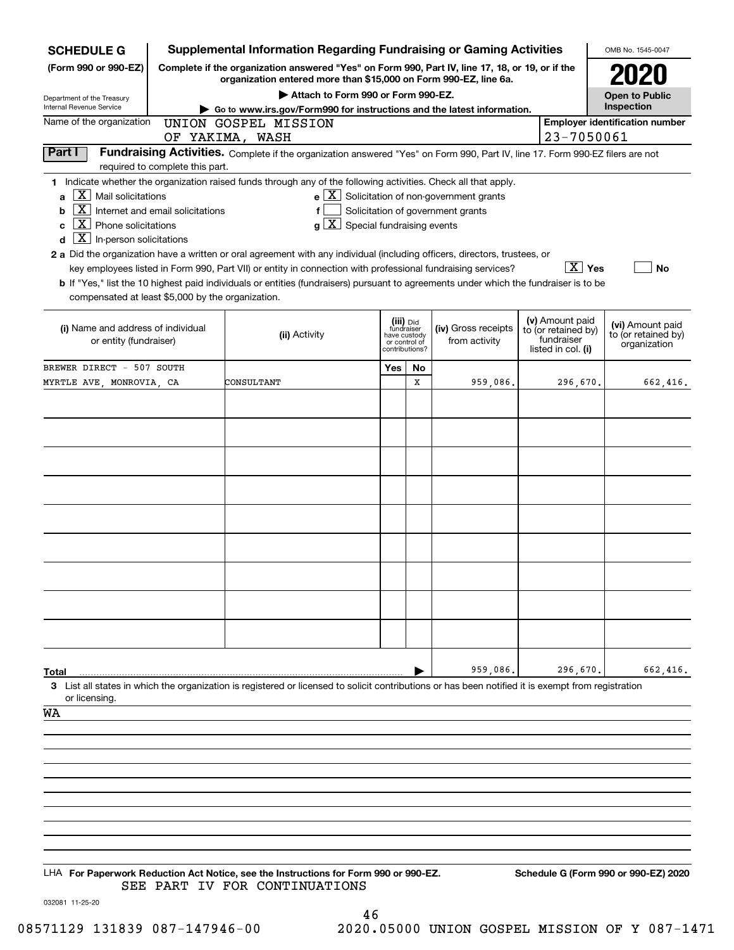| <b>SCHEDULE G</b>                                                                                                                                                                                   | <b>Supplemental Information Regarding Fundraising or Gaming Activities</b>                      |                                                                                                                                                                                                                                                                                                                                                                                                                                                                                                                                                    | OMB No. 1545-0047                                                          |    |                                                                                                   |  |                                                                            |                                                         |
|-----------------------------------------------------------------------------------------------------------------------------------------------------------------------------------------------------|-------------------------------------------------------------------------------------------------|----------------------------------------------------------------------------------------------------------------------------------------------------------------------------------------------------------------------------------------------------------------------------------------------------------------------------------------------------------------------------------------------------------------------------------------------------------------------------------------------------------------------------------------------------|----------------------------------------------------------------------------|----|---------------------------------------------------------------------------------------------------|--|----------------------------------------------------------------------------|---------------------------------------------------------|
| (Form 990 or 990-EZ)                                                                                                                                                                                | Complete if the organization answered "Yes" on Form 990, Part IV, line 17, 18, or 19, or if the |                                                                                                                                                                                                                                                                                                                                                                                                                                                                                                                                                    |                                                                            |    |                                                                                                   |  |                                                                            |                                                         |
| Department of the Treasury                                                                                                                                                                          |                                                                                                 | organization entered more than \$15,000 on Form 990-EZ, line 6a.<br>Attach to Form 990 or Form 990-EZ.                                                                                                                                                                                                                                                                                                                                                                                                                                             |                                                                            |    |                                                                                                   |  |                                                                            | <b>Open to Public</b>                                   |
| Internal Revenue Service                                                                                                                                                                            | Go to www.irs.gov/Form990 for instructions and the latest information.                          |                                                                                                                                                                                                                                                                                                                                                                                                                                                                                                                                                    | Inspection                                                                 |    |                                                                                                   |  |                                                                            |                                                         |
| Name of the organization                                                                                                                                                                            |                                                                                                 | UNION GOSPEL MISSION<br>OF YAKIMA, WASH                                                                                                                                                                                                                                                                                                                                                                                                                                                                                                            |                                                                            |    |                                                                                                   |  | 23-7050061                                                                 | <b>Employer identification number</b>                   |
| Part I                                                                                                                                                                                              | required to complete this part.                                                                 | Fundraising Activities. Complete if the organization answered "Yes" on Form 990, Part IV, line 17. Form 990-EZ filers are not                                                                                                                                                                                                                                                                                                                                                                                                                      |                                                                            |    |                                                                                                   |  |                                                                            |                                                         |
| $X$ Mail solicitations<br>a<br>$\mathbf{X}$<br>b<br>$\overline{X}$ Phone solicitations<br>C<br>$\boxed{\text{X}}$ In-person solicitations<br>d<br>compensated at least \$5,000 by the organization. | Internet and email solicitations                                                                | 1 Indicate whether the organization raised funds through any of the following activities. Check all that apply.<br>f<br>$g\mid X$ Special fundraising events<br>2 a Did the organization have a written or oral agreement with any individual (including officers, directors, trustees, or<br>key employees listed in Form 990, Part VII) or entity in connection with professional fundraising services?<br>b If "Yes," list the 10 highest paid individuals or entities (fundraisers) pursuant to agreements under which the fundraiser is to be |                                                                            |    | $e$ $\boxed{\text{X}}$ Solicitation of non-government grants<br>Solicitation of government grants |  | $\boxed{\text{X}}$ Yes                                                     | <b>No</b>                                               |
| (i) Name and address of individual<br>or entity (fundraiser)                                                                                                                                        |                                                                                                 | (ii) Activity                                                                                                                                                                                                                                                                                                                                                                                                                                                                                                                                      | (iii) Did<br>fundraiser<br>have custody<br>or control of<br>contributions? |    | (iv) Gross receipts<br>from activity                                                              |  | (v) Amount paid<br>to (or retained by)<br>fundraiser<br>listed in col. (i) | (vi) Amount paid<br>to (or retained by)<br>organization |
| BREWER DIRECT - 507 SOUTH                                                                                                                                                                           |                                                                                                 |                                                                                                                                                                                                                                                                                                                                                                                                                                                                                                                                                    | Yes                                                                        | No |                                                                                                   |  |                                                                            |                                                         |
| MYRTLE AVE, MONROVIA, CA                                                                                                                                                                            |                                                                                                 | CONSULTANT                                                                                                                                                                                                                                                                                                                                                                                                                                                                                                                                         |                                                                            | X  | 959,086.                                                                                          |  | 296,670.                                                                   | 662.416.                                                |
|                                                                                                                                                                                                     |                                                                                                 |                                                                                                                                                                                                                                                                                                                                                                                                                                                                                                                                                    |                                                                            |    |                                                                                                   |  |                                                                            |                                                         |
|                                                                                                                                                                                                     |                                                                                                 |                                                                                                                                                                                                                                                                                                                                                                                                                                                                                                                                                    |                                                                            |    |                                                                                                   |  |                                                                            |                                                         |
|                                                                                                                                                                                                     |                                                                                                 |                                                                                                                                                                                                                                                                                                                                                                                                                                                                                                                                                    |                                                                            |    |                                                                                                   |  |                                                                            |                                                         |
|                                                                                                                                                                                                     |                                                                                                 |                                                                                                                                                                                                                                                                                                                                                                                                                                                                                                                                                    |                                                                            |    |                                                                                                   |  |                                                                            |                                                         |
|                                                                                                                                                                                                     |                                                                                                 |                                                                                                                                                                                                                                                                                                                                                                                                                                                                                                                                                    |                                                                            |    |                                                                                                   |  |                                                                            |                                                         |
|                                                                                                                                                                                                     |                                                                                                 |                                                                                                                                                                                                                                                                                                                                                                                                                                                                                                                                                    |                                                                            |    |                                                                                                   |  |                                                                            |                                                         |
|                                                                                                                                                                                                     |                                                                                                 |                                                                                                                                                                                                                                                                                                                                                                                                                                                                                                                                                    |                                                                            |    |                                                                                                   |  |                                                                            |                                                         |
|                                                                                                                                                                                                     |                                                                                                 |                                                                                                                                                                                                                                                                                                                                                                                                                                                                                                                                                    |                                                                            |    |                                                                                                   |  |                                                                            |                                                         |
|                                                                                                                                                                                                     |                                                                                                 |                                                                                                                                                                                                                                                                                                                                                                                                                                                                                                                                                    |                                                                            |    |                                                                                                   |  |                                                                            |                                                         |
|                                                                                                                                                                                                     |                                                                                                 |                                                                                                                                                                                                                                                                                                                                                                                                                                                                                                                                                    |                                                                            |    |                                                                                                   |  |                                                                            |                                                         |
|                                                                                                                                                                                                     |                                                                                                 |                                                                                                                                                                                                                                                                                                                                                                                                                                                                                                                                                    |                                                                            |    |                                                                                                   |  |                                                                            |                                                         |
|                                                                                                                                                                                                     |                                                                                                 |                                                                                                                                                                                                                                                                                                                                                                                                                                                                                                                                                    |                                                                            |    |                                                                                                   |  |                                                                            |                                                         |
|                                                                                                                                                                                                     |                                                                                                 |                                                                                                                                                                                                                                                                                                                                                                                                                                                                                                                                                    |                                                                            |    |                                                                                                   |  |                                                                            |                                                         |
| Total                                                                                                                                                                                               |                                                                                                 |                                                                                                                                                                                                                                                                                                                                                                                                                                                                                                                                                    |                                                                            |    | 959,086.                                                                                          |  | 296,670.                                                                   | 662,416.                                                |
|                                                                                                                                                                                                     |                                                                                                 | 3 List all states in which the organization is registered or licensed to solicit contributions or has been notified it is exempt from registration                                                                                                                                                                                                                                                                                                                                                                                                 |                                                                            |    |                                                                                                   |  |                                                                            |                                                         |
| or licensing.<br>WA                                                                                                                                                                                 |                                                                                                 |                                                                                                                                                                                                                                                                                                                                                                                                                                                                                                                                                    |                                                                            |    |                                                                                                   |  |                                                                            |                                                         |
|                                                                                                                                                                                                     |                                                                                                 |                                                                                                                                                                                                                                                                                                                                                                                                                                                                                                                                                    |                                                                            |    |                                                                                                   |  |                                                                            |                                                         |
|                                                                                                                                                                                                     |                                                                                                 |                                                                                                                                                                                                                                                                                                                                                                                                                                                                                                                                                    |                                                                            |    |                                                                                                   |  |                                                                            |                                                         |
|                                                                                                                                                                                                     |                                                                                                 |                                                                                                                                                                                                                                                                                                                                                                                                                                                                                                                                                    |                                                                            |    |                                                                                                   |  |                                                                            |                                                         |
|                                                                                                                                                                                                     |                                                                                                 |                                                                                                                                                                                                                                                                                                                                                                                                                                                                                                                                                    |                                                                            |    |                                                                                                   |  |                                                                            |                                                         |
|                                                                                                                                                                                                     |                                                                                                 |                                                                                                                                                                                                                                                                                                                                                                                                                                                                                                                                                    |                                                                            |    |                                                                                                   |  |                                                                            |                                                         |
|                                                                                                                                                                                                     |                                                                                                 |                                                                                                                                                                                                                                                                                                                                                                                                                                                                                                                                                    |                                                                            |    |                                                                                                   |  |                                                                            |                                                         |
|                                                                                                                                                                                                     |                                                                                                 |                                                                                                                                                                                                                                                                                                                                                                                                                                                                                                                                                    |                                                                            |    |                                                                                                   |  |                                                                            |                                                         |
|                                                                                                                                                                                                     |                                                                                                 |                                                                                                                                                                                                                                                                                                                                                                                                                                                                                                                                                    |                                                                            |    |                                                                                                   |  |                                                                            |                                                         |
|                                                                                                                                                                                                     |                                                                                                 | LHA For Paperwork Reduction Act Notice, see the Instructions for Form 990 or 990-EZ.<br>SEE PART IV FOR CONTINUATIONS                                                                                                                                                                                                                                                                                                                                                                                                                              |                                                                            |    |                                                                                                   |  |                                                                            | Schedule G (Form 990 or 990-EZ) 2020                    |

032081 11-25-20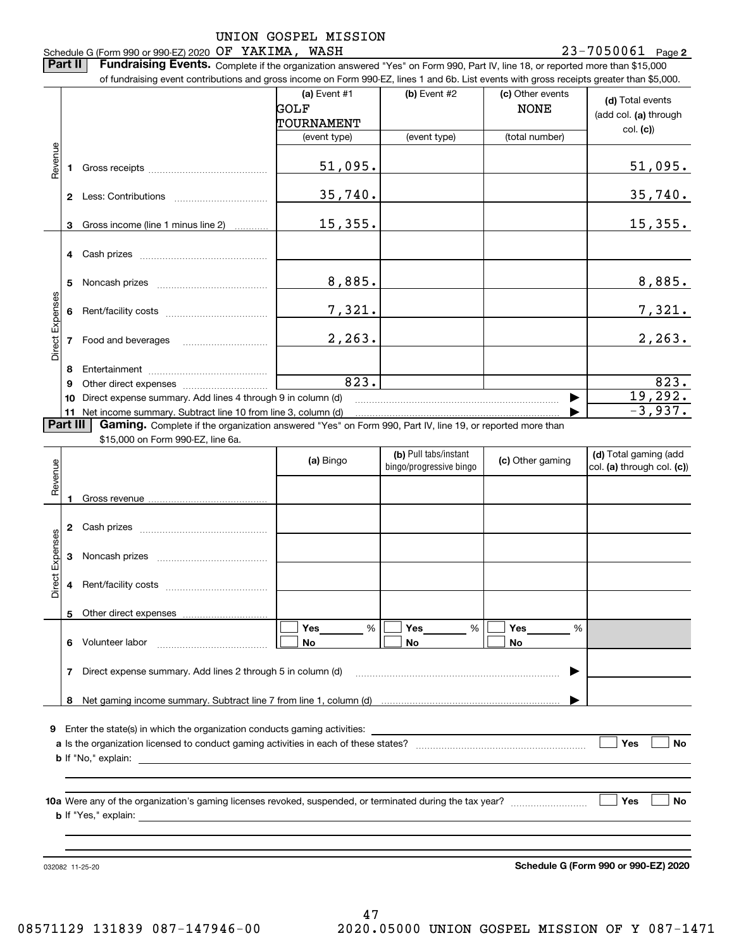UNION GOSPEL MISSION 23-7050061 Page 2 Schedule G (Form 990 or 990-EZ) 2020 Page OF YAKIMA, WASH 23-7050061 **Part II** | Fundraising Events. Complete if the organization answered "Yes" on Form 990, Part IV, line 18, or reported more than \$15,000 of fundraising event contributions and gross income on Form 990-EZ, lines 1 and 6b. List events with gross receipts greater than \$5,000. **(a)** Event #1  $\vert$  **(b)** Event #2 (c) Other events **(d)**  Total events GOLF NONE (add col. **(a)** through TOURNAMENT col. **(c)**) (event type) (event type) (total number) Revenue Revenue 51,095. 51,095. **1**Gross receipts ~~~~~~~~~~~~~~ 35,740. 35,740. **2** Less: Contributions ................................ Gross income (line 1 minus line 2) 15,355. 15,355. **3**. . . . . . . . . . . . **4** Cash prizes <sub>……………………………………</sub> 8,885. 8,885. **5** Noncash prizes \_\_\_\_\_\_\_\_\_\_\_\_\_\_\_\_\_\_\_\_\_\_\_\_\_\_\_\_ Direct Expenses Direct Expense: 7,321. 7,321. **6**Rent/facility costs ~~~~~~~~~~~~ 2,263. 2,263. **7**Food and beverages **8**Entertainment ~~~~~~~~~~~~~~ Other direct expenses ~~~~~~~~~~ 823. 823. **9**19,292.  $\blacktriangleright$ **10** Direct expense summary. Add lines 4 through 9 in column (d) -3,937. …… ▶ **11** Net income summary. Subtract line 10 from line 3, column (d) **Part III | Gaming.** Complete if the organization answered "Yes" on Form 990, Part IV, line 19, or reported more than \$15,000 on Form 990-EZ, line 6a. **(b)**  Pull tabs/instant **(d)**  Total gaming (add **(a)**  Revenue Bingo **Contract of Contract Contract Contract Contract Contract Contract Contract Contract Contract Contract Contract Contract Contract Contract Contract Contract Contract Contract Contract Contract Contract Contract Contr** Revenue bingo/progressive bingo col. **(a)** through col. **(c)**) **1**Gross revenue **2** Cash prizes <sub>……………………………………</sub> Direct Expenses Direct Expenses **3**Noncash prizes <sub>………………………………</sub>…

**9**Enter the state(s) in which the organization conducts gaming activities:

Rent/facility costs ~~~~~~~~~~~~

**8**Net gaming income summary. Subtract line 7 from line 1, column (d)

 $\overline{\phantom{a}}$ 

Direct expense summary. Add lines 2 through 5 in column (d)

**a**Is the organization licensed to conduct gaming activities in each of these states? ~~~~~~~~~~~~~~~~~~~~**b**If "No," explain: **Yes**  $\mathcal{L}^{\text{max}}$ 

**Yes Yes**

% %

|

**No No**

%

 $\boxed{\Box}$  Yes \_\_\_\_\_\_\_ %  $\boxed{\Box}$  Yes \_\_\_\_\_\_\_ %  $\boxed{\Box}$ 

**10a**Were any of the organization's gaming licenses revoked, suspended, or terminated during the tax year? **b** If "Yes," explain: **Yes**

**Yes**

 $\mathcal{L}^{\text{max}}$ 

 $\mathcal{L}^{\text{max}}$ 

**No**

032082 11-25-20

**4**

**5**

**7**

**6** Volunteer labor

Other direct expenses

**Schedule G (Form 990 or 990-EZ) 2020**

…… ▶

**No**

**No**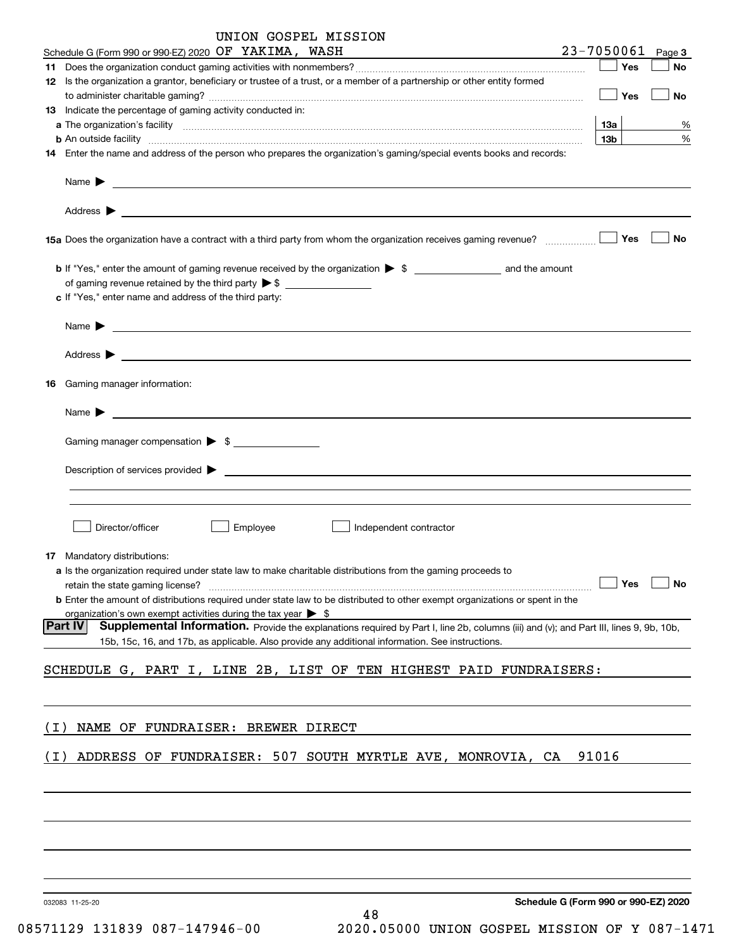|       | UNION GOSPEL MISSION                                                                                                                                          |                                      |           |
|-------|---------------------------------------------------------------------------------------------------------------------------------------------------------------|--------------------------------------|-----------|
|       | Schedule G (Form 990 or 990-EZ) 2020 OF YAKIMA, WASH<br><u> 1989 - Jan Samuel Barbara, martin di</u>                                                          | 23-7050061                           | Page 3    |
|       |                                                                                                                                                               | Yes                                  | No        |
|       | 12 Is the organization a grantor, beneficiary or trustee of a trust, or a member of a partnership or other entity formed                                      |                                      |           |
|       |                                                                                                                                                               | Yes                                  | No        |
|       | 13 Indicate the percentage of gaming activity conducted in:                                                                                                   |                                      |           |
|       |                                                                                                                                                               | 13а                                  | %         |
|       | <b>b</b> An outside facility <i>www.communicality www.communicality.communicality www.communicality www.communicality.communicality www.communicality.com</i> | 13b                                  | %         |
|       | 14 Enter the name and address of the person who prepares the organization's gaming/special events books and records:                                          |                                      |           |
|       | Name $\blacktriangleright$<br><u> 1989 - Johann Stoff, amerikansk politiker (d. 1989)</u>                                                                     |                                      |           |
|       |                                                                                                                                                               | Yes                                  | <b>No</b> |
|       | c If "Yes," enter name and address of the third party:                                                                                                        |                                      |           |
|       | Name $\blacktriangleright$                                                                                                                                    |                                      |           |
| 16    | Gaming manager information:                                                                                                                                   |                                      |           |
|       |                                                                                                                                                               |                                      |           |
|       | Name $\blacktriangleright$                                                                                                                                    |                                      |           |
|       | Gaming manager compensation > \$                                                                                                                              |                                      |           |
|       |                                                                                                                                                               |                                      |           |
|       | $\blacksquare$ Description of services provided $\blacktriangleright$                                                                                         |                                      |           |
|       |                                                                                                                                                               |                                      |           |
|       |                                                                                                                                                               |                                      |           |
|       | Director/officer<br>Employee<br>Independent contractor                                                                                                        |                                      |           |
|       | <b>17</b> Mandatory distributions:                                                                                                                            |                                      |           |
|       | a Is the organization required under state law to make charitable distributions from the gaming proceeds to                                                   |                                      |           |
|       | retain the state gaming license?                                                                                                                              | Yes                                  | No        |
|       | <b>b</b> Enter the amount of distributions required under state law to be distributed to other exempt organizations or spent in the                           |                                      |           |
|       | organization's own exempt activities during the tax year $\triangleright$ \$                                                                                  |                                      |           |
|       | Part IV<br>Supplemental Information. Provide the explanations required by Part I, line 2b, columns (iii) and (v); and Part III, lines 9, 9b, 10b,             |                                      |           |
|       | 15b, 15c, 16, and 17b, as applicable. Also provide any additional information. See instructions.                                                              |                                      |           |
|       |                                                                                                                                                               |                                      |           |
|       | SCHEDULE G, PART I, LINE 2B, LIST OF TEN HIGHEST PAID FUNDRAISERS:                                                                                            |                                      |           |
|       |                                                                                                                                                               |                                      |           |
|       |                                                                                                                                                               |                                      |           |
| ( I ) | NAME OF FUNDRAISER: BREWER DIRECT                                                                                                                             |                                      |           |
|       |                                                                                                                                                               |                                      |           |
| ( I ) | ADDRESS OF FUNDRAISER: 507 SOUTH MYRTLE AVE, MONROVIA, CA                                                                                                     | 91016                                |           |
|       |                                                                                                                                                               |                                      |           |
|       |                                                                                                                                                               |                                      |           |
|       |                                                                                                                                                               |                                      |           |
|       |                                                                                                                                                               |                                      |           |
|       |                                                                                                                                                               |                                      |           |
|       |                                                                                                                                                               |                                      |           |
|       |                                                                                                                                                               |                                      |           |
|       |                                                                                                                                                               |                                      |           |
|       | 032083 11-25-20                                                                                                                                               | Schedule G (Form 990 or 990-EZ) 2020 |           |

48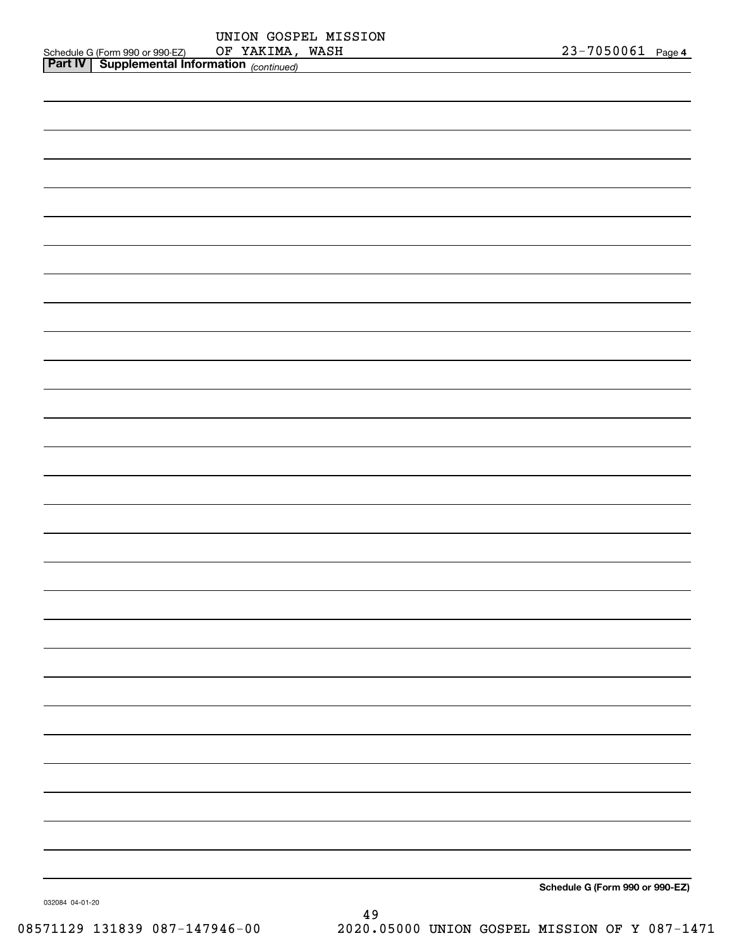|                                                       |            | UNION GOSPEL MISSION |  |                       |  |
|-------------------------------------------------------|------------|----------------------|--|-----------------------|--|
| Schedule G (Form 990 or 990-EZ)                       | OF YAKIMA. | WASH                 |  | $23 - 7050061$ Page 4 |  |
| <b>Part IV   Supplemental Information</b> (continued) |            |                      |  |                       |  |

| Schedule G (Form 990 or 990-EZ) |
|---------------------------------|

032084 04-01-20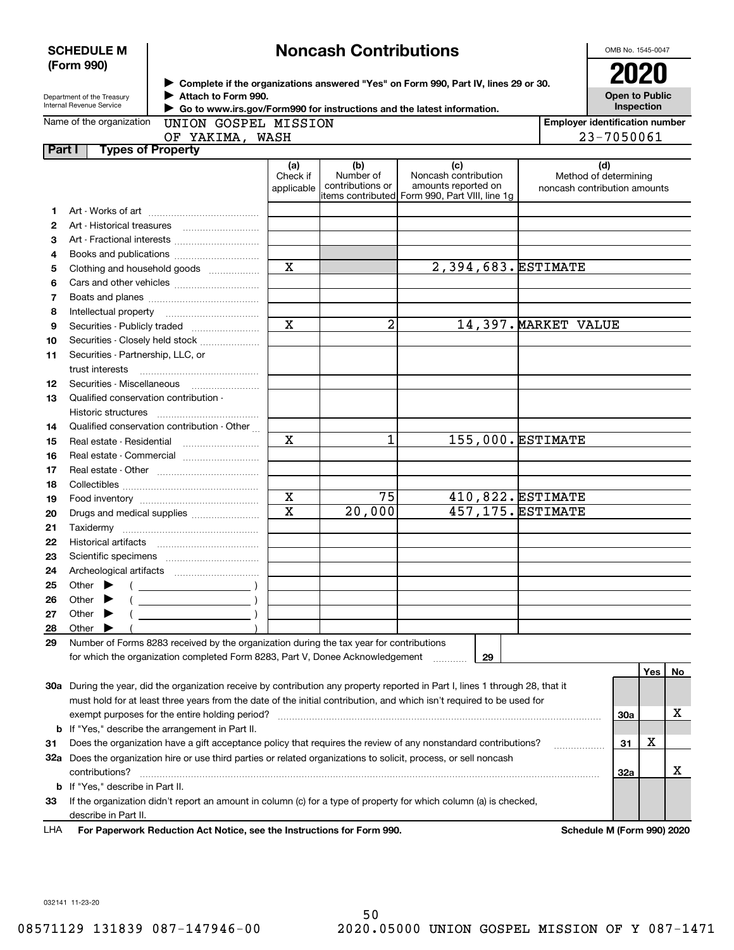|        | <b>SCHEDULE M</b><br>(Form 990)                        |                                                                                                                                                                                       | <b>Noncash Contributions</b>  | OMB No. 1545-0047<br><b>2021</b>     |                                                                                                                                |                      |                                                              |
|--------|--------------------------------------------------------|---------------------------------------------------------------------------------------------------------------------------------------------------------------------------------------|-------------------------------|--------------------------------------|--------------------------------------------------------------------------------------------------------------------------------|----------------------|--------------------------------------------------------------|
|        | Department of the Treasury<br>Internal Revenue Service | ► Complete if the organizations answered "Yes" on Form 990, Part IV, lines 29 or 30.<br>Attach to Form 990.<br>Go to www.irs.gov/Form990 for instructions and the latest information. |                               | <b>Open to Public</b><br>Inspection  |                                                                                                                                |                      |                                                              |
|        | Name of the organization                               | UNION GOSPEL MISSION                                                                                                                                                                  |                               |                                      |                                                                                                                                |                      | <b>Employer identification number</b>                        |
|        |                                                        | OF YAKIMA, WASH                                                                                                                                                                       |                               |                                      |                                                                                                                                |                      | 23-7050061                                                   |
| Part I | <b>Types of Property</b>                               |                                                                                                                                                                                       |                               |                                      |                                                                                                                                |                      |                                                              |
|        |                                                        |                                                                                                                                                                                       | (a)<br>Check if<br>applicable | (b)<br>Number of<br>contributions or | (c)<br>Noncash contribution<br>amounts reported on<br>items contributed Form 990, Part VIII, line 1g                           |                      | (d)<br>Method of determining<br>noncash contribution amounts |
| 1      |                                                        |                                                                                                                                                                                       |                               |                                      |                                                                                                                                |                      |                                                              |
| 2      |                                                        |                                                                                                                                                                                       |                               |                                      |                                                                                                                                |                      |                                                              |
| з      |                                                        |                                                                                                                                                                                       |                               |                                      |                                                                                                                                |                      |                                                              |
| 4      |                                                        |                                                                                                                                                                                       |                               |                                      |                                                                                                                                |                      |                                                              |
| 5      |                                                        | Clothing and household goods                                                                                                                                                          | $\overline{\mathbf{x}}$       |                                      | 2,394,683. ESTIMATE                                                                                                            |                      |                                                              |
| 6      |                                                        |                                                                                                                                                                                       |                               |                                      |                                                                                                                                |                      |                                                              |
| 7      |                                                        |                                                                                                                                                                                       |                               |                                      |                                                                                                                                |                      |                                                              |
| 8      |                                                        |                                                                                                                                                                                       |                               |                                      |                                                                                                                                |                      |                                                              |
| 9      |                                                        |                                                                                                                                                                                       | $\overline{\mathbf{x}}$       | 2                                    |                                                                                                                                | 14,397. MARKET VALUE |                                                              |
| 10     |                                                        | Securities - Closely held stock                                                                                                                                                       |                               |                                      |                                                                                                                                |                      |                                                              |
| 11     | Securities - Partnership, LLC, or<br>trust interests   |                                                                                                                                                                                       |                               |                                      |                                                                                                                                |                      |                                                              |
| 12     | Securities - Miscellaneous                             |                                                                                                                                                                                       |                               |                                      |                                                                                                                                |                      |                                                              |
| 13     | Qualified conservation contribution -                  |                                                                                                                                                                                       |                               |                                      |                                                                                                                                |                      |                                                              |
|        | Historic structures                                    |                                                                                                                                                                                       |                               |                                      |                                                                                                                                |                      |                                                              |
| 14     |                                                        | Qualified conservation contribution - Other                                                                                                                                           |                               |                                      |                                                                                                                                |                      |                                                              |
| 15     | Real estate - Residential                              |                                                                                                                                                                                       | $\mathbf X$                   | 1                                    | 155,000. ESTIMATE                                                                                                              |                      |                                                              |
| 16     |                                                        | Real estate - Commercial                                                                                                                                                              |                               |                                      |                                                                                                                                |                      |                                                              |
| 17     |                                                        |                                                                                                                                                                                       |                               |                                      |                                                                                                                                |                      |                                                              |
| 18     |                                                        |                                                                                                                                                                                       |                               |                                      |                                                                                                                                |                      |                                                              |
| 19     |                                                        |                                                                                                                                                                                       | $\mathbf X$                   | 75                                   |                                                                                                                                | 410,822. ESTIMATE    |                                                              |
| 20     |                                                        | Drugs and medical supplies                                                                                                                                                            | $\overline{\text{x}}$         | 20,000                               | 457,175. ESTIMATE                                                                                                              |                      |                                                              |
| 21     |                                                        |                                                                                                                                                                                       |                               |                                      |                                                                                                                                |                      |                                                              |
| 22     |                                                        |                                                                                                                                                                                       |                               |                                      |                                                                                                                                |                      |                                                              |
| 23     |                                                        |                                                                                                                                                                                       |                               |                                      |                                                                                                                                |                      |                                                              |
| 24     | Archeological artifacts                                |                                                                                                                                                                                       |                               |                                      |                                                                                                                                |                      |                                                              |
| 25     | Other                                                  |                                                                                                                                                                                       |                               |                                      |                                                                                                                                |                      |                                                              |
| 26     | Other                                                  |                                                                                                                                                                                       |                               |                                      |                                                                                                                                |                      |                                                              |
| 27     | Other                                                  |                                                                                                                                                                                       |                               |                                      |                                                                                                                                |                      |                                                              |
| 28     | Other                                                  |                                                                                                                                                                                       |                               |                                      |                                                                                                                                |                      |                                                              |
| 29     |                                                        | Number of Forms 8283 received by the organization during the tax year for contributions                                                                                               |                               |                                      |                                                                                                                                |                      |                                                              |
|        |                                                        | for which the organization completed Form 8283, Part V, Donee Acknowledgement                                                                                                         |                               |                                      | 29                                                                                                                             |                      |                                                              |
|        |                                                        |                                                                                                                                                                                       |                               |                                      |                                                                                                                                |                      | No<br>Yes                                                    |
|        |                                                        |                                                                                                                                                                                       |                               |                                      | 30a During the year, did the organization receive by contribution any property reported in Part I, lines 1 through 28, that it |                      |                                                              |
|        |                                                        |                                                                                                                                                                                       |                               |                                      | must hold for at least three years from the date of the initial contribution, and which isn't required to be used for          |                      |                                                              |
|        |                                                        | exempt purposes for the entire holding period?                                                                                                                                        |                               |                                      |                                                                                                                                |                      | х<br>30a                                                     |
|        |                                                        | <b>b</b> If "Yes," describe the arrangement in Part II.                                                                                                                               |                               |                                      |                                                                                                                                |                      |                                                              |
| 31     |                                                        |                                                                                                                                                                                       |                               |                                      | Does the organization have a gift acceptance policy that requires the review of any nonstandard contributions?                 |                      | х<br>31                                                      |
|        |                                                        |                                                                                                                                                                                       |                               |                                      | 32a Does the organization hire or use third parties or related organizations to solicit, process, or sell noncash              |                      | x                                                            |
|        | contributions?                                         |                                                                                                                                                                                       |                               |                                      |                                                                                                                                |                      | 32a                                                          |
|        | <b>b</b> If "Yes," describe in Part II.                |                                                                                                                                                                                       |                               |                                      |                                                                                                                                |                      |                                                              |
| 33     |                                                        |                                                                                                                                                                                       |                               |                                      | If the organization didn't report an amount in column (c) for a type of property for which column (a) is checked,              |                      |                                                              |
| LHA    | describe in Part II.                                   | For Paperwork Reduction Act Notice, see the Instructions for Form 990.                                                                                                                |                               |                                      |                                                                                                                                |                      | Schedule M (Form 990) 2020                                   |
|        |                                                        |                                                                                                                                                                                       |                               |                                      |                                                                                                                                |                      |                                                              |

032141 11-23-20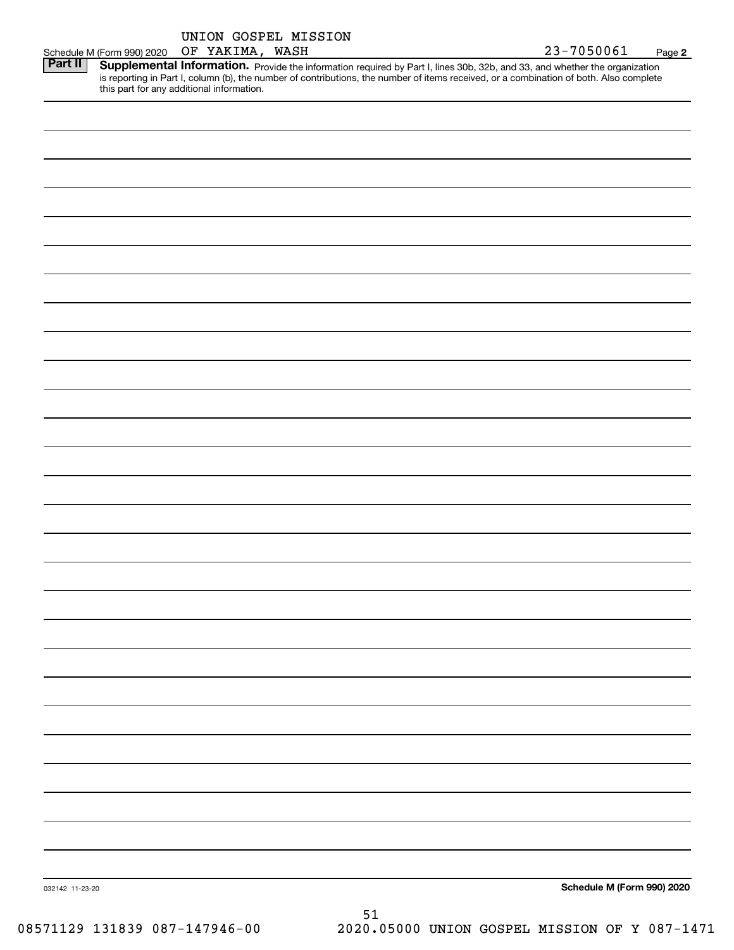|                 |                            | UNION GOSPEL MISSION                      |    |  |                                                                                                                                                                                                                                                                      |        |
|-----------------|----------------------------|-------------------------------------------|----|--|----------------------------------------------------------------------------------------------------------------------------------------------------------------------------------------------------------------------------------------------------------------------|--------|
|                 | Schedule M (Form 990) 2020 | OF YAKIMA, WASH                           |    |  | 23-7050061                                                                                                                                                                                                                                                           | Page 2 |
| <b>Part II</b>  |                            | this part for any additional information. |    |  | Supplemental Information. Provide the information required by Part I, lines 30b, 32b, and 33, and whether the organization<br>is reporting in Part I, column (b), the number of contributions, the number of items received, or a combination of both. Also complete |        |
|                 |                            |                                           |    |  |                                                                                                                                                                                                                                                                      |        |
|                 |                            |                                           |    |  |                                                                                                                                                                                                                                                                      |        |
|                 |                            |                                           |    |  |                                                                                                                                                                                                                                                                      |        |
|                 |                            |                                           |    |  |                                                                                                                                                                                                                                                                      |        |
|                 |                            |                                           |    |  |                                                                                                                                                                                                                                                                      |        |
|                 |                            |                                           |    |  |                                                                                                                                                                                                                                                                      |        |
|                 |                            |                                           |    |  |                                                                                                                                                                                                                                                                      |        |
|                 |                            |                                           |    |  |                                                                                                                                                                                                                                                                      |        |
|                 |                            |                                           |    |  |                                                                                                                                                                                                                                                                      |        |
|                 |                            |                                           |    |  |                                                                                                                                                                                                                                                                      |        |
|                 |                            |                                           |    |  |                                                                                                                                                                                                                                                                      |        |
|                 |                            |                                           |    |  |                                                                                                                                                                                                                                                                      |        |
|                 |                            |                                           |    |  |                                                                                                                                                                                                                                                                      |        |
|                 |                            |                                           |    |  |                                                                                                                                                                                                                                                                      |        |
|                 |                            |                                           |    |  |                                                                                                                                                                                                                                                                      |        |
|                 |                            |                                           |    |  |                                                                                                                                                                                                                                                                      |        |
|                 |                            |                                           |    |  |                                                                                                                                                                                                                                                                      |        |
|                 |                            |                                           |    |  |                                                                                                                                                                                                                                                                      |        |
|                 |                            |                                           |    |  |                                                                                                                                                                                                                                                                      |        |
|                 |                            |                                           |    |  |                                                                                                                                                                                                                                                                      |        |
|                 |                            |                                           |    |  |                                                                                                                                                                                                                                                                      |        |
|                 |                            |                                           |    |  |                                                                                                                                                                                                                                                                      |        |
|                 |                            |                                           |    |  |                                                                                                                                                                                                                                                                      |        |
|                 |                            |                                           |    |  |                                                                                                                                                                                                                                                                      |        |
|                 |                            |                                           |    |  |                                                                                                                                                                                                                                                                      |        |
|                 |                            |                                           |    |  |                                                                                                                                                                                                                                                                      |        |
|                 |                            |                                           |    |  |                                                                                                                                                                                                                                                                      |        |
|                 |                            |                                           |    |  |                                                                                                                                                                                                                                                                      |        |
|                 |                            |                                           |    |  |                                                                                                                                                                                                                                                                      |        |
|                 |                            |                                           |    |  |                                                                                                                                                                                                                                                                      |        |
|                 |                            |                                           |    |  |                                                                                                                                                                                                                                                                      |        |
|                 |                            |                                           |    |  |                                                                                                                                                                                                                                                                      |        |
|                 |                            |                                           |    |  |                                                                                                                                                                                                                                                                      |        |
|                 |                            |                                           |    |  |                                                                                                                                                                                                                                                                      |        |
|                 |                            |                                           |    |  |                                                                                                                                                                                                                                                                      |        |
|                 |                            |                                           |    |  |                                                                                                                                                                                                                                                                      |        |
|                 |                            |                                           |    |  |                                                                                                                                                                                                                                                                      |        |
|                 |                            |                                           |    |  |                                                                                                                                                                                                                                                                      |        |
|                 |                            |                                           |    |  |                                                                                                                                                                                                                                                                      |        |
| 032142 11-23-20 |                            |                                           |    |  | Schedule M (Form 990) 2020                                                                                                                                                                                                                                           |        |
|                 |                            |                                           | 51 |  |                                                                                                                                                                                                                                                                      |        |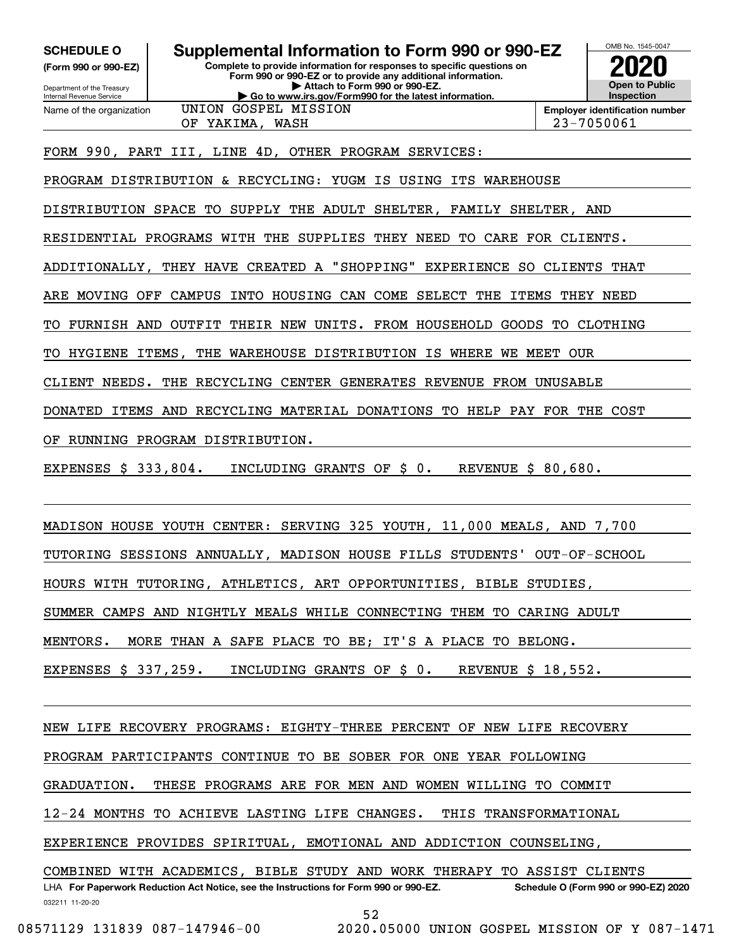**(Form 990 or 990-EZ)**

Department of the Treasury Internal Revenue Service Name of the organization

**Complete to provide information for responses to specific questions on Form 990 or 990-EZ or to provide any additional information. | Attach to Form 990 or 990-EZ. | Go to www.irs.gov/Form990 for the latest information. SCHEDULE O Supplemental Information to Form 990 or 990-EZ** UNION GOSPEL MISSION



**Employer identification number** OF YAKIMA, WASH 23-7050061

FORM 990, PART III, LINE 4D, OTHER PROGRAM SERVICES:

PROGRAM DISTRIBUTION & RECYCLING: YUGM IS USING ITS WAREHOUSE

DISTRIBUTION SPACE TO SUPPLY THE ADULT SHELTER, FAMILY SHELTER, AND

RESIDENTIAL PROGRAMS WITH THE SUPPLIES THEY NEED TO CARE FOR CLIENTS.

ADDITIONALLY, THEY HAVE CREATED A "SHOPPING" EXPERIENCE SO CLIENTS THAT

ARE MOVING OFF CAMPUS INTO HOUSING CAN COME SELECT THE ITEMS THEY NEED

TO FURNISH AND OUTFIT THEIR NEW UNITS. FROM HOUSEHOLD GOODS TO CLOTHING

TO HYGIENE ITEMS, THE WAREHOUSE DISTRIBUTION IS WHERE WE MEET OUR

CLIENT NEEDS. THE RECYCLING CENTER GENERATES REVENUE FROM UNUSABLE

DONATED ITEMS AND RECYCLING MATERIAL DONATIONS TO HELP PAY FOR THE COST

OF RUNNING PROGRAM DISTRIBUTION.

EXPENSES \$ 333,804. INCLUDING GRANTS OF \$ 0. REVENUE \$ 80,680.

MADISON HOUSE YOUTH CENTER: SERVING 325 YOUTH, 11,000 MEALS, AND 7,700

TUTORING SESSIONS ANNUALLY, MADISON HOUSE FILLS STUDENTS' OUT-OF-SCHOOL

HOURS WITH TUTORING, ATHLETICS, ART OPPORTUNITIES, BIBLE STUDIES,

SUMMER CAMPS AND NIGHTLY MEALS WHILE CONNECTING THEM TO CARING ADULT

MENTORS. MORE THAN A SAFE PLACE TO BE; IT'S A PLACE TO BELONG.

EXPENSES \$ 337,259. INCLUDING GRANTS OF \$ 0. REVENUE \$ 18,552.

NEW LIFE RECOVERY PROGRAMS: EIGHTY-THREE PERCENT OF NEW LIFE RECOVERY

PROGRAM PARTICIPANTS CONTINUE TO BE SOBER FOR ONE YEAR FOLLOWING

GRADUATION. THESE PROGRAMS ARE FOR MEN AND WOMEN WILLING TO COMMIT

12-24 MONTHS TO ACHIEVE LASTING LIFE CHANGES. THIS TRANSFORMATIONAL

EXPERIENCE PROVIDES SPIRITUAL, EMOTIONAL AND ADDICTION COUNSELING,

032211 11-20-20 LHA For Paperwork Reduction Act Notice, see the Instructions for Form 990 or 990-EZ. Schedule O (Form 990 or 990-EZ) 2020 COMBINED WITH ACADEMICS, BIBLE STUDY AND WORK THERAPY TO ASSIST CLIENTS

52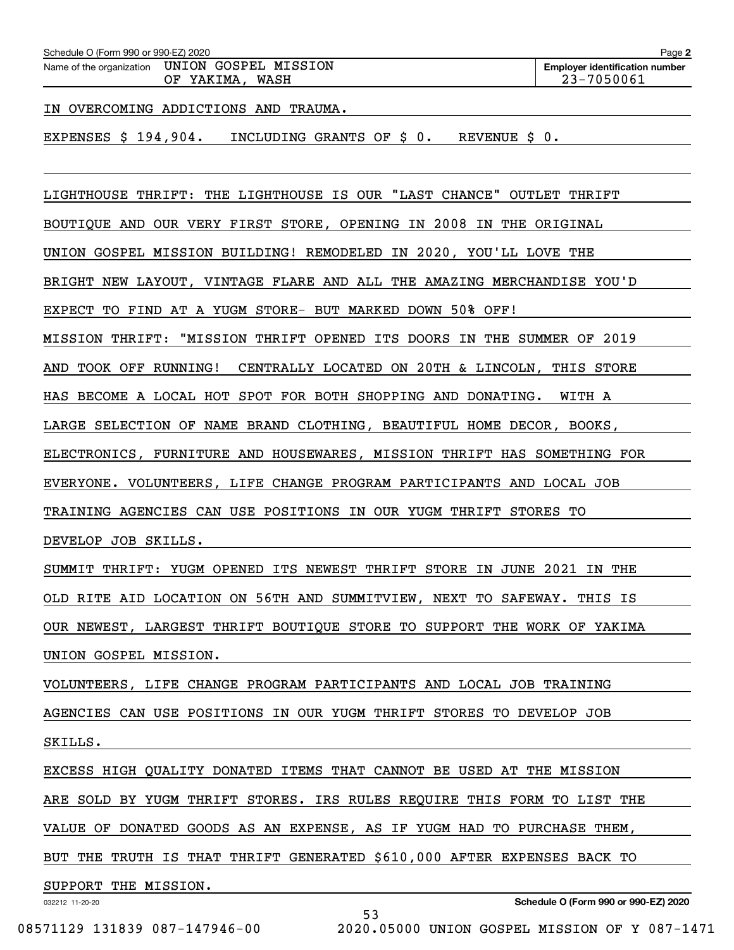| Schedule O (Form 990 or 990-EZ) 2020 |  |  |
|--------------------------------------|--|--|

Schedule O (Form 990 or 990-EZ) 2020<br>Name of the organization UNION GOSPEL MISSION Employer identification number OF YAKIMA, WASH 23-7050061

IN OVERCOMING ADDICTIONS AND TRAUMA.

EXPENSES \$ 194,904. INCLUDING GRANTS OF \$ 0. REVENUE \$ 0.

LIGHTHOUSE THRIFT: THE LIGHTHOUSE IS OUR "LAST CHANCE" OUTLET THRIFT

BOUTIQUE AND OUR VERY FIRST STORE, OPENING IN 2008 IN THE ORIGINAL

UNION GOSPEL MISSION BUILDING! REMODELED IN 2020, YOU'LL LOVE THE

BRIGHT NEW LAYOUT, VINTAGE FLARE AND ALL THE AMAZING MERCHANDISE YOU'D

EXPECT TO FIND AT A YUGM STORE- BUT MARKED DOWN 50% OFF!

MISSION THRIFT: "MISSION THRIFT OPENED ITS DOORS IN THE SUMMER OF 2019

AND TOOK OFF RUNNING! CENTRALLY LOCATED ON 20TH & LINCOLN, THIS STORE

HAS BECOME A LOCAL HOT SPOT FOR BOTH SHOPPING AND DONATING. WITH A

LARGE SELECTION OF NAME BRAND CLOTHING, BEAUTIFUL HOME DECOR, BOOKS,

ELECTRONICS, FURNITURE AND HOUSEWARES, MISSION THRIFT HAS SOMETHING FOR

EVERYONE. VOLUNTEERS, LIFE CHANGE PROGRAM PARTICIPANTS AND LOCAL JOB

TRAINING AGENCIES CAN USE POSITIONS IN OUR YUGM THRIFT STORES TO

DEVELOP JOB SKILLS.

SUMMIT THRIFT: YUGM OPENED ITS NEWEST THRIFT STORE IN JUNE 2021 IN THE

OLD RITE AID LOCATION ON 56TH AND SUMMITVIEW, NEXT TO SAFEWAY. THIS IS

OUR NEWEST, LARGEST THRIFT BOUTIQUE STORE TO SUPPORT THE WORK OF YAKIMA

UNION GOSPEL MISSION.

VOLUNTEERS, LIFE CHANGE PROGRAM PARTICIPANTS AND LOCAL JOB TRAINING

AGENCIES CAN USE POSITIONS IN OUR YUGM THRIFT STORES TO DEVELOP JOB

SKILLS.

EXCESS HIGH QUALITY DONATED ITEMS THAT CANNOT BE USED AT THE MISSION

ARE SOLD BY YUGM THRIFT STORES. IRS RULES REQUIRE THIS FORM TO LIST THE

VALUE OF DONATED GOODS AS AN EXPENSE, AS IF YUGM HAD TO PURCHASE THEM,

BUT THE TRUTH IS THAT THRIFT GENERATED \$610,000 AFTER EXPENSES BACK TO

53

SUPPORT THE MISSION.

032212 11-20-20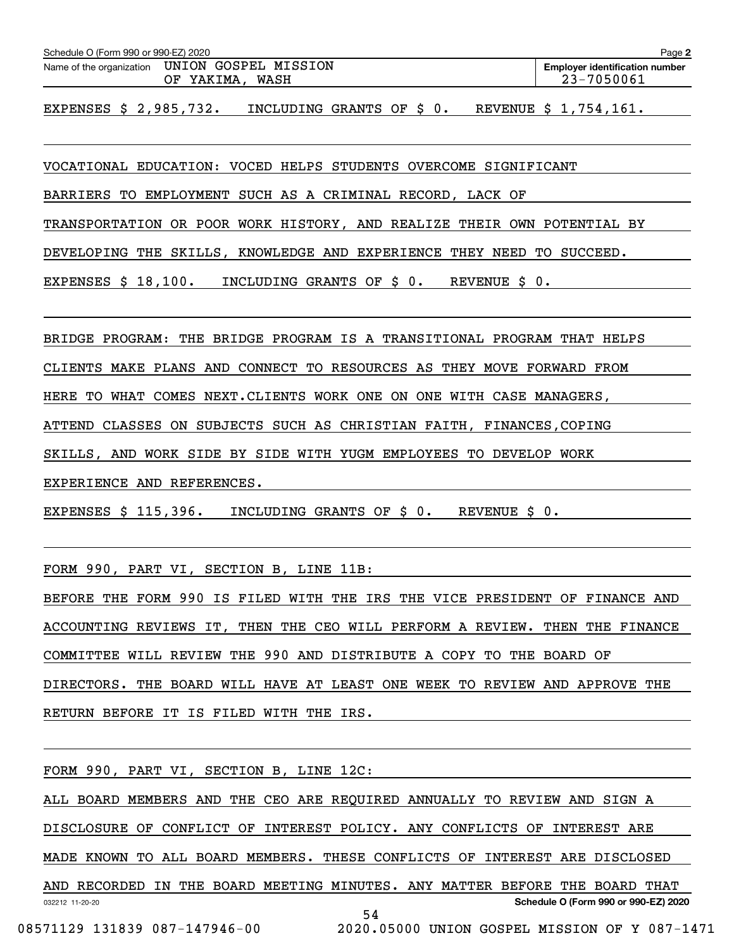| Schedule O (Form 990 or 990-EZ) 2020          | Page 2                                |
|-----------------------------------------------|---------------------------------------|
| Name of the organization UNION GOSPEL MISSION | <b>Emplover identification number</b> |
| WASH<br>OF YAKIMA.                            | 23-7050061                            |

EXPENSES \$ 2,985,732. INCLUDING GRANTS OF \$ 0. REVENUE \$ 1,754,161.

VOCATIONAL EDUCATION: VOCED HELPS STUDENTS OVERCOME SIGNIFICANT

BARRIERS TO EMPLOYMENT SUCH AS A CRIMINAL RECORD, LACK OF

TRANSPORTATION OR POOR WORK HISTORY, AND REALIZE THEIR OWN POTENTIAL BY

DEVELOPING THE SKILLS, KNOWLEDGE AND EXPERIENCE THEY NEED TO SUCCEED.

EXPENSES \$ 18,100. INCLUDING GRANTS OF \$ 0. REVENUE \$ 0.

BRIDGE PROGRAM: THE BRIDGE PROGRAM IS A TRANSITIONAL PROGRAM THAT HELPS

CLIENTS MAKE PLANS AND CONNECT TO RESOURCES AS THEY MOVE FORWARD FROM

HERE TO WHAT COMES NEXT.CLIENTS WORK ONE ON ONE WITH CASE MANAGERS,

ATTEND CLASSES ON SUBJECTS SUCH AS CHRISTIAN FAITH, FINANCES,COPING

SKILLS, AND WORK SIDE BY SIDE WITH YUGM EMPLOYEES TO DEVELOP WORK

EXPERIENCE AND REFERENCES.

EXPENSES \$ 115,396. INCLUDING GRANTS OF \$ 0. REVENUE \$ 0.

FORM 990, PART VI, SECTION B, LINE 11B:

BEFORE THE FORM 990 IS FILED WITH THE IRS THE VICE PRESIDENT OF FINANCE AND ACCOUNTING REVIEWS IT, THEN THE CEO WILL PERFORM A REVIEW. THEN THE FINANCE COMMITTEE WILL REVIEW THE 990 AND DISTRIBUTE A COPY TO THE BOARD OF DIRECTORS. THE BOARD WILL HAVE AT LEAST ONE WEEK TO REVIEW AND APPROVE THE RETURN BEFORE IT IS FILED WITH THE IRS.

FORM 990, PART VI, SECTION B, LINE 12C:

032212 11-20-20 **Schedule O (Form 990 or 990-EZ) 2020** ALL BOARD MEMBERS AND THE CEO ARE REQUIRED ANNUALLY TO REVIEW AND SIGN A DISCLOSURE OF CONFLICT OF INTEREST POLICY. ANY CONFLICTS OF INTEREST ARE MADE KNOWN TO ALL BOARD MEMBERS. THESE CONFLICTS OF INTEREST ARE DISCLOSED AND RECORDED IN THE BOARD MEETING MINUTES. ANY MATTER BEFORE THE BOARD THAT 54